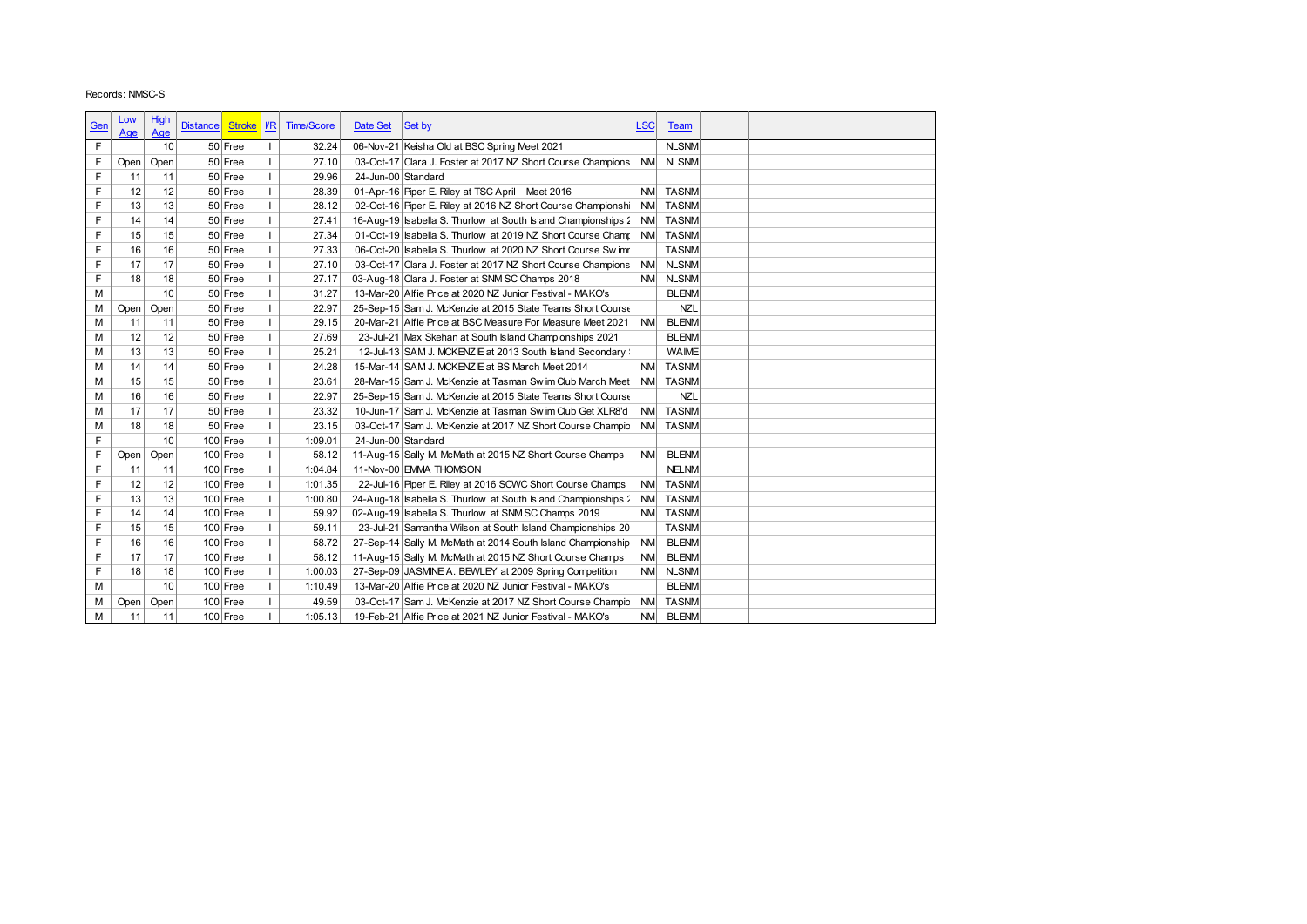| Records: NMSC-S<br><b>High</b><br><u>Low</u><br>$\sqrt{R}$<br><b>Time/Score</b><br>Date Set<br>Set by<br><b>LSC</b><br><b>Distance</b><br><b>Stroke</b><br>Team<br><u>Gen</u><br>Age<br>Age<br>$\mathsf F$<br>06-Nov-21 Keisha Old at BSC Spring Meet 2021<br><b>NLSNM</b><br>10<br>50 Free<br>$\mathbf{I}$<br>32.24<br>F<br>$\mathbf{I}$<br>27.10<br>03-Oct-17 Clara J. Foster at 2017 NZ Short Course Champions<br><b>NM</b><br><b>NLSNM</b><br>Open<br>50 Free<br>Open<br>F<br>$\mathbf{I}$<br>11<br>50 Free<br>29.96<br>24-Jun-00 Standard<br>11<br>F<br>12<br>12<br>50 Free<br>$\mathbf{L}$<br>28.39<br>01-Apr-16 Piper E. Riley at TSC April Meet 2016<br><b>TASNM</b><br><b>NM</b><br>F<br>13<br>13<br>$\mathbf{I}$<br>02-Oct-16 Piper E. Riley at 2016 NZ Short Course Championshi<br>50 Free<br>28.12<br><b>NM</b><br><b>TASNM</b><br>F<br>14<br>50 Free<br>$\mathbf{L}$<br>16-Aug-19 sabella S. Thurlow at South Island Championships 2<br><b>TASNM</b><br>14<br>27.41<br><b>NM</b><br>F<br>$\mathbf{I}$<br><b>TASNM</b><br>15<br>15<br>50 Free<br>27.34<br>01-Oct-19 Sabella S. Thurlow at 2019 NZ Short Course Champ<br><b>NM</b><br>F<br>$\mathbf{I}$<br>16<br>16<br>50 Free<br>27.33<br>06-Oct-20   sabella S. Thurlow at 2020 NZ Short Course Swimr<br><b>TASNM</b><br>F<br>17<br>$\mathbf{I}$<br><b>NLSNM</b><br>17<br>50 Free<br>27.10<br>03-Oct-17 Clara J. Foster at 2017 NZ Short Course Champions<br><b>NM</b><br>F<br>18<br>18<br>50 Free<br>$\mathbf{I}$<br>27.17<br>03-Aug-18 Clara J. Foster at SNM SC Champs 2018<br><b>NM</b><br><b>NLSNM</b><br>10<br>M<br>$\mathbf{I}$<br><b>BLENM</b><br>50 Free<br>31.27<br>13-Mar-20 Alfie Price at 2020 NZ Junior Festival - MAKO's<br>М<br>Open<br>50 Free<br>$\mathbf{I}$<br>22.97<br>25-Sep-15 Sam J. McKenzie at 2015 State Teams Short Course<br><b>NZL</b><br>Open<br>M<br>11<br>$\mathbf{I}$<br><b>BLENM</b><br>11<br>50 Free<br>29.15<br>20-Mar-21 Alfie Price at BSC Measure For Measure Meet 2021<br><b>NM</b><br>12<br>M<br>12<br>50 Free<br>$\mathbf{I}$<br>27.69<br><b>BLENM</b><br>23-Jul-21 Max Skehan at South Island Championships 2021<br>$\mathbf{I}$<br>М<br>13<br>13<br>50 Free<br><b>WAIME</b><br>25.21<br>12-Jul-13 SAM J. MCKENZIE at 2013 South Island Secondary :<br>$\mathbf{I}$<br><b>TASNM</b><br>М<br>14<br>14<br>50 Free<br>24.28<br>15-Mar-14 SAM J. MCKENZIE at BS March Meet 2014<br><b>NM</b><br>$\mathbf{I}$<br>М<br>15<br>15<br>50 Free<br>23.61<br>28-Mar-15 Sam J. McKenzie at Tasman Sw im Club March Meet<br><b>NM</b><br><b>TASNM</b><br><b>NZL</b><br>M<br>16<br>16<br>50 Free<br>$\mathbf{I}$<br>22.97<br>25-Sep-15 Sam J. McKenzie at 2015 State Teams Short Course<br><b>TASNM</b><br>М<br>17<br>17<br>50 Free<br>$\mathbf{I}$<br>23.32<br>10-Jun-17 Sam J. McKenzie at Tasman Sw im Club Get XLR8'd<br><b>NM</b><br>$\mathbf{L}$<br>М<br>18<br>18<br>23.15<br>03-Oct-17 Sam J. McKenzie at 2017 NZ Short Course Champio<br><b>NM</b><br><b>TASNM</b><br>50 Free<br>F<br>10<br>$100$ Free<br>$\mathbf{I}$<br>1:09.01<br>24-Jun-00 Standard<br>F<br>$\mathbf{I}$<br><b>BLENM</b><br>$100$ Free<br>58.12<br>11-Aug-15 Sally M. McMath at 2015 NZ Short Course Champs<br><b>NM</b><br>Open<br>Open<br>F<br>$\mathbf{I}$<br>1:04.84<br>11-Nov-00 EMMA THOMSON<br><b>NELNM</b><br>11<br>11<br>$100$ Free<br>F<br>$\mathbf{I}$<br>22-Jul-16 Piper E. Riley at 2016 SCWC Short Course Champs<br><b>TASNM</b><br>12<br>12<br>$100$ Free<br>1:01.35<br><b>NM</b><br>F<br>13<br>13<br>$\mathbf{I}$<br>1:00.80<br>24-Aug-18 Sabella S. Thurlow at South Island Championships 2<br><b>TASNM</b><br>$100$ Free<br><b>NM</b><br>F<br>$\mathbf{I}$<br>14<br>14<br>$100$ Free<br>59.92<br>02-Aug-19 Isabella S. Thurlow at SNM SC Champs 2019<br><b>NM</b><br><b>TASNM</b><br>F<br>15<br>$100$ Free<br>$\mathbf{I}$<br>59.11<br>23-Jul-21 Samantha Wilson at South Island Championships 20<br><b>TASNM</b><br>15<br>F<br>$\mathbf{I}$<br>16<br>16<br>$100$ Free<br>58.72<br>27-Sep-14 Sally M. McMath at 2014 South Island Championship<br><b>NM</b><br><b>BLENM</b><br>F<br>$\mathbf{I}$<br>17<br>17<br>$100$ Free<br>58.12<br>11-Aug-15 Sally M. McMath at 2015 NZ Short Course Champs<br><b>BLENM</b><br><b>NM</b><br>F<br>18<br>18<br>$\mathbf{I}$<br>1:00.03<br>27-Sep-09 JASMINE A. BEWLEY at 2009 Spring Competition<br><b>NLSNM</b><br>$100$ Free<br><b>NM</b><br>M<br>10<br>$\mathbf{I}$<br>$100$ Free<br>1:10.49<br><b>BLENM</b><br>13-Mar-20 Alfie Price at 2020 NZ Junior Festival - MAKO's<br>$\mathbf{L}$<br>$100$ Free<br>49.59<br><b>NM</b><br><b>TASNM</b><br>М<br>Open<br>03-Oct-17 Sam J. McKenzie at 2017 NZ Short Course Champio<br>Open<br>M<br>$\mathbf{I}$<br>1:05.13<br><b>BLENM</b><br>11<br>11<br>$100$ Free<br>19-Feb-21 Alfie Price at 2021 NZ Junior Festival - MAKO's<br><b>NM</b> |  |  |  |  |  |  |
|------------------------------------------------------------------------------------------------------------------------------------------------------------------------------------------------------------------------------------------------------------------------------------------------------------------------------------------------------------------------------------------------------------------------------------------------------------------------------------------------------------------------------------------------------------------------------------------------------------------------------------------------------------------------------------------------------------------------------------------------------------------------------------------------------------------------------------------------------------------------------------------------------------------------------------------------------------------------------------------------------------------------------------------------------------------------------------------------------------------------------------------------------------------------------------------------------------------------------------------------------------------------------------------------------------------------------------------------------------------------------------------------------------------------------------------------------------------------------------------------------------------------------------------------------------------------------------------------------------------------------------------------------------------------------------------------------------------------------------------------------------------------------------------------------------------------------------------------------------------------------------------------------------------------------------------------------------------------------------------------------------------------------------------------------------------------------------------------------------------------------------------------------------------------------------------------------------------------------------------------------------------------------------------------------------------------------------------------------------------------------------------------------------------------------------------------------------------------------------------------------------------------------------------------------------------------------------------------------------------------------------------------------------------------------------------------------------------------------------------------------------------------------------------------------------------------------------------------------------------------------------------------------------------------------------------------------------------------------------------------------------------------------------------------------------------------------------------------------------------------------------------------------------------------------------------------------------------------------------------------------------------------------------------------------------------------------------------------------------------------------------------------------------------------------------------------------------------------------------------------------------------------------------------------------------------------------------------------------------------------------------------------------------------------------------------------------------------------------------------------------------------------------------------------------------------------------------------------------------------------------------------------------------------------------------------------------------------------------------------------------------------------------------------------------------------------------------------------------------------------------------------------------------------------------------------------------------------------------------------------------------------------------------------------------------------------------------------------------------------------------------------------------------------------------------------------------------------------------------------------------------------------------------------------------------------------------------------------------------------------------------------------------------------------------------------------------------------------------------------------------------------------------------------------------------------|--|--|--|--|--|--|
|                                                                                                                                                                                                                                                                                                                                                                                                                                                                                                                                                                                                                                                                                                                                                                                                                                                                                                                                                                                                                                                                                                                                                                                                                                                                                                                                                                                                                                                                                                                                                                                                                                                                                                                                                                                                                                                                                                                                                                                                                                                                                                                                                                                                                                                                                                                                                                                                                                                                                                                                                                                                                                                                                                                                                                                                                                                                                                                                                                                                                                                                                                                                                                                                                                                                                                                                                                                                                                                                                                                                                                                                                                                                                                                                                                                                                                                                                                                                                                                                                                                                                                                                                                                                                                                                                                                                                                                                                                                                                                                                                                                                                                                                                                                                                                                                                  |  |  |  |  |  |  |
|                                                                                                                                                                                                                                                                                                                                                                                                                                                                                                                                                                                                                                                                                                                                                                                                                                                                                                                                                                                                                                                                                                                                                                                                                                                                                                                                                                                                                                                                                                                                                                                                                                                                                                                                                                                                                                                                                                                                                                                                                                                                                                                                                                                                                                                                                                                                                                                                                                                                                                                                                                                                                                                                                                                                                                                                                                                                                                                                                                                                                                                                                                                                                                                                                                                                                                                                                                                                                                                                                                                                                                                                                                                                                                                                                                                                                                                                                                                                                                                                                                                                                                                                                                                                                                                                                                                                                                                                                                                                                                                                                                                                                                                                                                                                                                                                                  |  |  |  |  |  |  |
|                                                                                                                                                                                                                                                                                                                                                                                                                                                                                                                                                                                                                                                                                                                                                                                                                                                                                                                                                                                                                                                                                                                                                                                                                                                                                                                                                                                                                                                                                                                                                                                                                                                                                                                                                                                                                                                                                                                                                                                                                                                                                                                                                                                                                                                                                                                                                                                                                                                                                                                                                                                                                                                                                                                                                                                                                                                                                                                                                                                                                                                                                                                                                                                                                                                                                                                                                                                                                                                                                                                                                                                                                                                                                                                                                                                                                                                                                                                                                                                                                                                                                                                                                                                                                                                                                                                                                                                                                                                                                                                                                                                                                                                                                                                                                                                                                  |  |  |  |  |  |  |
|                                                                                                                                                                                                                                                                                                                                                                                                                                                                                                                                                                                                                                                                                                                                                                                                                                                                                                                                                                                                                                                                                                                                                                                                                                                                                                                                                                                                                                                                                                                                                                                                                                                                                                                                                                                                                                                                                                                                                                                                                                                                                                                                                                                                                                                                                                                                                                                                                                                                                                                                                                                                                                                                                                                                                                                                                                                                                                                                                                                                                                                                                                                                                                                                                                                                                                                                                                                                                                                                                                                                                                                                                                                                                                                                                                                                                                                                                                                                                                                                                                                                                                                                                                                                                                                                                                                                                                                                                                                                                                                                                                                                                                                                                                                                                                                                                  |  |  |  |  |  |  |
|                                                                                                                                                                                                                                                                                                                                                                                                                                                                                                                                                                                                                                                                                                                                                                                                                                                                                                                                                                                                                                                                                                                                                                                                                                                                                                                                                                                                                                                                                                                                                                                                                                                                                                                                                                                                                                                                                                                                                                                                                                                                                                                                                                                                                                                                                                                                                                                                                                                                                                                                                                                                                                                                                                                                                                                                                                                                                                                                                                                                                                                                                                                                                                                                                                                                                                                                                                                                                                                                                                                                                                                                                                                                                                                                                                                                                                                                                                                                                                                                                                                                                                                                                                                                                                                                                                                                                                                                                                                                                                                                                                                                                                                                                                                                                                                                                  |  |  |  |  |  |  |
|                                                                                                                                                                                                                                                                                                                                                                                                                                                                                                                                                                                                                                                                                                                                                                                                                                                                                                                                                                                                                                                                                                                                                                                                                                                                                                                                                                                                                                                                                                                                                                                                                                                                                                                                                                                                                                                                                                                                                                                                                                                                                                                                                                                                                                                                                                                                                                                                                                                                                                                                                                                                                                                                                                                                                                                                                                                                                                                                                                                                                                                                                                                                                                                                                                                                                                                                                                                                                                                                                                                                                                                                                                                                                                                                                                                                                                                                                                                                                                                                                                                                                                                                                                                                                                                                                                                                                                                                                                                                                                                                                                                                                                                                                                                                                                                                                  |  |  |  |  |  |  |
|                                                                                                                                                                                                                                                                                                                                                                                                                                                                                                                                                                                                                                                                                                                                                                                                                                                                                                                                                                                                                                                                                                                                                                                                                                                                                                                                                                                                                                                                                                                                                                                                                                                                                                                                                                                                                                                                                                                                                                                                                                                                                                                                                                                                                                                                                                                                                                                                                                                                                                                                                                                                                                                                                                                                                                                                                                                                                                                                                                                                                                                                                                                                                                                                                                                                                                                                                                                                                                                                                                                                                                                                                                                                                                                                                                                                                                                                                                                                                                                                                                                                                                                                                                                                                                                                                                                                                                                                                                                                                                                                                                                                                                                                                                                                                                                                                  |  |  |  |  |  |  |
|                                                                                                                                                                                                                                                                                                                                                                                                                                                                                                                                                                                                                                                                                                                                                                                                                                                                                                                                                                                                                                                                                                                                                                                                                                                                                                                                                                                                                                                                                                                                                                                                                                                                                                                                                                                                                                                                                                                                                                                                                                                                                                                                                                                                                                                                                                                                                                                                                                                                                                                                                                                                                                                                                                                                                                                                                                                                                                                                                                                                                                                                                                                                                                                                                                                                                                                                                                                                                                                                                                                                                                                                                                                                                                                                                                                                                                                                                                                                                                                                                                                                                                                                                                                                                                                                                                                                                                                                                                                                                                                                                                                                                                                                                                                                                                                                                  |  |  |  |  |  |  |
|                                                                                                                                                                                                                                                                                                                                                                                                                                                                                                                                                                                                                                                                                                                                                                                                                                                                                                                                                                                                                                                                                                                                                                                                                                                                                                                                                                                                                                                                                                                                                                                                                                                                                                                                                                                                                                                                                                                                                                                                                                                                                                                                                                                                                                                                                                                                                                                                                                                                                                                                                                                                                                                                                                                                                                                                                                                                                                                                                                                                                                                                                                                                                                                                                                                                                                                                                                                                                                                                                                                                                                                                                                                                                                                                                                                                                                                                                                                                                                                                                                                                                                                                                                                                                                                                                                                                                                                                                                                                                                                                                                                                                                                                                                                                                                                                                  |  |  |  |  |  |  |
|                                                                                                                                                                                                                                                                                                                                                                                                                                                                                                                                                                                                                                                                                                                                                                                                                                                                                                                                                                                                                                                                                                                                                                                                                                                                                                                                                                                                                                                                                                                                                                                                                                                                                                                                                                                                                                                                                                                                                                                                                                                                                                                                                                                                                                                                                                                                                                                                                                                                                                                                                                                                                                                                                                                                                                                                                                                                                                                                                                                                                                                                                                                                                                                                                                                                                                                                                                                                                                                                                                                                                                                                                                                                                                                                                                                                                                                                                                                                                                                                                                                                                                                                                                                                                                                                                                                                                                                                                                                                                                                                                                                                                                                                                                                                                                                                                  |  |  |  |  |  |  |
|                                                                                                                                                                                                                                                                                                                                                                                                                                                                                                                                                                                                                                                                                                                                                                                                                                                                                                                                                                                                                                                                                                                                                                                                                                                                                                                                                                                                                                                                                                                                                                                                                                                                                                                                                                                                                                                                                                                                                                                                                                                                                                                                                                                                                                                                                                                                                                                                                                                                                                                                                                                                                                                                                                                                                                                                                                                                                                                                                                                                                                                                                                                                                                                                                                                                                                                                                                                                                                                                                                                                                                                                                                                                                                                                                                                                                                                                                                                                                                                                                                                                                                                                                                                                                                                                                                                                                                                                                                                                                                                                                                                                                                                                                                                                                                                                                  |  |  |  |  |  |  |
|                                                                                                                                                                                                                                                                                                                                                                                                                                                                                                                                                                                                                                                                                                                                                                                                                                                                                                                                                                                                                                                                                                                                                                                                                                                                                                                                                                                                                                                                                                                                                                                                                                                                                                                                                                                                                                                                                                                                                                                                                                                                                                                                                                                                                                                                                                                                                                                                                                                                                                                                                                                                                                                                                                                                                                                                                                                                                                                                                                                                                                                                                                                                                                                                                                                                                                                                                                                                                                                                                                                                                                                                                                                                                                                                                                                                                                                                                                                                                                                                                                                                                                                                                                                                                                                                                                                                                                                                                                                                                                                                                                                                                                                                                                                                                                                                                  |  |  |  |  |  |  |
|                                                                                                                                                                                                                                                                                                                                                                                                                                                                                                                                                                                                                                                                                                                                                                                                                                                                                                                                                                                                                                                                                                                                                                                                                                                                                                                                                                                                                                                                                                                                                                                                                                                                                                                                                                                                                                                                                                                                                                                                                                                                                                                                                                                                                                                                                                                                                                                                                                                                                                                                                                                                                                                                                                                                                                                                                                                                                                                                                                                                                                                                                                                                                                                                                                                                                                                                                                                                                                                                                                                                                                                                                                                                                                                                                                                                                                                                                                                                                                                                                                                                                                                                                                                                                                                                                                                                                                                                                                                                                                                                                                                                                                                                                                                                                                                                                  |  |  |  |  |  |  |
|                                                                                                                                                                                                                                                                                                                                                                                                                                                                                                                                                                                                                                                                                                                                                                                                                                                                                                                                                                                                                                                                                                                                                                                                                                                                                                                                                                                                                                                                                                                                                                                                                                                                                                                                                                                                                                                                                                                                                                                                                                                                                                                                                                                                                                                                                                                                                                                                                                                                                                                                                                                                                                                                                                                                                                                                                                                                                                                                                                                                                                                                                                                                                                                                                                                                                                                                                                                                                                                                                                                                                                                                                                                                                                                                                                                                                                                                                                                                                                                                                                                                                                                                                                                                                                                                                                                                                                                                                                                                                                                                                                                                                                                                                                                                                                                                                  |  |  |  |  |  |  |
|                                                                                                                                                                                                                                                                                                                                                                                                                                                                                                                                                                                                                                                                                                                                                                                                                                                                                                                                                                                                                                                                                                                                                                                                                                                                                                                                                                                                                                                                                                                                                                                                                                                                                                                                                                                                                                                                                                                                                                                                                                                                                                                                                                                                                                                                                                                                                                                                                                                                                                                                                                                                                                                                                                                                                                                                                                                                                                                                                                                                                                                                                                                                                                                                                                                                                                                                                                                                                                                                                                                                                                                                                                                                                                                                                                                                                                                                                                                                                                                                                                                                                                                                                                                                                                                                                                                                                                                                                                                                                                                                                                                                                                                                                                                                                                                                                  |  |  |  |  |  |  |
|                                                                                                                                                                                                                                                                                                                                                                                                                                                                                                                                                                                                                                                                                                                                                                                                                                                                                                                                                                                                                                                                                                                                                                                                                                                                                                                                                                                                                                                                                                                                                                                                                                                                                                                                                                                                                                                                                                                                                                                                                                                                                                                                                                                                                                                                                                                                                                                                                                                                                                                                                                                                                                                                                                                                                                                                                                                                                                                                                                                                                                                                                                                                                                                                                                                                                                                                                                                                                                                                                                                                                                                                                                                                                                                                                                                                                                                                                                                                                                                                                                                                                                                                                                                                                                                                                                                                                                                                                                                                                                                                                                                                                                                                                                                                                                                                                  |  |  |  |  |  |  |
|                                                                                                                                                                                                                                                                                                                                                                                                                                                                                                                                                                                                                                                                                                                                                                                                                                                                                                                                                                                                                                                                                                                                                                                                                                                                                                                                                                                                                                                                                                                                                                                                                                                                                                                                                                                                                                                                                                                                                                                                                                                                                                                                                                                                                                                                                                                                                                                                                                                                                                                                                                                                                                                                                                                                                                                                                                                                                                                                                                                                                                                                                                                                                                                                                                                                                                                                                                                                                                                                                                                                                                                                                                                                                                                                                                                                                                                                                                                                                                                                                                                                                                                                                                                                                                                                                                                                                                                                                                                                                                                                                                                                                                                                                                                                                                                                                  |  |  |  |  |  |  |
|                                                                                                                                                                                                                                                                                                                                                                                                                                                                                                                                                                                                                                                                                                                                                                                                                                                                                                                                                                                                                                                                                                                                                                                                                                                                                                                                                                                                                                                                                                                                                                                                                                                                                                                                                                                                                                                                                                                                                                                                                                                                                                                                                                                                                                                                                                                                                                                                                                                                                                                                                                                                                                                                                                                                                                                                                                                                                                                                                                                                                                                                                                                                                                                                                                                                                                                                                                                                                                                                                                                                                                                                                                                                                                                                                                                                                                                                                                                                                                                                                                                                                                                                                                                                                                                                                                                                                                                                                                                                                                                                                                                                                                                                                                                                                                                                                  |  |  |  |  |  |  |
|                                                                                                                                                                                                                                                                                                                                                                                                                                                                                                                                                                                                                                                                                                                                                                                                                                                                                                                                                                                                                                                                                                                                                                                                                                                                                                                                                                                                                                                                                                                                                                                                                                                                                                                                                                                                                                                                                                                                                                                                                                                                                                                                                                                                                                                                                                                                                                                                                                                                                                                                                                                                                                                                                                                                                                                                                                                                                                                                                                                                                                                                                                                                                                                                                                                                                                                                                                                                                                                                                                                                                                                                                                                                                                                                                                                                                                                                                                                                                                                                                                                                                                                                                                                                                                                                                                                                                                                                                                                                                                                                                                                                                                                                                                                                                                                                                  |  |  |  |  |  |  |
|                                                                                                                                                                                                                                                                                                                                                                                                                                                                                                                                                                                                                                                                                                                                                                                                                                                                                                                                                                                                                                                                                                                                                                                                                                                                                                                                                                                                                                                                                                                                                                                                                                                                                                                                                                                                                                                                                                                                                                                                                                                                                                                                                                                                                                                                                                                                                                                                                                                                                                                                                                                                                                                                                                                                                                                                                                                                                                                                                                                                                                                                                                                                                                                                                                                                                                                                                                                                                                                                                                                                                                                                                                                                                                                                                                                                                                                                                                                                                                                                                                                                                                                                                                                                                                                                                                                                                                                                                                                                                                                                                                                                                                                                                                                                                                                                                  |  |  |  |  |  |  |
|                                                                                                                                                                                                                                                                                                                                                                                                                                                                                                                                                                                                                                                                                                                                                                                                                                                                                                                                                                                                                                                                                                                                                                                                                                                                                                                                                                                                                                                                                                                                                                                                                                                                                                                                                                                                                                                                                                                                                                                                                                                                                                                                                                                                                                                                                                                                                                                                                                                                                                                                                                                                                                                                                                                                                                                                                                                                                                                                                                                                                                                                                                                                                                                                                                                                                                                                                                                                                                                                                                                                                                                                                                                                                                                                                                                                                                                                                                                                                                                                                                                                                                                                                                                                                                                                                                                                                                                                                                                                                                                                                                                                                                                                                                                                                                                                                  |  |  |  |  |  |  |
|                                                                                                                                                                                                                                                                                                                                                                                                                                                                                                                                                                                                                                                                                                                                                                                                                                                                                                                                                                                                                                                                                                                                                                                                                                                                                                                                                                                                                                                                                                                                                                                                                                                                                                                                                                                                                                                                                                                                                                                                                                                                                                                                                                                                                                                                                                                                                                                                                                                                                                                                                                                                                                                                                                                                                                                                                                                                                                                                                                                                                                                                                                                                                                                                                                                                                                                                                                                                                                                                                                                                                                                                                                                                                                                                                                                                                                                                                                                                                                                                                                                                                                                                                                                                                                                                                                                                                                                                                                                                                                                                                                                                                                                                                                                                                                                                                  |  |  |  |  |  |  |
|                                                                                                                                                                                                                                                                                                                                                                                                                                                                                                                                                                                                                                                                                                                                                                                                                                                                                                                                                                                                                                                                                                                                                                                                                                                                                                                                                                                                                                                                                                                                                                                                                                                                                                                                                                                                                                                                                                                                                                                                                                                                                                                                                                                                                                                                                                                                                                                                                                                                                                                                                                                                                                                                                                                                                                                                                                                                                                                                                                                                                                                                                                                                                                                                                                                                                                                                                                                                                                                                                                                                                                                                                                                                                                                                                                                                                                                                                                                                                                                                                                                                                                                                                                                                                                                                                                                                                                                                                                                                                                                                                                                                                                                                                                                                                                                                                  |  |  |  |  |  |  |
|                                                                                                                                                                                                                                                                                                                                                                                                                                                                                                                                                                                                                                                                                                                                                                                                                                                                                                                                                                                                                                                                                                                                                                                                                                                                                                                                                                                                                                                                                                                                                                                                                                                                                                                                                                                                                                                                                                                                                                                                                                                                                                                                                                                                                                                                                                                                                                                                                                                                                                                                                                                                                                                                                                                                                                                                                                                                                                                                                                                                                                                                                                                                                                                                                                                                                                                                                                                                                                                                                                                                                                                                                                                                                                                                                                                                                                                                                                                                                                                                                                                                                                                                                                                                                                                                                                                                                                                                                                                                                                                                                                                                                                                                                                                                                                                                                  |  |  |  |  |  |  |
|                                                                                                                                                                                                                                                                                                                                                                                                                                                                                                                                                                                                                                                                                                                                                                                                                                                                                                                                                                                                                                                                                                                                                                                                                                                                                                                                                                                                                                                                                                                                                                                                                                                                                                                                                                                                                                                                                                                                                                                                                                                                                                                                                                                                                                                                                                                                                                                                                                                                                                                                                                                                                                                                                                                                                                                                                                                                                                                                                                                                                                                                                                                                                                                                                                                                                                                                                                                                                                                                                                                                                                                                                                                                                                                                                                                                                                                                                                                                                                                                                                                                                                                                                                                                                                                                                                                                                                                                                                                                                                                                                                                                                                                                                                                                                                                                                  |  |  |  |  |  |  |
|                                                                                                                                                                                                                                                                                                                                                                                                                                                                                                                                                                                                                                                                                                                                                                                                                                                                                                                                                                                                                                                                                                                                                                                                                                                                                                                                                                                                                                                                                                                                                                                                                                                                                                                                                                                                                                                                                                                                                                                                                                                                                                                                                                                                                                                                                                                                                                                                                                                                                                                                                                                                                                                                                                                                                                                                                                                                                                                                                                                                                                                                                                                                                                                                                                                                                                                                                                                                                                                                                                                                                                                                                                                                                                                                                                                                                                                                                                                                                                                                                                                                                                                                                                                                                                                                                                                                                                                                                                                                                                                                                                                                                                                                                                                                                                                                                  |  |  |  |  |  |  |
|                                                                                                                                                                                                                                                                                                                                                                                                                                                                                                                                                                                                                                                                                                                                                                                                                                                                                                                                                                                                                                                                                                                                                                                                                                                                                                                                                                                                                                                                                                                                                                                                                                                                                                                                                                                                                                                                                                                                                                                                                                                                                                                                                                                                                                                                                                                                                                                                                                                                                                                                                                                                                                                                                                                                                                                                                                                                                                                                                                                                                                                                                                                                                                                                                                                                                                                                                                                                                                                                                                                                                                                                                                                                                                                                                                                                                                                                                                                                                                                                                                                                                                                                                                                                                                                                                                                                                                                                                                                                                                                                                                                                                                                                                                                                                                                                                  |  |  |  |  |  |  |
|                                                                                                                                                                                                                                                                                                                                                                                                                                                                                                                                                                                                                                                                                                                                                                                                                                                                                                                                                                                                                                                                                                                                                                                                                                                                                                                                                                                                                                                                                                                                                                                                                                                                                                                                                                                                                                                                                                                                                                                                                                                                                                                                                                                                                                                                                                                                                                                                                                                                                                                                                                                                                                                                                                                                                                                                                                                                                                                                                                                                                                                                                                                                                                                                                                                                                                                                                                                                                                                                                                                                                                                                                                                                                                                                                                                                                                                                                                                                                                                                                                                                                                                                                                                                                                                                                                                                                                                                                                                                                                                                                                                                                                                                                                                                                                                                                  |  |  |  |  |  |  |
|                                                                                                                                                                                                                                                                                                                                                                                                                                                                                                                                                                                                                                                                                                                                                                                                                                                                                                                                                                                                                                                                                                                                                                                                                                                                                                                                                                                                                                                                                                                                                                                                                                                                                                                                                                                                                                                                                                                                                                                                                                                                                                                                                                                                                                                                                                                                                                                                                                                                                                                                                                                                                                                                                                                                                                                                                                                                                                                                                                                                                                                                                                                                                                                                                                                                                                                                                                                                                                                                                                                                                                                                                                                                                                                                                                                                                                                                                                                                                                                                                                                                                                                                                                                                                                                                                                                                                                                                                                                                                                                                                                                                                                                                                                                                                                                                                  |  |  |  |  |  |  |
|                                                                                                                                                                                                                                                                                                                                                                                                                                                                                                                                                                                                                                                                                                                                                                                                                                                                                                                                                                                                                                                                                                                                                                                                                                                                                                                                                                                                                                                                                                                                                                                                                                                                                                                                                                                                                                                                                                                                                                                                                                                                                                                                                                                                                                                                                                                                                                                                                                                                                                                                                                                                                                                                                                                                                                                                                                                                                                                                                                                                                                                                                                                                                                                                                                                                                                                                                                                                                                                                                                                                                                                                                                                                                                                                                                                                                                                                                                                                                                                                                                                                                                                                                                                                                                                                                                                                                                                                                                                                                                                                                                                                                                                                                                                                                                                                                  |  |  |  |  |  |  |
|                                                                                                                                                                                                                                                                                                                                                                                                                                                                                                                                                                                                                                                                                                                                                                                                                                                                                                                                                                                                                                                                                                                                                                                                                                                                                                                                                                                                                                                                                                                                                                                                                                                                                                                                                                                                                                                                                                                                                                                                                                                                                                                                                                                                                                                                                                                                                                                                                                                                                                                                                                                                                                                                                                                                                                                                                                                                                                                                                                                                                                                                                                                                                                                                                                                                                                                                                                                                                                                                                                                                                                                                                                                                                                                                                                                                                                                                                                                                                                                                                                                                                                                                                                                                                                                                                                                                                                                                                                                                                                                                                                                                                                                                                                                                                                                                                  |  |  |  |  |  |  |
|                                                                                                                                                                                                                                                                                                                                                                                                                                                                                                                                                                                                                                                                                                                                                                                                                                                                                                                                                                                                                                                                                                                                                                                                                                                                                                                                                                                                                                                                                                                                                                                                                                                                                                                                                                                                                                                                                                                                                                                                                                                                                                                                                                                                                                                                                                                                                                                                                                                                                                                                                                                                                                                                                                                                                                                                                                                                                                                                                                                                                                                                                                                                                                                                                                                                                                                                                                                                                                                                                                                                                                                                                                                                                                                                                                                                                                                                                                                                                                                                                                                                                                                                                                                                                                                                                                                                                                                                                                                                                                                                                                                                                                                                                                                                                                                                                  |  |  |  |  |  |  |
|                                                                                                                                                                                                                                                                                                                                                                                                                                                                                                                                                                                                                                                                                                                                                                                                                                                                                                                                                                                                                                                                                                                                                                                                                                                                                                                                                                                                                                                                                                                                                                                                                                                                                                                                                                                                                                                                                                                                                                                                                                                                                                                                                                                                                                                                                                                                                                                                                                                                                                                                                                                                                                                                                                                                                                                                                                                                                                                                                                                                                                                                                                                                                                                                                                                                                                                                                                                                                                                                                                                                                                                                                                                                                                                                                                                                                                                                                                                                                                                                                                                                                                                                                                                                                                                                                                                                                                                                                                                                                                                                                                                                                                                                                                                                                                                                                  |  |  |  |  |  |  |
|                                                                                                                                                                                                                                                                                                                                                                                                                                                                                                                                                                                                                                                                                                                                                                                                                                                                                                                                                                                                                                                                                                                                                                                                                                                                                                                                                                                                                                                                                                                                                                                                                                                                                                                                                                                                                                                                                                                                                                                                                                                                                                                                                                                                                                                                                                                                                                                                                                                                                                                                                                                                                                                                                                                                                                                                                                                                                                                                                                                                                                                                                                                                                                                                                                                                                                                                                                                                                                                                                                                                                                                                                                                                                                                                                                                                                                                                                                                                                                                                                                                                                                                                                                                                                                                                                                                                                                                                                                                                                                                                                                                                                                                                                                                                                                                                                  |  |  |  |  |  |  |
|                                                                                                                                                                                                                                                                                                                                                                                                                                                                                                                                                                                                                                                                                                                                                                                                                                                                                                                                                                                                                                                                                                                                                                                                                                                                                                                                                                                                                                                                                                                                                                                                                                                                                                                                                                                                                                                                                                                                                                                                                                                                                                                                                                                                                                                                                                                                                                                                                                                                                                                                                                                                                                                                                                                                                                                                                                                                                                                                                                                                                                                                                                                                                                                                                                                                                                                                                                                                                                                                                                                                                                                                                                                                                                                                                                                                                                                                                                                                                                                                                                                                                                                                                                                                                                                                                                                                                                                                                                                                                                                                                                                                                                                                                                                                                                                                                  |  |  |  |  |  |  |
|                                                                                                                                                                                                                                                                                                                                                                                                                                                                                                                                                                                                                                                                                                                                                                                                                                                                                                                                                                                                                                                                                                                                                                                                                                                                                                                                                                                                                                                                                                                                                                                                                                                                                                                                                                                                                                                                                                                                                                                                                                                                                                                                                                                                                                                                                                                                                                                                                                                                                                                                                                                                                                                                                                                                                                                                                                                                                                                                                                                                                                                                                                                                                                                                                                                                                                                                                                                                                                                                                                                                                                                                                                                                                                                                                                                                                                                                                                                                                                                                                                                                                                                                                                                                                                                                                                                                                                                                                                                                                                                                                                                                                                                                                                                                                                                                                  |  |  |  |  |  |  |
|                                                                                                                                                                                                                                                                                                                                                                                                                                                                                                                                                                                                                                                                                                                                                                                                                                                                                                                                                                                                                                                                                                                                                                                                                                                                                                                                                                                                                                                                                                                                                                                                                                                                                                                                                                                                                                                                                                                                                                                                                                                                                                                                                                                                                                                                                                                                                                                                                                                                                                                                                                                                                                                                                                                                                                                                                                                                                                                                                                                                                                                                                                                                                                                                                                                                                                                                                                                                                                                                                                                                                                                                                                                                                                                                                                                                                                                                                                                                                                                                                                                                                                                                                                                                                                                                                                                                                                                                                                                                                                                                                                                                                                                                                                                                                                                                                  |  |  |  |  |  |  |
|                                                                                                                                                                                                                                                                                                                                                                                                                                                                                                                                                                                                                                                                                                                                                                                                                                                                                                                                                                                                                                                                                                                                                                                                                                                                                                                                                                                                                                                                                                                                                                                                                                                                                                                                                                                                                                                                                                                                                                                                                                                                                                                                                                                                                                                                                                                                                                                                                                                                                                                                                                                                                                                                                                                                                                                                                                                                                                                                                                                                                                                                                                                                                                                                                                                                                                                                                                                                                                                                                                                                                                                                                                                                                                                                                                                                                                                                                                                                                                                                                                                                                                                                                                                                                                                                                                                                                                                                                                                                                                                                                                                                                                                                                                                                                                                                                  |  |  |  |  |  |  |
|                                                                                                                                                                                                                                                                                                                                                                                                                                                                                                                                                                                                                                                                                                                                                                                                                                                                                                                                                                                                                                                                                                                                                                                                                                                                                                                                                                                                                                                                                                                                                                                                                                                                                                                                                                                                                                                                                                                                                                                                                                                                                                                                                                                                                                                                                                                                                                                                                                                                                                                                                                                                                                                                                                                                                                                                                                                                                                                                                                                                                                                                                                                                                                                                                                                                                                                                                                                                                                                                                                                                                                                                                                                                                                                                                                                                                                                                                                                                                                                                                                                                                                                                                                                                                                                                                                                                                                                                                                                                                                                                                                                                                                                                                                                                                                                                                  |  |  |  |  |  |  |
|                                                                                                                                                                                                                                                                                                                                                                                                                                                                                                                                                                                                                                                                                                                                                                                                                                                                                                                                                                                                                                                                                                                                                                                                                                                                                                                                                                                                                                                                                                                                                                                                                                                                                                                                                                                                                                                                                                                                                                                                                                                                                                                                                                                                                                                                                                                                                                                                                                                                                                                                                                                                                                                                                                                                                                                                                                                                                                                                                                                                                                                                                                                                                                                                                                                                                                                                                                                                                                                                                                                                                                                                                                                                                                                                                                                                                                                                                                                                                                                                                                                                                                                                                                                                                                                                                                                                                                                                                                                                                                                                                                                                                                                                                                                                                                                                                  |  |  |  |  |  |  |
|                                                                                                                                                                                                                                                                                                                                                                                                                                                                                                                                                                                                                                                                                                                                                                                                                                                                                                                                                                                                                                                                                                                                                                                                                                                                                                                                                                                                                                                                                                                                                                                                                                                                                                                                                                                                                                                                                                                                                                                                                                                                                                                                                                                                                                                                                                                                                                                                                                                                                                                                                                                                                                                                                                                                                                                                                                                                                                                                                                                                                                                                                                                                                                                                                                                                                                                                                                                                                                                                                                                                                                                                                                                                                                                                                                                                                                                                                                                                                                                                                                                                                                                                                                                                                                                                                                                                                                                                                                                                                                                                                                                                                                                                                                                                                                                                                  |  |  |  |  |  |  |
|                                                                                                                                                                                                                                                                                                                                                                                                                                                                                                                                                                                                                                                                                                                                                                                                                                                                                                                                                                                                                                                                                                                                                                                                                                                                                                                                                                                                                                                                                                                                                                                                                                                                                                                                                                                                                                                                                                                                                                                                                                                                                                                                                                                                                                                                                                                                                                                                                                                                                                                                                                                                                                                                                                                                                                                                                                                                                                                                                                                                                                                                                                                                                                                                                                                                                                                                                                                                                                                                                                                                                                                                                                                                                                                                                                                                                                                                                                                                                                                                                                                                                                                                                                                                                                                                                                                                                                                                                                                                                                                                                                                                                                                                                                                                                                                                                  |  |  |  |  |  |  |
|                                                                                                                                                                                                                                                                                                                                                                                                                                                                                                                                                                                                                                                                                                                                                                                                                                                                                                                                                                                                                                                                                                                                                                                                                                                                                                                                                                                                                                                                                                                                                                                                                                                                                                                                                                                                                                                                                                                                                                                                                                                                                                                                                                                                                                                                                                                                                                                                                                                                                                                                                                                                                                                                                                                                                                                                                                                                                                                                                                                                                                                                                                                                                                                                                                                                                                                                                                                                                                                                                                                                                                                                                                                                                                                                                                                                                                                                                                                                                                                                                                                                                                                                                                                                                                                                                                                                                                                                                                                                                                                                                                                                                                                                                                                                                                                                                  |  |  |  |  |  |  |
|                                                                                                                                                                                                                                                                                                                                                                                                                                                                                                                                                                                                                                                                                                                                                                                                                                                                                                                                                                                                                                                                                                                                                                                                                                                                                                                                                                                                                                                                                                                                                                                                                                                                                                                                                                                                                                                                                                                                                                                                                                                                                                                                                                                                                                                                                                                                                                                                                                                                                                                                                                                                                                                                                                                                                                                                                                                                                                                                                                                                                                                                                                                                                                                                                                                                                                                                                                                                                                                                                                                                                                                                                                                                                                                                                                                                                                                                                                                                                                                                                                                                                                                                                                                                                                                                                                                                                                                                                                                                                                                                                                                                                                                                                                                                                                                                                  |  |  |  |  |  |  |
|                                                                                                                                                                                                                                                                                                                                                                                                                                                                                                                                                                                                                                                                                                                                                                                                                                                                                                                                                                                                                                                                                                                                                                                                                                                                                                                                                                                                                                                                                                                                                                                                                                                                                                                                                                                                                                                                                                                                                                                                                                                                                                                                                                                                                                                                                                                                                                                                                                                                                                                                                                                                                                                                                                                                                                                                                                                                                                                                                                                                                                                                                                                                                                                                                                                                                                                                                                                                                                                                                                                                                                                                                                                                                                                                                                                                                                                                                                                                                                                                                                                                                                                                                                                                                                                                                                                                                                                                                                                                                                                                                                                                                                                                                                                                                                                                                  |  |  |  |  |  |  |
|                                                                                                                                                                                                                                                                                                                                                                                                                                                                                                                                                                                                                                                                                                                                                                                                                                                                                                                                                                                                                                                                                                                                                                                                                                                                                                                                                                                                                                                                                                                                                                                                                                                                                                                                                                                                                                                                                                                                                                                                                                                                                                                                                                                                                                                                                                                                                                                                                                                                                                                                                                                                                                                                                                                                                                                                                                                                                                                                                                                                                                                                                                                                                                                                                                                                                                                                                                                                                                                                                                                                                                                                                                                                                                                                                                                                                                                                                                                                                                                                                                                                                                                                                                                                                                                                                                                                                                                                                                                                                                                                                                                                                                                                                                                                                                                                                  |  |  |  |  |  |  |
|                                                                                                                                                                                                                                                                                                                                                                                                                                                                                                                                                                                                                                                                                                                                                                                                                                                                                                                                                                                                                                                                                                                                                                                                                                                                                                                                                                                                                                                                                                                                                                                                                                                                                                                                                                                                                                                                                                                                                                                                                                                                                                                                                                                                                                                                                                                                                                                                                                                                                                                                                                                                                                                                                                                                                                                                                                                                                                                                                                                                                                                                                                                                                                                                                                                                                                                                                                                                                                                                                                                                                                                                                                                                                                                                                                                                                                                                                                                                                                                                                                                                                                                                                                                                                                                                                                                                                                                                                                                                                                                                                                                                                                                                                                                                                                                                                  |  |  |  |  |  |  |
|                                                                                                                                                                                                                                                                                                                                                                                                                                                                                                                                                                                                                                                                                                                                                                                                                                                                                                                                                                                                                                                                                                                                                                                                                                                                                                                                                                                                                                                                                                                                                                                                                                                                                                                                                                                                                                                                                                                                                                                                                                                                                                                                                                                                                                                                                                                                                                                                                                                                                                                                                                                                                                                                                                                                                                                                                                                                                                                                                                                                                                                                                                                                                                                                                                                                                                                                                                                                                                                                                                                                                                                                                                                                                                                                                                                                                                                                                                                                                                                                                                                                                                                                                                                                                                                                                                                                                                                                                                                                                                                                                                                                                                                                                                                                                                                                                  |  |  |  |  |  |  |
|                                                                                                                                                                                                                                                                                                                                                                                                                                                                                                                                                                                                                                                                                                                                                                                                                                                                                                                                                                                                                                                                                                                                                                                                                                                                                                                                                                                                                                                                                                                                                                                                                                                                                                                                                                                                                                                                                                                                                                                                                                                                                                                                                                                                                                                                                                                                                                                                                                                                                                                                                                                                                                                                                                                                                                                                                                                                                                                                                                                                                                                                                                                                                                                                                                                                                                                                                                                                                                                                                                                                                                                                                                                                                                                                                                                                                                                                                                                                                                                                                                                                                                                                                                                                                                                                                                                                                                                                                                                                                                                                                                                                                                                                                                                                                                                                                  |  |  |  |  |  |  |
|                                                                                                                                                                                                                                                                                                                                                                                                                                                                                                                                                                                                                                                                                                                                                                                                                                                                                                                                                                                                                                                                                                                                                                                                                                                                                                                                                                                                                                                                                                                                                                                                                                                                                                                                                                                                                                                                                                                                                                                                                                                                                                                                                                                                                                                                                                                                                                                                                                                                                                                                                                                                                                                                                                                                                                                                                                                                                                                                                                                                                                                                                                                                                                                                                                                                                                                                                                                                                                                                                                                                                                                                                                                                                                                                                                                                                                                                                                                                                                                                                                                                                                                                                                                                                                                                                                                                                                                                                                                                                                                                                                                                                                                                                                                                                                                                                  |  |  |  |  |  |  |
|                                                                                                                                                                                                                                                                                                                                                                                                                                                                                                                                                                                                                                                                                                                                                                                                                                                                                                                                                                                                                                                                                                                                                                                                                                                                                                                                                                                                                                                                                                                                                                                                                                                                                                                                                                                                                                                                                                                                                                                                                                                                                                                                                                                                                                                                                                                                                                                                                                                                                                                                                                                                                                                                                                                                                                                                                                                                                                                                                                                                                                                                                                                                                                                                                                                                                                                                                                                                                                                                                                                                                                                                                                                                                                                                                                                                                                                                                                                                                                                                                                                                                                                                                                                                                                                                                                                                                                                                                                                                                                                                                                                                                                                                                                                                                                                                                  |  |  |  |  |  |  |
|                                                                                                                                                                                                                                                                                                                                                                                                                                                                                                                                                                                                                                                                                                                                                                                                                                                                                                                                                                                                                                                                                                                                                                                                                                                                                                                                                                                                                                                                                                                                                                                                                                                                                                                                                                                                                                                                                                                                                                                                                                                                                                                                                                                                                                                                                                                                                                                                                                                                                                                                                                                                                                                                                                                                                                                                                                                                                                                                                                                                                                                                                                                                                                                                                                                                                                                                                                                                                                                                                                                                                                                                                                                                                                                                                                                                                                                                                                                                                                                                                                                                                                                                                                                                                                                                                                                                                                                                                                                                                                                                                                                                                                                                                                                                                                                                                  |  |  |  |  |  |  |
|                                                                                                                                                                                                                                                                                                                                                                                                                                                                                                                                                                                                                                                                                                                                                                                                                                                                                                                                                                                                                                                                                                                                                                                                                                                                                                                                                                                                                                                                                                                                                                                                                                                                                                                                                                                                                                                                                                                                                                                                                                                                                                                                                                                                                                                                                                                                                                                                                                                                                                                                                                                                                                                                                                                                                                                                                                                                                                                                                                                                                                                                                                                                                                                                                                                                                                                                                                                                                                                                                                                                                                                                                                                                                                                                                                                                                                                                                                                                                                                                                                                                                                                                                                                                                                                                                                                                                                                                                                                                                                                                                                                                                                                                                                                                                                                                                  |  |  |  |  |  |  |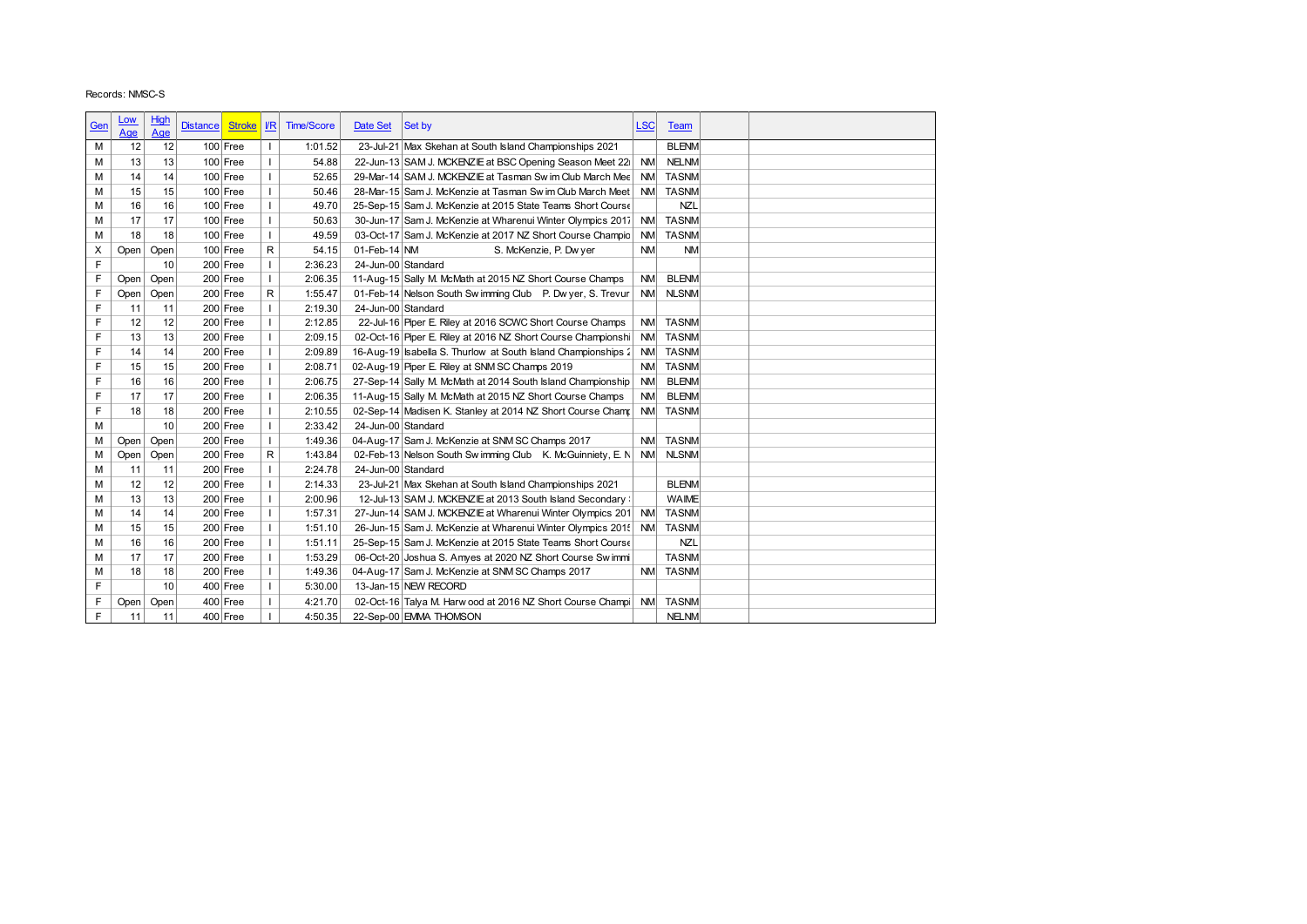| Records: NMSC-S<br>High<br><u>Low</u><br>$\sqrt{R}$<br><b>Time/Score</b><br>Date Set<br>Set by<br><b>LSC</b><br>Gen<br><b>Distance</b><br><b>Stroke</b><br><b>Team</b><br>Age<br><u>Age</u><br>$\overline{\phantom{a}}$<br><b>BLENM</b><br>12<br>12<br>$100$ Free<br>1:01.52<br>23-Jul-21 Max Skehan at South Island Championships 2021<br>М<br>$\mathbf{I}$<br><b>NELNM</b><br>13<br>$100$ Free<br>54.88<br>22-Jun-13 SAM J. MCKENZIE at BSC Opening Season Meet 22<br><b>NM</b><br>M<br>13<br>$\mathbf{I}$<br><b>TASNM</b><br>M<br>14<br>14<br>$100$ Free<br>52.65<br>29-Mar-14 SAM J. MCKENZIE at Tasman Sw im Club March Mee<br><b>NM</b><br>15<br>15<br>$100$ Free<br>$\mathbf{I}$<br>50.46<br>28-Mar-15 Sam J. McKenzie at Tasman Sw im Club March Meet<br><b>NM</b><br><b>TASNM</b><br>M<br>$100$ Free<br><b>NZL</b><br>M<br>16<br>$\mathbf{I}$<br>49.70<br>25-Sep-15 Sam J. McKenzie at 2015 State Teams Short Course<br>16<br>$\mathsf I$<br><b>TASNM</b><br>M<br>17<br>17<br>$100$ Free<br>30-Jun-17 Sam J. McKenzie at Wharenui Winter Olympics 2017<br><b>NM</b><br>50.63<br><b>TASNM</b><br>18<br>$100$ Free<br>$\mathbf{I}$<br>49.59<br>03-Oct-17 Sam J. McKenzie at 2017 NZ Short Course Champio<br><b>NM</b><br>М<br>18<br>${\sf R}$<br>$100$ Free<br>01-Feb-14 NM<br>54.15<br>S. McKenzie, P. Dw yer<br><b>NM</b><br><b>NM</b><br>Open<br>Open<br>х<br>F<br>$200$ Free<br>10<br>$\mathbf{I}$<br>2:36.23<br>24-Jun-00 Standard<br>F<br>$200$ Free<br>$\mathbf{I}$<br><b>BLENM</b><br>11-Aug-15 Sally M. McMath at 2015 NZ Short Course Champs<br><b>NM</b><br>Open<br>Open<br>2:06.35<br>F<br>$\mathsf R$<br>$200$ Free<br>01-Feb-14 Nelson South Sw imming Club P. Dw yer, S. Trevur.<br><b>NM</b><br><b>NLSNM</b><br>Open<br>Open<br>1:55.47<br>F<br>$\mathbf{I}$<br>$200$ Free<br>2:19.30<br>24-Jun-00 Standard<br>11<br>11<br>F<br><b>TASNM</b><br>12<br>12<br>$200$ Free<br>$\mathbf{I}$<br>2:12.85<br>22-Jul-16 Piper E. Riley at 2016 SCWC Short Course Champs<br><b>NM</b><br>F<br><b>TASNM</b><br>13<br>13<br>$200$ Free<br>$\mathbf{I}$<br>2:09.15<br>02-Oct-16 Piper E. Riley at 2016 NZ Short Course Championshi<br><b>NM</b><br>F<br>$200$ Free<br>$\mathbf{I}$<br>16-Aug-19 Isabella S. Thurlow at South Island Championships 2<br><b>TASNM</b><br>2:09.89<br><b>NM</b><br>14<br>14<br>F<br>02-Aug-19 Piper E. Riley at SNM SC Champs 2019<br><b>TASNM</b><br>15<br>15<br>$200$ Free<br>$\mathbf{I}$<br>2:08.71<br><b>NM</b><br>F<br>$\mathbf{I}$<br><b>BLENM</b><br>16<br>16<br>200 Free<br>2:06.75<br>27-Sep-14 Sally M. McMath at 2014 South Island Championship<br><b>NM</b><br>F<br><b>BLENM</b><br>17<br>17<br>$200$ Free<br>$\mathbf{I}$<br>2:06.35<br>11-Aug-15 Sally M. McMath at 2015 NZ Short Course Champs<br><b>NM</b><br>F<br>18<br>18<br>$200$ Free<br>$\mathbf{I}$<br>2:10.55<br>02-Sep-14 Madisen K. Stanley at 2014 NZ Short Course Champ<br><b>NM</b><br><b>TASNM</b><br>M<br>10<br>$200$ Free<br>$\mathbf{I}$<br>2:33.42<br>24-Jun-00 Standard<br>04-Aug-17 Sam J. McKenzie at SNM SC Champs 2017<br>$200$ Free<br>1:49.36<br><b>TASNM</b><br>М<br>Open<br>Open<br>$\mathbf{I}$<br><b>NM</b><br>$\mathsf{R}$<br>М<br>Open<br>200 Free<br>1:43.84<br>02-Feb-13 Nelson South Sw imming Club K. McGuinniety, E. N<br><b>NM</b><br><b>NLSNM</b><br>Open<br>M<br>11<br>11<br>$200$ Free<br>$\mathbf{I}$<br>2:24.78<br>24-Jun-00 Standard<br><b>BLENM</b><br>M<br>12<br>12<br>$200$ Free<br>$\mathbf{I}$<br>2:14.33<br>23-Jul-21 Max Skehan at South Island Championships 2021<br>WAIME<br>13<br>13<br>$200$ Free<br>2:00.96<br>12-Jul-13 SAM J. MCKENZIE at 2013 South Island Secondary :<br>M<br><b>TASNM</b><br>М<br>14<br>$200$ Free<br>$\mathbf{I}$<br>1:57.31<br>27-Jun-14 SAM J. MCKENZIE at Wharenui Winter Olympics 201 NM<br>14<br><b>TASNM</b><br>М<br>15<br>$200$ Free<br>26-Jun-15 Sam J. McKenzie at Wharenui Winter Olympics 2015 NM<br>15<br>$\mathbf{I}$<br>1:51.10<br><b>NZL</b><br>16<br>16<br>$200$ Free<br>1:51.11<br>25-Sep-15 Sam J. McKenzie at 2015 State Teams Short Course<br>М<br>$\mathbf{I}$<br><b>TASNM</b><br>M<br>17<br>$200$ Free<br>1:53.29<br>06-Oct-20 Joshua S. Amyes at 2020 NZ Short Course Swimmi<br>17<br>$\mathbf{I}$<br>NM TASNM<br>М<br>18<br>$200$ Free<br>1:49.36<br>04-Aug-17 Sam J. McKenzie at SNM SC Champs 2017<br>18<br>$\mathbf{I}$<br>F<br>10<br>$400$ Free<br>5:30.00<br>13-Jan-15 NEW RECORD<br>$\mathbf{I}$<br>F<br>02-Oct-16 Talya M. Harw ood at 2016 NZ Short Course Champi NM TASNM<br>400 Free<br>4:21.70<br>Open<br>Open<br>$\mathsf{F}$<br>$400$ Free<br><b>NELNM</b><br>11<br>11<br>4:50.35<br>22-Sep-00 EMMA THOMSON |  |  |  |  |  |  |
|-------------------------------------------------------------------------------------------------------------------------------------------------------------------------------------------------------------------------------------------------------------------------------------------------------------------------------------------------------------------------------------------------------------------------------------------------------------------------------------------------------------------------------------------------------------------------------------------------------------------------------------------------------------------------------------------------------------------------------------------------------------------------------------------------------------------------------------------------------------------------------------------------------------------------------------------------------------------------------------------------------------------------------------------------------------------------------------------------------------------------------------------------------------------------------------------------------------------------------------------------------------------------------------------------------------------------------------------------------------------------------------------------------------------------------------------------------------------------------------------------------------------------------------------------------------------------------------------------------------------------------------------------------------------------------------------------------------------------------------------------------------------------------------------------------------------------------------------------------------------------------------------------------------------------------------------------------------------------------------------------------------------------------------------------------------------------------------------------------------------------------------------------------------------------------------------------------------------------------------------------------------------------------------------------------------------------------------------------------------------------------------------------------------------------------------------------------------------------------------------------------------------------------------------------------------------------------------------------------------------------------------------------------------------------------------------------------------------------------------------------------------------------------------------------------------------------------------------------------------------------------------------------------------------------------------------------------------------------------------------------------------------------------------------------------------------------------------------------------------------------------------------------------------------------------------------------------------------------------------------------------------------------------------------------------------------------------------------------------------------------------------------------------------------------------------------------------------------------------------------------------------------------------------------------------------------------------------------------------------------------------------------------------------------------------------------------------------------------------------------------------------------------------------------------------------------------------------------------------------------------------------------------------------------------------------------------------------------------------------------------------------------------------------------------------------------------------------------------------------------------------------------------------------------------------------------------------------------------------------------------------------------------------------------------------------------------------------------------------------------------------------------------------------------------------------------------------------------------------------------------------------------------------------------------------------------------------------------------------------------------------------|--|--|--|--|--|--|
|                                                                                                                                                                                                                                                                                                                                                                                                                                                                                                                                                                                                                                                                                                                                                                                                                                                                                                                                                                                                                                                                                                                                                                                                                                                                                                                                                                                                                                                                                                                                                                                                                                                                                                                                                                                                                                                                                                                                                                                                                                                                                                                                                                                                                                                                                                                                                                                                                                                                                                                                                                                                                                                                                                                                                                                                                                                                                                                                                                                                                                                                                                                                                                                                                                                                                                                                                                                                                                                                                                                                                                                                                                                                                                                                                                                                                                                                                                                                                                                                                                                                                                                                                                                                                                                                                                                                                                                                                                                                                                                                                                                                                                     |  |  |  |  |  |  |
|                                                                                                                                                                                                                                                                                                                                                                                                                                                                                                                                                                                                                                                                                                                                                                                                                                                                                                                                                                                                                                                                                                                                                                                                                                                                                                                                                                                                                                                                                                                                                                                                                                                                                                                                                                                                                                                                                                                                                                                                                                                                                                                                                                                                                                                                                                                                                                                                                                                                                                                                                                                                                                                                                                                                                                                                                                                                                                                                                                                                                                                                                                                                                                                                                                                                                                                                                                                                                                                                                                                                                                                                                                                                                                                                                                                                                                                                                                                                                                                                                                                                                                                                                                                                                                                                                                                                                                                                                                                                                                                                                                                                                                     |  |  |  |  |  |  |
|                                                                                                                                                                                                                                                                                                                                                                                                                                                                                                                                                                                                                                                                                                                                                                                                                                                                                                                                                                                                                                                                                                                                                                                                                                                                                                                                                                                                                                                                                                                                                                                                                                                                                                                                                                                                                                                                                                                                                                                                                                                                                                                                                                                                                                                                                                                                                                                                                                                                                                                                                                                                                                                                                                                                                                                                                                                                                                                                                                                                                                                                                                                                                                                                                                                                                                                                                                                                                                                                                                                                                                                                                                                                                                                                                                                                                                                                                                                                                                                                                                                                                                                                                                                                                                                                                                                                                                                                                                                                                                                                                                                                                                     |  |  |  |  |  |  |
|                                                                                                                                                                                                                                                                                                                                                                                                                                                                                                                                                                                                                                                                                                                                                                                                                                                                                                                                                                                                                                                                                                                                                                                                                                                                                                                                                                                                                                                                                                                                                                                                                                                                                                                                                                                                                                                                                                                                                                                                                                                                                                                                                                                                                                                                                                                                                                                                                                                                                                                                                                                                                                                                                                                                                                                                                                                                                                                                                                                                                                                                                                                                                                                                                                                                                                                                                                                                                                                                                                                                                                                                                                                                                                                                                                                                                                                                                                                                                                                                                                                                                                                                                                                                                                                                                                                                                                                                                                                                                                                                                                                                                                     |  |  |  |  |  |  |
|                                                                                                                                                                                                                                                                                                                                                                                                                                                                                                                                                                                                                                                                                                                                                                                                                                                                                                                                                                                                                                                                                                                                                                                                                                                                                                                                                                                                                                                                                                                                                                                                                                                                                                                                                                                                                                                                                                                                                                                                                                                                                                                                                                                                                                                                                                                                                                                                                                                                                                                                                                                                                                                                                                                                                                                                                                                                                                                                                                                                                                                                                                                                                                                                                                                                                                                                                                                                                                                                                                                                                                                                                                                                                                                                                                                                                                                                                                                                                                                                                                                                                                                                                                                                                                                                                                                                                                                                                                                                                                                                                                                                                                     |  |  |  |  |  |  |
|                                                                                                                                                                                                                                                                                                                                                                                                                                                                                                                                                                                                                                                                                                                                                                                                                                                                                                                                                                                                                                                                                                                                                                                                                                                                                                                                                                                                                                                                                                                                                                                                                                                                                                                                                                                                                                                                                                                                                                                                                                                                                                                                                                                                                                                                                                                                                                                                                                                                                                                                                                                                                                                                                                                                                                                                                                                                                                                                                                                                                                                                                                                                                                                                                                                                                                                                                                                                                                                                                                                                                                                                                                                                                                                                                                                                                                                                                                                                                                                                                                                                                                                                                                                                                                                                                                                                                                                                                                                                                                                                                                                                                                     |  |  |  |  |  |  |
|                                                                                                                                                                                                                                                                                                                                                                                                                                                                                                                                                                                                                                                                                                                                                                                                                                                                                                                                                                                                                                                                                                                                                                                                                                                                                                                                                                                                                                                                                                                                                                                                                                                                                                                                                                                                                                                                                                                                                                                                                                                                                                                                                                                                                                                                                                                                                                                                                                                                                                                                                                                                                                                                                                                                                                                                                                                                                                                                                                                                                                                                                                                                                                                                                                                                                                                                                                                                                                                                                                                                                                                                                                                                                                                                                                                                                                                                                                                                                                                                                                                                                                                                                                                                                                                                                                                                                                                                                                                                                                                                                                                                                                     |  |  |  |  |  |  |
|                                                                                                                                                                                                                                                                                                                                                                                                                                                                                                                                                                                                                                                                                                                                                                                                                                                                                                                                                                                                                                                                                                                                                                                                                                                                                                                                                                                                                                                                                                                                                                                                                                                                                                                                                                                                                                                                                                                                                                                                                                                                                                                                                                                                                                                                                                                                                                                                                                                                                                                                                                                                                                                                                                                                                                                                                                                                                                                                                                                                                                                                                                                                                                                                                                                                                                                                                                                                                                                                                                                                                                                                                                                                                                                                                                                                                                                                                                                                                                                                                                                                                                                                                                                                                                                                                                                                                                                                                                                                                                                                                                                                                                     |  |  |  |  |  |  |
|                                                                                                                                                                                                                                                                                                                                                                                                                                                                                                                                                                                                                                                                                                                                                                                                                                                                                                                                                                                                                                                                                                                                                                                                                                                                                                                                                                                                                                                                                                                                                                                                                                                                                                                                                                                                                                                                                                                                                                                                                                                                                                                                                                                                                                                                                                                                                                                                                                                                                                                                                                                                                                                                                                                                                                                                                                                                                                                                                                                                                                                                                                                                                                                                                                                                                                                                                                                                                                                                                                                                                                                                                                                                                                                                                                                                                                                                                                                                                                                                                                                                                                                                                                                                                                                                                                                                                                                                                                                                                                                                                                                                                                     |  |  |  |  |  |  |
|                                                                                                                                                                                                                                                                                                                                                                                                                                                                                                                                                                                                                                                                                                                                                                                                                                                                                                                                                                                                                                                                                                                                                                                                                                                                                                                                                                                                                                                                                                                                                                                                                                                                                                                                                                                                                                                                                                                                                                                                                                                                                                                                                                                                                                                                                                                                                                                                                                                                                                                                                                                                                                                                                                                                                                                                                                                                                                                                                                                                                                                                                                                                                                                                                                                                                                                                                                                                                                                                                                                                                                                                                                                                                                                                                                                                                                                                                                                                                                                                                                                                                                                                                                                                                                                                                                                                                                                                                                                                                                                                                                                                                                     |  |  |  |  |  |  |
|                                                                                                                                                                                                                                                                                                                                                                                                                                                                                                                                                                                                                                                                                                                                                                                                                                                                                                                                                                                                                                                                                                                                                                                                                                                                                                                                                                                                                                                                                                                                                                                                                                                                                                                                                                                                                                                                                                                                                                                                                                                                                                                                                                                                                                                                                                                                                                                                                                                                                                                                                                                                                                                                                                                                                                                                                                                                                                                                                                                                                                                                                                                                                                                                                                                                                                                                                                                                                                                                                                                                                                                                                                                                                                                                                                                                                                                                                                                                                                                                                                                                                                                                                                                                                                                                                                                                                                                                                                                                                                                                                                                                                                     |  |  |  |  |  |  |
|                                                                                                                                                                                                                                                                                                                                                                                                                                                                                                                                                                                                                                                                                                                                                                                                                                                                                                                                                                                                                                                                                                                                                                                                                                                                                                                                                                                                                                                                                                                                                                                                                                                                                                                                                                                                                                                                                                                                                                                                                                                                                                                                                                                                                                                                                                                                                                                                                                                                                                                                                                                                                                                                                                                                                                                                                                                                                                                                                                                                                                                                                                                                                                                                                                                                                                                                                                                                                                                                                                                                                                                                                                                                                                                                                                                                                                                                                                                                                                                                                                                                                                                                                                                                                                                                                                                                                                                                                                                                                                                                                                                                                                     |  |  |  |  |  |  |
|                                                                                                                                                                                                                                                                                                                                                                                                                                                                                                                                                                                                                                                                                                                                                                                                                                                                                                                                                                                                                                                                                                                                                                                                                                                                                                                                                                                                                                                                                                                                                                                                                                                                                                                                                                                                                                                                                                                                                                                                                                                                                                                                                                                                                                                                                                                                                                                                                                                                                                                                                                                                                                                                                                                                                                                                                                                                                                                                                                                                                                                                                                                                                                                                                                                                                                                                                                                                                                                                                                                                                                                                                                                                                                                                                                                                                                                                                                                                                                                                                                                                                                                                                                                                                                                                                                                                                                                                                                                                                                                                                                                                                                     |  |  |  |  |  |  |
|                                                                                                                                                                                                                                                                                                                                                                                                                                                                                                                                                                                                                                                                                                                                                                                                                                                                                                                                                                                                                                                                                                                                                                                                                                                                                                                                                                                                                                                                                                                                                                                                                                                                                                                                                                                                                                                                                                                                                                                                                                                                                                                                                                                                                                                                                                                                                                                                                                                                                                                                                                                                                                                                                                                                                                                                                                                                                                                                                                                                                                                                                                                                                                                                                                                                                                                                                                                                                                                                                                                                                                                                                                                                                                                                                                                                                                                                                                                                                                                                                                                                                                                                                                                                                                                                                                                                                                                                                                                                                                                                                                                                                                     |  |  |  |  |  |  |
|                                                                                                                                                                                                                                                                                                                                                                                                                                                                                                                                                                                                                                                                                                                                                                                                                                                                                                                                                                                                                                                                                                                                                                                                                                                                                                                                                                                                                                                                                                                                                                                                                                                                                                                                                                                                                                                                                                                                                                                                                                                                                                                                                                                                                                                                                                                                                                                                                                                                                                                                                                                                                                                                                                                                                                                                                                                                                                                                                                                                                                                                                                                                                                                                                                                                                                                                                                                                                                                                                                                                                                                                                                                                                                                                                                                                                                                                                                                                                                                                                                                                                                                                                                                                                                                                                                                                                                                                                                                                                                                                                                                                                                     |  |  |  |  |  |  |
|                                                                                                                                                                                                                                                                                                                                                                                                                                                                                                                                                                                                                                                                                                                                                                                                                                                                                                                                                                                                                                                                                                                                                                                                                                                                                                                                                                                                                                                                                                                                                                                                                                                                                                                                                                                                                                                                                                                                                                                                                                                                                                                                                                                                                                                                                                                                                                                                                                                                                                                                                                                                                                                                                                                                                                                                                                                                                                                                                                                                                                                                                                                                                                                                                                                                                                                                                                                                                                                                                                                                                                                                                                                                                                                                                                                                                                                                                                                                                                                                                                                                                                                                                                                                                                                                                                                                                                                                                                                                                                                                                                                                                                     |  |  |  |  |  |  |
|                                                                                                                                                                                                                                                                                                                                                                                                                                                                                                                                                                                                                                                                                                                                                                                                                                                                                                                                                                                                                                                                                                                                                                                                                                                                                                                                                                                                                                                                                                                                                                                                                                                                                                                                                                                                                                                                                                                                                                                                                                                                                                                                                                                                                                                                                                                                                                                                                                                                                                                                                                                                                                                                                                                                                                                                                                                                                                                                                                                                                                                                                                                                                                                                                                                                                                                                                                                                                                                                                                                                                                                                                                                                                                                                                                                                                                                                                                                                                                                                                                                                                                                                                                                                                                                                                                                                                                                                                                                                                                                                                                                                                                     |  |  |  |  |  |  |
|                                                                                                                                                                                                                                                                                                                                                                                                                                                                                                                                                                                                                                                                                                                                                                                                                                                                                                                                                                                                                                                                                                                                                                                                                                                                                                                                                                                                                                                                                                                                                                                                                                                                                                                                                                                                                                                                                                                                                                                                                                                                                                                                                                                                                                                                                                                                                                                                                                                                                                                                                                                                                                                                                                                                                                                                                                                                                                                                                                                                                                                                                                                                                                                                                                                                                                                                                                                                                                                                                                                                                                                                                                                                                                                                                                                                                                                                                                                                                                                                                                                                                                                                                                                                                                                                                                                                                                                                                                                                                                                                                                                                                                     |  |  |  |  |  |  |
|                                                                                                                                                                                                                                                                                                                                                                                                                                                                                                                                                                                                                                                                                                                                                                                                                                                                                                                                                                                                                                                                                                                                                                                                                                                                                                                                                                                                                                                                                                                                                                                                                                                                                                                                                                                                                                                                                                                                                                                                                                                                                                                                                                                                                                                                                                                                                                                                                                                                                                                                                                                                                                                                                                                                                                                                                                                                                                                                                                                                                                                                                                                                                                                                                                                                                                                                                                                                                                                                                                                                                                                                                                                                                                                                                                                                                                                                                                                                                                                                                                                                                                                                                                                                                                                                                                                                                                                                                                                                                                                                                                                                                                     |  |  |  |  |  |  |
|                                                                                                                                                                                                                                                                                                                                                                                                                                                                                                                                                                                                                                                                                                                                                                                                                                                                                                                                                                                                                                                                                                                                                                                                                                                                                                                                                                                                                                                                                                                                                                                                                                                                                                                                                                                                                                                                                                                                                                                                                                                                                                                                                                                                                                                                                                                                                                                                                                                                                                                                                                                                                                                                                                                                                                                                                                                                                                                                                                                                                                                                                                                                                                                                                                                                                                                                                                                                                                                                                                                                                                                                                                                                                                                                                                                                                                                                                                                                                                                                                                                                                                                                                                                                                                                                                                                                                                                                                                                                                                                                                                                                                                     |  |  |  |  |  |  |
|                                                                                                                                                                                                                                                                                                                                                                                                                                                                                                                                                                                                                                                                                                                                                                                                                                                                                                                                                                                                                                                                                                                                                                                                                                                                                                                                                                                                                                                                                                                                                                                                                                                                                                                                                                                                                                                                                                                                                                                                                                                                                                                                                                                                                                                                                                                                                                                                                                                                                                                                                                                                                                                                                                                                                                                                                                                                                                                                                                                                                                                                                                                                                                                                                                                                                                                                                                                                                                                                                                                                                                                                                                                                                                                                                                                                                                                                                                                                                                                                                                                                                                                                                                                                                                                                                                                                                                                                                                                                                                                                                                                                                                     |  |  |  |  |  |  |
|                                                                                                                                                                                                                                                                                                                                                                                                                                                                                                                                                                                                                                                                                                                                                                                                                                                                                                                                                                                                                                                                                                                                                                                                                                                                                                                                                                                                                                                                                                                                                                                                                                                                                                                                                                                                                                                                                                                                                                                                                                                                                                                                                                                                                                                                                                                                                                                                                                                                                                                                                                                                                                                                                                                                                                                                                                                                                                                                                                                                                                                                                                                                                                                                                                                                                                                                                                                                                                                                                                                                                                                                                                                                                                                                                                                                                                                                                                                                                                                                                                                                                                                                                                                                                                                                                                                                                                                                                                                                                                                                                                                                                                     |  |  |  |  |  |  |
|                                                                                                                                                                                                                                                                                                                                                                                                                                                                                                                                                                                                                                                                                                                                                                                                                                                                                                                                                                                                                                                                                                                                                                                                                                                                                                                                                                                                                                                                                                                                                                                                                                                                                                                                                                                                                                                                                                                                                                                                                                                                                                                                                                                                                                                                                                                                                                                                                                                                                                                                                                                                                                                                                                                                                                                                                                                                                                                                                                                                                                                                                                                                                                                                                                                                                                                                                                                                                                                                                                                                                                                                                                                                                                                                                                                                                                                                                                                                                                                                                                                                                                                                                                                                                                                                                                                                                                                                                                                                                                                                                                                                                                     |  |  |  |  |  |  |
|                                                                                                                                                                                                                                                                                                                                                                                                                                                                                                                                                                                                                                                                                                                                                                                                                                                                                                                                                                                                                                                                                                                                                                                                                                                                                                                                                                                                                                                                                                                                                                                                                                                                                                                                                                                                                                                                                                                                                                                                                                                                                                                                                                                                                                                                                                                                                                                                                                                                                                                                                                                                                                                                                                                                                                                                                                                                                                                                                                                                                                                                                                                                                                                                                                                                                                                                                                                                                                                                                                                                                                                                                                                                                                                                                                                                                                                                                                                                                                                                                                                                                                                                                                                                                                                                                                                                                                                                                                                                                                                                                                                                                                     |  |  |  |  |  |  |
|                                                                                                                                                                                                                                                                                                                                                                                                                                                                                                                                                                                                                                                                                                                                                                                                                                                                                                                                                                                                                                                                                                                                                                                                                                                                                                                                                                                                                                                                                                                                                                                                                                                                                                                                                                                                                                                                                                                                                                                                                                                                                                                                                                                                                                                                                                                                                                                                                                                                                                                                                                                                                                                                                                                                                                                                                                                                                                                                                                                                                                                                                                                                                                                                                                                                                                                                                                                                                                                                                                                                                                                                                                                                                                                                                                                                                                                                                                                                                                                                                                                                                                                                                                                                                                                                                                                                                                                                                                                                                                                                                                                                                                     |  |  |  |  |  |  |
|                                                                                                                                                                                                                                                                                                                                                                                                                                                                                                                                                                                                                                                                                                                                                                                                                                                                                                                                                                                                                                                                                                                                                                                                                                                                                                                                                                                                                                                                                                                                                                                                                                                                                                                                                                                                                                                                                                                                                                                                                                                                                                                                                                                                                                                                                                                                                                                                                                                                                                                                                                                                                                                                                                                                                                                                                                                                                                                                                                                                                                                                                                                                                                                                                                                                                                                                                                                                                                                                                                                                                                                                                                                                                                                                                                                                                                                                                                                                                                                                                                                                                                                                                                                                                                                                                                                                                                                                                                                                                                                                                                                                                                     |  |  |  |  |  |  |
|                                                                                                                                                                                                                                                                                                                                                                                                                                                                                                                                                                                                                                                                                                                                                                                                                                                                                                                                                                                                                                                                                                                                                                                                                                                                                                                                                                                                                                                                                                                                                                                                                                                                                                                                                                                                                                                                                                                                                                                                                                                                                                                                                                                                                                                                                                                                                                                                                                                                                                                                                                                                                                                                                                                                                                                                                                                                                                                                                                                                                                                                                                                                                                                                                                                                                                                                                                                                                                                                                                                                                                                                                                                                                                                                                                                                                                                                                                                                                                                                                                                                                                                                                                                                                                                                                                                                                                                                                                                                                                                                                                                                                                     |  |  |  |  |  |  |
|                                                                                                                                                                                                                                                                                                                                                                                                                                                                                                                                                                                                                                                                                                                                                                                                                                                                                                                                                                                                                                                                                                                                                                                                                                                                                                                                                                                                                                                                                                                                                                                                                                                                                                                                                                                                                                                                                                                                                                                                                                                                                                                                                                                                                                                                                                                                                                                                                                                                                                                                                                                                                                                                                                                                                                                                                                                                                                                                                                                                                                                                                                                                                                                                                                                                                                                                                                                                                                                                                                                                                                                                                                                                                                                                                                                                                                                                                                                                                                                                                                                                                                                                                                                                                                                                                                                                                                                                                                                                                                                                                                                                                                     |  |  |  |  |  |  |
|                                                                                                                                                                                                                                                                                                                                                                                                                                                                                                                                                                                                                                                                                                                                                                                                                                                                                                                                                                                                                                                                                                                                                                                                                                                                                                                                                                                                                                                                                                                                                                                                                                                                                                                                                                                                                                                                                                                                                                                                                                                                                                                                                                                                                                                                                                                                                                                                                                                                                                                                                                                                                                                                                                                                                                                                                                                                                                                                                                                                                                                                                                                                                                                                                                                                                                                                                                                                                                                                                                                                                                                                                                                                                                                                                                                                                                                                                                                                                                                                                                                                                                                                                                                                                                                                                                                                                                                                                                                                                                                                                                                                                                     |  |  |  |  |  |  |
|                                                                                                                                                                                                                                                                                                                                                                                                                                                                                                                                                                                                                                                                                                                                                                                                                                                                                                                                                                                                                                                                                                                                                                                                                                                                                                                                                                                                                                                                                                                                                                                                                                                                                                                                                                                                                                                                                                                                                                                                                                                                                                                                                                                                                                                                                                                                                                                                                                                                                                                                                                                                                                                                                                                                                                                                                                                                                                                                                                                                                                                                                                                                                                                                                                                                                                                                                                                                                                                                                                                                                                                                                                                                                                                                                                                                                                                                                                                                                                                                                                                                                                                                                                                                                                                                                                                                                                                                                                                                                                                                                                                                                                     |  |  |  |  |  |  |
|                                                                                                                                                                                                                                                                                                                                                                                                                                                                                                                                                                                                                                                                                                                                                                                                                                                                                                                                                                                                                                                                                                                                                                                                                                                                                                                                                                                                                                                                                                                                                                                                                                                                                                                                                                                                                                                                                                                                                                                                                                                                                                                                                                                                                                                                                                                                                                                                                                                                                                                                                                                                                                                                                                                                                                                                                                                                                                                                                                                                                                                                                                                                                                                                                                                                                                                                                                                                                                                                                                                                                                                                                                                                                                                                                                                                                                                                                                                                                                                                                                                                                                                                                                                                                                                                                                                                                                                                                                                                                                                                                                                                                                     |  |  |  |  |  |  |
|                                                                                                                                                                                                                                                                                                                                                                                                                                                                                                                                                                                                                                                                                                                                                                                                                                                                                                                                                                                                                                                                                                                                                                                                                                                                                                                                                                                                                                                                                                                                                                                                                                                                                                                                                                                                                                                                                                                                                                                                                                                                                                                                                                                                                                                                                                                                                                                                                                                                                                                                                                                                                                                                                                                                                                                                                                                                                                                                                                                                                                                                                                                                                                                                                                                                                                                                                                                                                                                                                                                                                                                                                                                                                                                                                                                                                                                                                                                                                                                                                                                                                                                                                                                                                                                                                                                                                                                                                                                                                                                                                                                                                                     |  |  |  |  |  |  |
|                                                                                                                                                                                                                                                                                                                                                                                                                                                                                                                                                                                                                                                                                                                                                                                                                                                                                                                                                                                                                                                                                                                                                                                                                                                                                                                                                                                                                                                                                                                                                                                                                                                                                                                                                                                                                                                                                                                                                                                                                                                                                                                                                                                                                                                                                                                                                                                                                                                                                                                                                                                                                                                                                                                                                                                                                                                                                                                                                                                                                                                                                                                                                                                                                                                                                                                                                                                                                                                                                                                                                                                                                                                                                                                                                                                                                                                                                                                                                                                                                                                                                                                                                                                                                                                                                                                                                                                                                                                                                                                                                                                                                                     |  |  |  |  |  |  |
|                                                                                                                                                                                                                                                                                                                                                                                                                                                                                                                                                                                                                                                                                                                                                                                                                                                                                                                                                                                                                                                                                                                                                                                                                                                                                                                                                                                                                                                                                                                                                                                                                                                                                                                                                                                                                                                                                                                                                                                                                                                                                                                                                                                                                                                                                                                                                                                                                                                                                                                                                                                                                                                                                                                                                                                                                                                                                                                                                                                                                                                                                                                                                                                                                                                                                                                                                                                                                                                                                                                                                                                                                                                                                                                                                                                                                                                                                                                                                                                                                                                                                                                                                                                                                                                                                                                                                                                                                                                                                                                                                                                                                                     |  |  |  |  |  |  |
|                                                                                                                                                                                                                                                                                                                                                                                                                                                                                                                                                                                                                                                                                                                                                                                                                                                                                                                                                                                                                                                                                                                                                                                                                                                                                                                                                                                                                                                                                                                                                                                                                                                                                                                                                                                                                                                                                                                                                                                                                                                                                                                                                                                                                                                                                                                                                                                                                                                                                                                                                                                                                                                                                                                                                                                                                                                                                                                                                                                                                                                                                                                                                                                                                                                                                                                                                                                                                                                                                                                                                                                                                                                                                                                                                                                                                                                                                                                                                                                                                                                                                                                                                                                                                                                                                                                                                                                                                                                                                                                                                                                                                                     |  |  |  |  |  |  |
|                                                                                                                                                                                                                                                                                                                                                                                                                                                                                                                                                                                                                                                                                                                                                                                                                                                                                                                                                                                                                                                                                                                                                                                                                                                                                                                                                                                                                                                                                                                                                                                                                                                                                                                                                                                                                                                                                                                                                                                                                                                                                                                                                                                                                                                                                                                                                                                                                                                                                                                                                                                                                                                                                                                                                                                                                                                                                                                                                                                                                                                                                                                                                                                                                                                                                                                                                                                                                                                                                                                                                                                                                                                                                                                                                                                                                                                                                                                                                                                                                                                                                                                                                                                                                                                                                                                                                                                                                                                                                                                                                                                                                                     |  |  |  |  |  |  |
|                                                                                                                                                                                                                                                                                                                                                                                                                                                                                                                                                                                                                                                                                                                                                                                                                                                                                                                                                                                                                                                                                                                                                                                                                                                                                                                                                                                                                                                                                                                                                                                                                                                                                                                                                                                                                                                                                                                                                                                                                                                                                                                                                                                                                                                                                                                                                                                                                                                                                                                                                                                                                                                                                                                                                                                                                                                                                                                                                                                                                                                                                                                                                                                                                                                                                                                                                                                                                                                                                                                                                                                                                                                                                                                                                                                                                                                                                                                                                                                                                                                                                                                                                                                                                                                                                                                                                                                                                                                                                                                                                                                                                                     |  |  |  |  |  |  |
|                                                                                                                                                                                                                                                                                                                                                                                                                                                                                                                                                                                                                                                                                                                                                                                                                                                                                                                                                                                                                                                                                                                                                                                                                                                                                                                                                                                                                                                                                                                                                                                                                                                                                                                                                                                                                                                                                                                                                                                                                                                                                                                                                                                                                                                                                                                                                                                                                                                                                                                                                                                                                                                                                                                                                                                                                                                                                                                                                                                                                                                                                                                                                                                                                                                                                                                                                                                                                                                                                                                                                                                                                                                                                                                                                                                                                                                                                                                                                                                                                                                                                                                                                                                                                                                                                                                                                                                                                                                                                                                                                                                                                                     |  |  |  |  |  |  |
|                                                                                                                                                                                                                                                                                                                                                                                                                                                                                                                                                                                                                                                                                                                                                                                                                                                                                                                                                                                                                                                                                                                                                                                                                                                                                                                                                                                                                                                                                                                                                                                                                                                                                                                                                                                                                                                                                                                                                                                                                                                                                                                                                                                                                                                                                                                                                                                                                                                                                                                                                                                                                                                                                                                                                                                                                                                                                                                                                                                                                                                                                                                                                                                                                                                                                                                                                                                                                                                                                                                                                                                                                                                                                                                                                                                                                                                                                                                                                                                                                                                                                                                                                                                                                                                                                                                                                                                                                                                                                                                                                                                                                                     |  |  |  |  |  |  |
|                                                                                                                                                                                                                                                                                                                                                                                                                                                                                                                                                                                                                                                                                                                                                                                                                                                                                                                                                                                                                                                                                                                                                                                                                                                                                                                                                                                                                                                                                                                                                                                                                                                                                                                                                                                                                                                                                                                                                                                                                                                                                                                                                                                                                                                                                                                                                                                                                                                                                                                                                                                                                                                                                                                                                                                                                                                                                                                                                                                                                                                                                                                                                                                                                                                                                                                                                                                                                                                                                                                                                                                                                                                                                                                                                                                                                                                                                                                                                                                                                                                                                                                                                                                                                                                                                                                                                                                                                                                                                                                                                                                                                                     |  |  |  |  |  |  |
|                                                                                                                                                                                                                                                                                                                                                                                                                                                                                                                                                                                                                                                                                                                                                                                                                                                                                                                                                                                                                                                                                                                                                                                                                                                                                                                                                                                                                                                                                                                                                                                                                                                                                                                                                                                                                                                                                                                                                                                                                                                                                                                                                                                                                                                                                                                                                                                                                                                                                                                                                                                                                                                                                                                                                                                                                                                                                                                                                                                                                                                                                                                                                                                                                                                                                                                                                                                                                                                                                                                                                                                                                                                                                                                                                                                                                                                                                                                                                                                                                                                                                                                                                                                                                                                                                                                                                                                                                                                                                                                                                                                                                                     |  |  |  |  |  |  |
|                                                                                                                                                                                                                                                                                                                                                                                                                                                                                                                                                                                                                                                                                                                                                                                                                                                                                                                                                                                                                                                                                                                                                                                                                                                                                                                                                                                                                                                                                                                                                                                                                                                                                                                                                                                                                                                                                                                                                                                                                                                                                                                                                                                                                                                                                                                                                                                                                                                                                                                                                                                                                                                                                                                                                                                                                                                                                                                                                                                                                                                                                                                                                                                                                                                                                                                                                                                                                                                                                                                                                                                                                                                                                                                                                                                                                                                                                                                                                                                                                                                                                                                                                                                                                                                                                                                                                                                                                                                                                                                                                                                                                                     |  |  |  |  |  |  |
|                                                                                                                                                                                                                                                                                                                                                                                                                                                                                                                                                                                                                                                                                                                                                                                                                                                                                                                                                                                                                                                                                                                                                                                                                                                                                                                                                                                                                                                                                                                                                                                                                                                                                                                                                                                                                                                                                                                                                                                                                                                                                                                                                                                                                                                                                                                                                                                                                                                                                                                                                                                                                                                                                                                                                                                                                                                                                                                                                                                                                                                                                                                                                                                                                                                                                                                                                                                                                                                                                                                                                                                                                                                                                                                                                                                                                                                                                                                                                                                                                                                                                                                                                                                                                                                                                                                                                                                                                                                                                                                                                                                                                                     |  |  |  |  |  |  |
|                                                                                                                                                                                                                                                                                                                                                                                                                                                                                                                                                                                                                                                                                                                                                                                                                                                                                                                                                                                                                                                                                                                                                                                                                                                                                                                                                                                                                                                                                                                                                                                                                                                                                                                                                                                                                                                                                                                                                                                                                                                                                                                                                                                                                                                                                                                                                                                                                                                                                                                                                                                                                                                                                                                                                                                                                                                                                                                                                                                                                                                                                                                                                                                                                                                                                                                                                                                                                                                                                                                                                                                                                                                                                                                                                                                                                                                                                                                                                                                                                                                                                                                                                                                                                                                                                                                                                                                                                                                                                                                                                                                                                                     |  |  |  |  |  |  |
|                                                                                                                                                                                                                                                                                                                                                                                                                                                                                                                                                                                                                                                                                                                                                                                                                                                                                                                                                                                                                                                                                                                                                                                                                                                                                                                                                                                                                                                                                                                                                                                                                                                                                                                                                                                                                                                                                                                                                                                                                                                                                                                                                                                                                                                                                                                                                                                                                                                                                                                                                                                                                                                                                                                                                                                                                                                                                                                                                                                                                                                                                                                                                                                                                                                                                                                                                                                                                                                                                                                                                                                                                                                                                                                                                                                                                                                                                                                                                                                                                                                                                                                                                                                                                                                                                                                                                                                                                                                                                                                                                                                                                                     |  |  |  |  |  |  |
|                                                                                                                                                                                                                                                                                                                                                                                                                                                                                                                                                                                                                                                                                                                                                                                                                                                                                                                                                                                                                                                                                                                                                                                                                                                                                                                                                                                                                                                                                                                                                                                                                                                                                                                                                                                                                                                                                                                                                                                                                                                                                                                                                                                                                                                                                                                                                                                                                                                                                                                                                                                                                                                                                                                                                                                                                                                                                                                                                                                                                                                                                                                                                                                                                                                                                                                                                                                                                                                                                                                                                                                                                                                                                                                                                                                                                                                                                                                                                                                                                                                                                                                                                                                                                                                                                                                                                                                                                                                                                                                                                                                                                                     |  |  |  |  |  |  |
|                                                                                                                                                                                                                                                                                                                                                                                                                                                                                                                                                                                                                                                                                                                                                                                                                                                                                                                                                                                                                                                                                                                                                                                                                                                                                                                                                                                                                                                                                                                                                                                                                                                                                                                                                                                                                                                                                                                                                                                                                                                                                                                                                                                                                                                                                                                                                                                                                                                                                                                                                                                                                                                                                                                                                                                                                                                                                                                                                                                                                                                                                                                                                                                                                                                                                                                                                                                                                                                                                                                                                                                                                                                                                                                                                                                                                                                                                                                                                                                                                                                                                                                                                                                                                                                                                                                                                                                                                                                                                                                                                                                                                                     |  |  |  |  |  |  |
|                                                                                                                                                                                                                                                                                                                                                                                                                                                                                                                                                                                                                                                                                                                                                                                                                                                                                                                                                                                                                                                                                                                                                                                                                                                                                                                                                                                                                                                                                                                                                                                                                                                                                                                                                                                                                                                                                                                                                                                                                                                                                                                                                                                                                                                                                                                                                                                                                                                                                                                                                                                                                                                                                                                                                                                                                                                                                                                                                                                                                                                                                                                                                                                                                                                                                                                                                                                                                                                                                                                                                                                                                                                                                                                                                                                                                                                                                                                                                                                                                                                                                                                                                                                                                                                                                                                                                                                                                                                                                                                                                                                                                                     |  |  |  |  |  |  |
|                                                                                                                                                                                                                                                                                                                                                                                                                                                                                                                                                                                                                                                                                                                                                                                                                                                                                                                                                                                                                                                                                                                                                                                                                                                                                                                                                                                                                                                                                                                                                                                                                                                                                                                                                                                                                                                                                                                                                                                                                                                                                                                                                                                                                                                                                                                                                                                                                                                                                                                                                                                                                                                                                                                                                                                                                                                                                                                                                                                                                                                                                                                                                                                                                                                                                                                                                                                                                                                                                                                                                                                                                                                                                                                                                                                                                                                                                                                                                                                                                                                                                                                                                                                                                                                                                                                                                                                                                                                                                                                                                                                                                                     |  |  |  |  |  |  |
|                                                                                                                                                                                                                                                                                                                                                                                                                                                                                                                                                                                                                                                                                                                                                                                                                                                                                                                                                                                                                                                                                                                                                                                                                                                                                                                                                                                                                                                                                                                                                                                                                                                                                                                                                                                                                                                                                                                                                                                                                                                                                                                                                                                                                                                                                                                                                                                                                                                                                                                                                                                                                                                                                                                                                                                                                                                                                                                                                                                                                                                                                                                                                                                                                                                                                                                                                                                                                                                                                                                                                                                                                                                                                                                                                                                                                                                                                                                                                                                                                                                                                                                                                                                                                                                                                                                                                                                                                                                                                                                                                                                                                                     |  |  |  |  |  |  |
|                                                                                                                                                                                                                                                                                                                                                                                                                                                                                                                                                                                                                                                                                                                                                                                                                                                                                                                                                                                                                                                                                                                                                                                                                                                                                                                                                                                                                                                                                                                                                                                                                                                                                                                                                                                                                                                                                                                                                                                                                                                                                                                                                                                                                                                                                                                                                                                                                                                                                                                                                                                                                                                                                                                                                                                                                                                                                                                                                                                                                                                                                                                                                                                                                                                                                                                                                                                                                                                                                                                                                                                                                                                                                                                                                                                                                                                                                                                                                                                                                                                                                                                                                                                                                                                                                                                                                                                                                                                                                                                                                                                                                                     |  |  |  |  |  |  |
|                                                                                                                                                                                                                                                                                                                                                                                                                                                                                                                                                                                                                                                                                                                                                                                                                                                                                                                                                                                                                                                                                                                                                                                                                                                                                                                                                                                                                                                                                                                                                                                                                                                                                                                                                                                                                                                                                                                                                                                                                                                                                                                                                                                                                                                                                                                                                                                                                                                                                                                                                                                                                                                                                                                                                                                                                                                                                                                                                                                                                                                                                                                                                                                                                                                                                                                                                                                                                                                                                                                                                                                                                                                                                                                                                                                                                                                                                                                                                                                                                                                                                                                                                                                                                                                                                                                                                                                                                                                                                                                                                                                                                                     |  |  |  |  |  |  |
|                                                                                                                                                                                                                                                                                                                                                                                                                                                                                                                                                                                                                                                                                                                                                                                                                                                                                                                                                                                                                                                                                                                                                                                                                                                                                                                                                                                                                                                                                                                                                                                                                                                                                                                                                                                                                                                                                                                                                                                                                                                                                                                                                                                                                                                                                                                                                                                                                                                                                                                                                                                                                                                                                                                                                                                                                                                                                                                                                                                                                                                                                                                                                                                                                                                                                                                                                                                                                                                                                                                                                                                                                                                                                                                                                                                                                                                                                                                                                                                                                                                                                                                                                                                                                                                                                                                                                                                                                                                                                                                                                                                                                                     |  |  |  |  |  |  |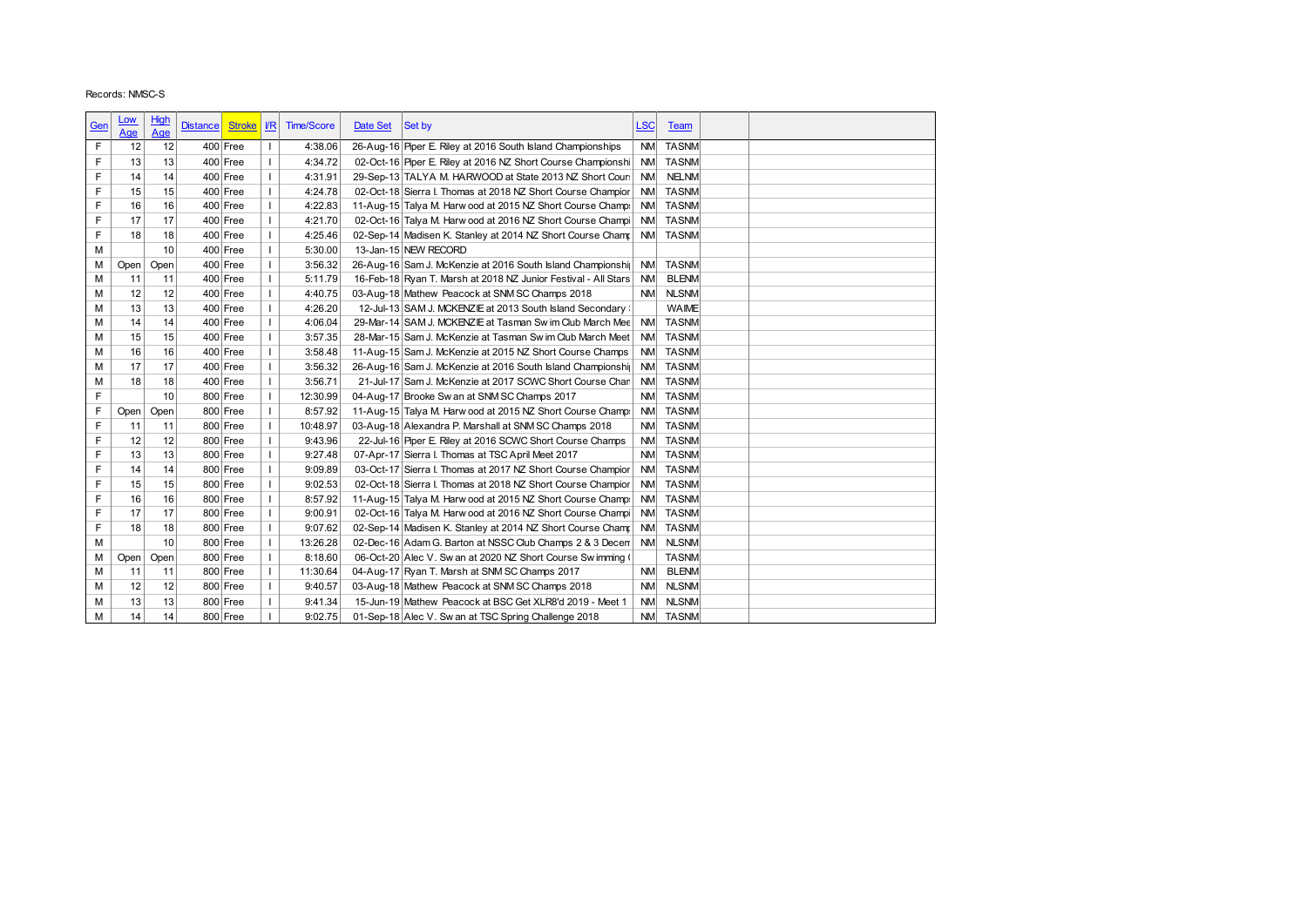|        |                                                                                            |                                                                                     |                                                                                                                                  |                      |                                                                                                                                                                                                                                                                                                                                                                         |                                                                               | Date Set                                                                                                                                                                           | Set by                                                                                                           |                                                                                                                                                                                                                                                                                                                                                                                                                              | <b>Team</b>                                                                                                                                                                                                                                                                                                                                                                                                                                                                                                                                                                                                                                                                                                                                                                                                                                                                                                                                                                                                                                                                                                                                                                                         |                                                                                                                                                                                                                                                                                                                                                                                                     |
|--------|--------------------------------------------------------------------------------------------|-------------------------------------------------------------------------------------|----------------------------------------------------------------------------------------------------------------------------------|----------------------|-------------------------------------------------------------------------------------------------------------------------------------------------------------------------------------------------------------------------------------------------------------------------------------------------------------------------------------------------------------------------|-------------------------------------------------------------------------------|------------------------------------------------------------------------------------------------------------------------------------------------------------------------------------|------------------------------------------------------------------------------------------------------------------|------------------------------------------------------------------------------------------------------------------------------------------------------------------------------------------------------------------------------------------------------------------------------------------------------------------------------------------------------------------------------------------------------------------------------|-----------------------------------------------------------------------------------------------------------------------------------------------------------------------------------------------------------------------------------------------------------------------------------------------------------------------------------------------------------------------------------------------------------------------------------------------------------------------------------------------------------------------------------------------------------------------------------------------------------------------------------------------------------------------------------------------------------------------------------------------------------------------------------------------------------------------------------------------------------------------------------------------------------------------------------------------------------------------------------------------------------------------------------------------------------------------------------------------------------------------------------------------------------------------------------------------------|-----------------------------------------------------------------------------------------------------------------------------------------------------------------------------------------------------------------------------------------------------------------------------------------------------------------------------------------------------------------------------------------------------|
|        |                                                                                            | 12                                                                                  |                                                                                                                                  |                      | $\mathbf{I}$                                                                                                                                                                                                                                                                                                                                                            | 4:38.06                                                                       |                                                                                                                                                                                    |                                                                                                                  |                                                                                                                                                                                                                                                                                                                                                                                                                              | <b>TASNM</b>                                                                                                                                                                                                                                                                                                                                                                                                                                                                                                                                                                                                                                                                                                                                                                                                                                                                                                                                                                                                                                                                                                                                                                                        |                                                                                                                                                                                                                                                                                                                                                                                                     |
| F      |                                                                                            | 13                                                                                  |                                                                                                                                  |                      | $\overline{1}$                                                                                                                                                                                                                                                                                                                                                          |                                                                               |                                                                                                                                                                                    |                                                                                                                  |                                                                                                                                                                                                                                                                                                                                                                                                                              | <b>TASNM</b>                                                                                                                                                                                                                                                                                                                                                                                                                                                                                                                                                                                                                                                                                                                                                                                                                                                                                                                                                                                                                                                                                                                                                                                        |                                                                                                                                                                                                                                                                                                                                                                                                     |
|        |                                                                                            |                                                                                     |                                                                                                                                  |                      |                                                                                                                                                                                                                                                                                                                                                                         |                                                                               |                                                                                                                                                                                    |                                                                                                                  |                                                                                                                                                                                                                                                                                                                                                                                                                              |                                                                                                                                                                                                                                                                                                                                                                                                                                                                                                                                                                                                                                                                                                                                                                                                                                                                                                                                                                                                                                                                                                                                                                                                     |                                                                                                                                                                                                                                                                                                                                                                                                     |
|        |                                                                                            |                                                                                     |                                                                                                                                  |                      |                                                                                                                                                                                                                                                                                                                                                                         |                                                                               |                                                                                                                                                                                    |                                                                                                                  |                                                                                                                                                                                                                                                                                                                                                                                                                              |                                                                                                                                                                                                                                                                                                                                                                                                                                                                                                                                                                                                                                                                                                                                                                                                                                                                                                                                                                                                                                                                                                                                                                                                     |                                                                                                                                                                                                                                                                                                                                                                                                     |
|        |                                                                                            |                                                                                     |                                                                                                                                  |                      |                                                                                                                                                                                                                                                                                                                                                                         |                                                                               |                                                                                                                                                                                    |                                                                                                                  |                                                                                                                                                                                                                                                                                                                                                                                                                              |                                                                                                                                                                                                                                                                                                                                                                                                                                                                                                                                                                                                                                                                                                                                                                                                                                                                                                                                                                                                                                                                                                                                                                                                     |                                                                                                                                                                                                                                                                                                                                                                                                     |
|        |                                                                                            |                                                                                     |                                                                                                                                  |                      | $\mathbf{I}$                                                                                                                                                                                                                                                                                                                                                            |                                                                               |                                                                                                                                                                                    |                                                                                                                  |                                                                                                                                                                                                                                                                                                                                                                                                                              |                                                                                                                                                                                                                                                                                                                                                                                                                                                                                                                                                                                                                                                                                                                                                                                                                                                                                                                                                                                                                                                                                                                                                                                                     |                                                                                                                                                                                                                                                                                                                                                                                                     |
|        |                                                                                            |                                                                                     |                                                                                                                                  |                      |                                                                                                                                                                                                                                                                                                                                                                         |                                                                               |                                                                                                                                                                                    |                                                                                                                  |                                                                                                                                                                                                                                                                                                                                                                                                                              |                                                                                                                                                                                                                                                                                                                                                                                                                                                                                                                                                                                                                                                                                                                                                                                                                                                                                                                                                                                                                                                                                                                                                                                                     |                                                                                                                                                                                                                                                                                                                                                                                                     |
|        |                                                                                            |                                                                                     |                                                                                                                                  |                      | $\mathbf{I}$                                                                                                                                                                                                                                                                                                                                                            |                                                                               |                                                                                                                                                                                    |                                                                                                                  |                                                                                                                                                                                                                                                                                                                                                                                                                              |                                                                                                                                                                                                                                                                                                                                                                                                                                                                                                                                                                                                                                                                                                                                                                                                                                                                                                                                                                                                                                                                                                                                                                                                     |                                                                                                                                                                                                                                                                                                                                                                                                     |
|        |                                                                                            |                                                                                     |                                                                                                                                  |                      | $\mathbf{I}$                                                                                                                                                                                                                                                                                                                                                            |                                                                               |                                                                                                                                                                                    |                                                                                                                  |                                                                                                                                                                                                                                                                                                                                                                                                                              |                                                                                                                                                                                                                                                                                                                                                                                                                                                                                                                                                                                                                                                                                                                                                                                                                                                                                                                                                                                                                                                                                                                                                                                                     |                                                                                                                                                                                                                                                                                                                                                                                                     |
|        |                                                                                            |                                                                                     |                                                                                                                                  |                      | $\mathbf{I}$                                                                                                                                                                                                                                                                                                                                                            |                                                                               |                                                                                                                                                                                    |                                                                                                                  |                                                                                                                                                                                                                                                                                                                                                                                                                              |                                                                                                                                                                                                                                                                                                                                                                                                                                                                                                                                                                                                                                                                                                                                                                                                                                                                                                                                                                                                                                                                                                                                                                                                     |                                                                                                                                                                                                                                                                                                                                                                                                     |
|        |                                                                                            |                                                                                     |                                                                                                                                  |                      | $\mathbf{I}$                                                                                                                                                                                                                                                                                                                                                            |                                                                               |                                                                                                                                                                                    |                                                                                                                  |                                                                                                                                                                                                                                                                                                                                                                                                                              |                                                                                                                                                                                                                                                                                                                                                                                                                                                                                                                                                                                                                                                                                                                                                                                                                                                                                                                                                                                                                                                                                                                                                                                                     |                                                                                                                                                                                                                                                                                                                                                                                                     |
|        |                                                                                            |                                                                                     |                                                                                                                                  |                      | $\mathbf{I}$                                                                                                                                                                                                                                                                                                                                                            |                                                                               |                                                                                                                                                                                    |                                                                                                                  |                                                                                                                                                                                                                                                                                                                                                                                                                              | <b>WAIME</b>                                                                                                                                                                                                                                                                                                                                                                                                                                                                                                                                                                                                                                                                                                                                                                                                                                                                                                                                                                                                                                                                                                                                                                                        |                                                                                                                                                                                                                                                                                                                                                                                                     |
|        | 14                                                                                         | 14                                                                                  |                                                                                                                                  |                      | $\mathbf{I}$                                                                                                                                                                                                                                                                                                                                                            |                                                                               |                                                                                                                                                                                    |                                                                                                                  |                                                                                                                                                                                                                                                                                                                                                                                                                              |                                                                                                                                                                                                                                                                                                                                                                                                                                                                                                                                                                                                                                                                                                                                                                                                                                                                                                                                                                                                                                                                                                                                                                                                     |                                                                                                                                                                                                                                                                                                                                                                                                     |
|        |                                                                                            | 15                                                                                  |                                                                                                                                  |                      | $\mathbf{I}$                                                                                                                                                                                                                                                                                                                                                            |                                                                               |                                                                                                                                                                                    |                                                                                                                  |                                                                                                                                                                                                                                                                                                                                                                                                                              | <b>TASNM</b>                                                                                                                                                                                                                                                                                                                                                                                                                                                                                                                                                                                                                                                                                                                                                                                                                                                                                                                                                                                                                                                                                                                                                                                        |                                                                                                                                                                                                                                                                                                                                                                                                     |
|        |                                                                                            | 16                                                                                  |                                                                                                                                  |                      | $\mathbf{I}$                                                                                                                                                                                                                                                                                                                                                            |                                                                               |                                                                                                                                                                                    |                                                                                                                  |                                                                                                                                                                                                                                                                                                                                                                                                                              | <b>TASNM</b>                                                                                                                                                                                                                                                                                                                                                                                                                                                                                                                                                                                                                                                                                                                                                                                                                                                                                                                                                                                                                                                                                                                                                                                        |                                                                                                                                                                                                                                                                                                                                                                                                     |
|        | 17                                                                                         | 17                                                                                  |                                                                                                                                  |                      | $\mathbf{I}$                                                                                                                                                                                                                                                                                                                                                            | 3:56.32                                                                       |                                                                                                                                                                                    |                                                                                                                  |                                                                                                                                                                                                                                                                                                                                                                                                                              | <b>TASNM</b>                                                                                                                                                                                                                                                                                                                                                                                                                                                                                                                                                                                                                                                                                                                                                                                                                                                                                                                                                                                                                                                                                                                                                                                        |                                                                                                                                                                                                                                                                                                                                                                                                     |
|        | 18                                                                                         | 18                                                                                  |                                                                                                                                  |                      | $\mathbf{I}$                                                                                                                                                                                                                                                                                                                                                            | 3:56.71                                                                       |                                                                                                                                                                                    |                                                                                                                  |                                                                                                                                                                                                                                                                                                                                                                                                                              | <b>TASNM</b>                                                                                                                                                                                                                                                                                                                                                                                                                                                                                                                                                                                                                                                                                                                                                                                                                                                                                                                                                                                                                                                                                                                                                                                        |                                                                                                                                                                                                                                                                                                                                                                                                     |
| F      |                                                                                            | 10                                                                                  |                                                                                                                                  |                      | $\mathbf{I}$                                                                                                                                                                                                                                                                                                                                                            | 12:30.99                                                                      |                                                                                                                                                                                    |                                                                                                                  |                                                                                                                                                                                                                                                                                                                                                                                                                              | <b>TASNM</b>                                                                                                                                                                                                                                                                                                                                                                                                                                                                                                                                                                                                                                                                                                                                                                                                                                                                                                                                                                                                                                                                                                                                                                                        |                                                                                                                                                                                                                                                                                                                                                                                                     |
| F      |                                                                                            | Open                                                                                |                                                                                                                                  |                      | $\mathbf{I}$                                                                                                                                                                                                                                                                                                                                                            | 8:57.92                                                                       |                                                                                                                                                                                    |                                                                                                                  |                                                                                                                                                                                                                                                                                                                                                                                                                              | <b>TASNM</b>                                                                                                                                                                                                                                                                                                                                                                                                                                                                                                                                                                                                                                                                                                                                                                                                                                                                                                                                                                                                                                                                                                                                                                                        |                                                                                                                                                                                                                                                                                                                                                                                                     |
| F      | 11                                                                                         | 11                                                                                  |                                                                                                                                  |                      | $\mathbf{I}$                                                                                                                                                                                                                                                                                                                                                            | 10:48.97                                                                      |                                                                                                                                                                                    |                                                                                                                  |                                                                                                                                                                                                                                                                                                                                                                                                                              |                                                                                                                                                                                                                                                                                                                                                                                                                                                                                                                                                                                                                                                                                                                                                                                                                                                                                                                                                                                                                                                                                                                                                                                                     |                                                                                                                                                                                                                                                                                                                                                                                                     |
| F      | 12                                                                                         | 12                                                                                  |                                                                                                                                  |                      | $\mathbf{I}$                                                                                                                                                                                                                                                                                                                                                            | 9:43.96                                                                       |                                                                                                                                                                                    |                                                                                                                  |                                                                                                                                                                                                                                                                                                                                                                                                                              | <b>TASNM</b>                                                                                                                                                                                                                                                                                                                                                                                                                                                                                                                                                                                                                                                                                                                                                                                                                                                                                                                                                                                                                                                                                                                                                                                        |                                                                                                                                                                                                                                                                                                                                                                                                     |
| F      | 13                                                                                         | 13                                                                                  |                                                                                                                                  |                      | $\mathbf{I}$                                                                                                                                                                                                                                                                                                                                                            | 9:27.48                                                                       |                                                                                                                                                                                    |                                                                                                                  |                                                                                                                                                                                                                                                                                                                                                                                                                              | <b>TASNM</b>                                                                                                                                                                                                                                                                                                                                                                                                                                                                                                                                                                                                                                                                                                                                                                                                                                                                                                                                                                                                                                                                                                                                                                                        |                                                                                                                                                                                                                                                                                                                                                                                                     |
| F      | 14                                                                                         | 14                                                                                  |                                                                                                                                  |                      | $\overline{1}$                                                                                                                                                                                                                                                                                                                                                          | 9:09.89                                                                       |                                                                                                                                                                                    |                                                                                                                  |                                                                                                                                                                                                                                                                                                                                                                                                                              | <b>TASNM</b>                                                                                                                                                                                                                                                                                                                                                                                                                                                                                                                                                                                                                                                                                                                                                                                                                                                                                                                                                                                                                                                                                                                                                                                        |                                                                                                                                                                                                                                                                                                                                                                                                     |
| F      | 15                                                                                         | 15                                                                                  |                                                                                                                                  |                      | -1                                                                                                                                                                                                                                                                                                                                                                      | 9:02.53                                                                       |                                                                                                                                                                                    |                                                                                                                  |                                                                                                                                                                                                                                                                                                                                                                                                                              | <b>TASNM</b>                                                                                                                                                                                                                                                                                                                                                                                                                                                                                                                                                                                                                                                                                                                                                                                                                                                                                                                                                                                                                                                                                                                                                                                        |                                                                                                                                                                                                                                                                                                                                                                                                     |
| F      | 16                                                                                         | 16                                                                                  |                                                                                                                                  |                      | $\mathbf{I}$                                                                                                                                                                                                                                                                                                                                                            | 8:57.92                                                                       |                                                                                                                                                                                    |                                                                                                                  |                                                                                                                                                                                                                                                                                                                                                                                                                              | TASNM                                                                                                                                                                                                                                                                                                                                                                                                                                                                                                                                                                                                                                                                                                                                                                                                                                                                                                                                                                                                                                                                                                                                                                                               |                                                                                                                                                                                                                                                                                                                                                                                                     |
| F      | 17                                                                                         | 17                                                                                  |                                                                                                                                  |                      | $\mathbf{I}$                                                                                                                                                                                                                                                                                                                                                            | 9:00.91                                                                       |                                                                                                                                                                                    |                                                                                                                  |                                                                                                                                                                                                                                                                                                                                                                                                                              |                                                                                                                                                                                                                                                                                                                                                                                                                                                                                                                                                                                                                                                                                                                                                                                                                                                                                                                                                                                                                                                                                                                                                                                                     |                                                                                                                                                                                                                                                                                                                                                                                                     |
| F      | 18                                                                                         | 18                                                                                  |                                                                                                                                  | 800 Free             |                                                                                                                                                                                                                                                                                                                                                                         | 9:07.62                                                                       |                                                                                                                                                                                    | 02-Sep-14 Madisen K. Stanley at 2014 NZ Short Course Champ                                                       | <b>NM</b>                                                                                                                                                                                                                                                                                                                                                                                                                    | <b>TASNM</b>                                                                                                                                                                                                                                                                                                                                                                                                                                                                                                                                                                                                                                                                                                                                                                                                                                                                                                                                                                                                                                                                                                                                                                                        |                                                                                                                                                                                                                                                                                                                                                                                                     |
|        |                                                                                            | 10                                                                                  |                                                                                                                                  | 800 Free             | $\mathbf{I}$                                                                                                                                                                                                                                                                                                                                                            | 13:26.28                                                                      |                                                                                                                                                                                    | 02-Dec-16 Adam G. Barton at NSSC Club Champs 2 & 3 Decen                                                         |                                                                                                                                                                                                                                                                                                                                                                                                                              | NM NLSNM                                                                                                                                                                                                                                                                                                                                                                                                                                                                                                                                                                                                                                                                                                                                                                                                                                                                                                                                                                                                                                                                                                                                                                                            |                                                                                                                                                                                                                                                                                                                                                                                                     |
| М      |                                                                                            |                                                                                     |                                                                                                                                  | 800 Free             |                                                                                                                                                                                                                                                                                                                                                                         | 8:18.60                                                                       |                                                                                                                                                                                    | 06-Oct-20 Alec V. Sw an at 2020 NZ Short Course Sw imming (                                                      |                                                                                                                                                                                                                                                                                                                                                                                                                              | <b>TASNM</b>                                                                                                                                                                                                                                                                                                                                                                                                                                                                                                                                                                                                                                                                                                                                                                                                                                                                                                                                                                                                                                                                                                                                                                                        |                                                                                                                                                                                                                                                                                                                                                                                                     |
| М      | Open                                                                                       | Open                                                                                |                                                                                                                                  |                      |                                                                                                                                                                                                                                                                                                                                                                         | 11:30.64                                                                      |                                                                                                                                                                                    | 04-Aug-17 Ryan T. Marsh at SNM SC Champs 2017                                                                    |                                                                                                                                                                                                                                                                                                                                                                                                                              | NM BLENM                                                                                                                                                                                                                                                                                                                                                                                                                                                                                                                                                                                                                                                                                                                                                                                                                                                                                                                                                                                                                                                                                                                                                                                            |                                                                                                                                                                                                                                                                                                                                                                                                     |
| M      | 11                                                                                         | 11                                                                                  |                                                                                                                                  | $800$ Free           |                                                                                                                                                                                                                                                                                                                                                                         |                                                                               |                                                                                                                                                                                    |                                                                                                                  |                                                                                                                                                                                                                                                                                                                                                                                                                              |                                                                                                                                                                                                                                                                                                                                                                                                                                                                                                                                                                                                                                                                                                                                                                                                                                                                                                                                                                                                                                                                                                                                                                                                     |                                                                                                                                                                                                                                                                                                                                                                                                     |
| М      | 12                                                                                         | 12                                                                                  |                                                                                                                                  | 800 Free             | $\mathbf{I}$                                                                                                                                                                                                                                                                                                                                                            | 9:40.57                                                                       |                                                                                                                                                                                    | 03-Aug-18 Mathew Peacock at SNM SC Champs 2018                                                                   |                                                                                                                                                                                                                                                                                                                                                                                                                              | NM NLSNM                                                                                                                                                                                                                                                                                                                                                                                                                                                                                                                                                                                                                                                                                                                                                                                                                                                                                                                                                                                                                                                                                                                                                                                            |                                                                                                                                                                                                                                                                                                                                                                                                     |
| М<br>M | 13<br>14                                                                                   | 13<br>14                                                                            |                                                                                                                                  | 800 Free<br>800 Free |                                                                                                                                                                                                                                                                                                                                                                         | 9:41.34<br>9:02.75                                                            |                                                                                                                                                                                    | 15-Jun-19 Mathew Peacock at BSC Get XLR8'd 2019 - Meet 1<br>01-Sep-18 Alec V. Sw an at TSC Spring Challenge 2018 |                                                                                                                                                                                                                                                                                                                                                                                                                              | NM NLSNM<br>NM TASNM                                                                                                                                                                                                                                                                                                                                                                                                                                                                                                                                                                                                                                                                                                                                                                                                                                                                                                                                                                                                                                                                                                                                                                                |                                                                                                                                                                                                                                                                                                                                                                                                     |
|        | <u>Gen</u><br>F<br>F<br>F<br>F<br>F<br>F<br>M<br>М<br>M<br>M<br>M<br>M<br>M<br>м<br>M<br>M | <u>Low</u><br>Age<br>13<br>14<br>15<br>16<br>17<br>18<br>11<br>12<br>13<br>15<br>16 | Records: NMSC-S<br><b>High</b><br><b>Age</b><br>12<br>14<br>15<br>16<br>17<br>18<br>10<br>Open<br>Open<br>11<br>12<br>13<br>Open |                      | <b>Distance</b><br>$400$ Free<br>$400$ Free<br>$400$ Free<br>$400$ Free<br>$400$ Free<br>$400$ Free<br>$400$ Free<br>400 Free<br>400 Free<br>$400$ Free<br>$400$ Free<br>$400$ Free<br>$400$ Free<br>$400$ Free<br>400 Free<br>$400$ Free<br>$400$ Free<br>800 Free<br>800 Free<br>800 Free<br>800 Free<br>800 Free<br>$800$ Free<br>800 Free<br>$800$ Free<br>800 Free | <b>Stroke</b><br>$\mathbf{I}$<br>$\mathbf{I}$<br>$\mathbf{I}$<br>$\mathbf{I}$ | $U$<br><b>Time/Score</b><br>4:34.72<br>4:31.91<br>4:24.78<br>4:22.83<br>4:21.70<br>4:25.46<br>5:30.00<br>3:56.32<br>5:11.79<br>4:40.75<br>4:26.20<br>4:06.04<br>3:57.35<br>3:58.48 |                                                                                                                  | 26-Aug-16 Piper E. Riley at 2016 South Island Championships<br>13-Jan-15 NEW RECORD<br>03-Aug-18 Mathew Peacock at SNM SC Champs 2018<br>11-Aug-15 Sam J. McKenzie at 2015 NZ Short Course Champs<br>04-Aug-17 Brooke Sw an at SNM SC Champs 2017<br>03-Aug-18 Alexandra P. Marshall at SNM SC Champs 2018<br>22-Jul-16 Piper E. Riley at 2016 SCWC Short Course Champs<br>07-Apr-17 Sierra I. Thomas at TSC April Meet 2017 | <b>LSC</b><br>02-Oct-16 Piper E. Riley at 2016 NZ Short Course Championshi<br>29-Sep-13 TALYA M. HARWOOD at State 2013 NZ Short Cours<br>02-Oct-18 Sierra I. Thomas at 2018 NZ Short Course Champior<br>11-Aug-15 Talya M. Harw ood at 2015 NZ Short Course Champ:<br>02-Oct-16 Talya M. Harw ood at 2016 NZ Short Course Champi<br>02-Sep-14 Madisen K. Stanley at 2014 NZ Short Course Champ<br>26-Aug-16 Sam J. McKenzie at 2016 South Island Championshir<br>16-Feb-18 Ryan T. Marsh at 2018 NZ Junior Festival - All Stars<br><b>NM</b><br>12-Jul-13 SAM J. MCKENZIE at 2013 South Island Secondary :<br>29-Mar-14 SAM J. MCKENZIE at Tasman Sw im Club March Mee<br>28-Mar-15 Sam J. McKenzie at Tasman Sw im Club March Meet<br>26-Aug-16 Sam J. McKenzie at 2016 South Island Championshir<br>21-Jul-17 Sam J. McKenzie at 2017 SCWC Short Course Chan<br><b>NM</b><br>11-Aug-15 Talya M. Harw ood at 2015 NZ Short Course Champ:<br>03-Oct-17 Sierra I. Thomas at 2017 NZ Short Course Champior<br>02-Oct-18 Sierra I. Thomas at 2018 NZ Short Course Champior<br>11-Aug-15 Talya M. Harw ood at 2015 NZ Short Course Champ.<br>02-Oct-16 Talya M. Harw ood at 2016 NZ Short Course Champi | <b>NM</b><br><b>NM</b><br><b>NELNM</b><br><b>NM</b><br><b>TASNM</b><br><b>NM</b><br><b>TASNM</b><br><b>NM</b><br><b>TASNM</b><br><b>NM</b><br><b>TASNM</b><br><b>NM</b><br><b>TASNM</b><br><b>NM</b><br><b>BLENM</b><br>NM NLSNM<br><b>NM</b><br><b>TASNM</b><br>NM<br><b>NM</b><br><b>NM</b><br><b>NM</b><br><b>NM</b><br>NM TASNM<br><b>NM</b><br><b>NM</b><br><b>NM</b><br>NM<br>NM.<br>NM TASNM |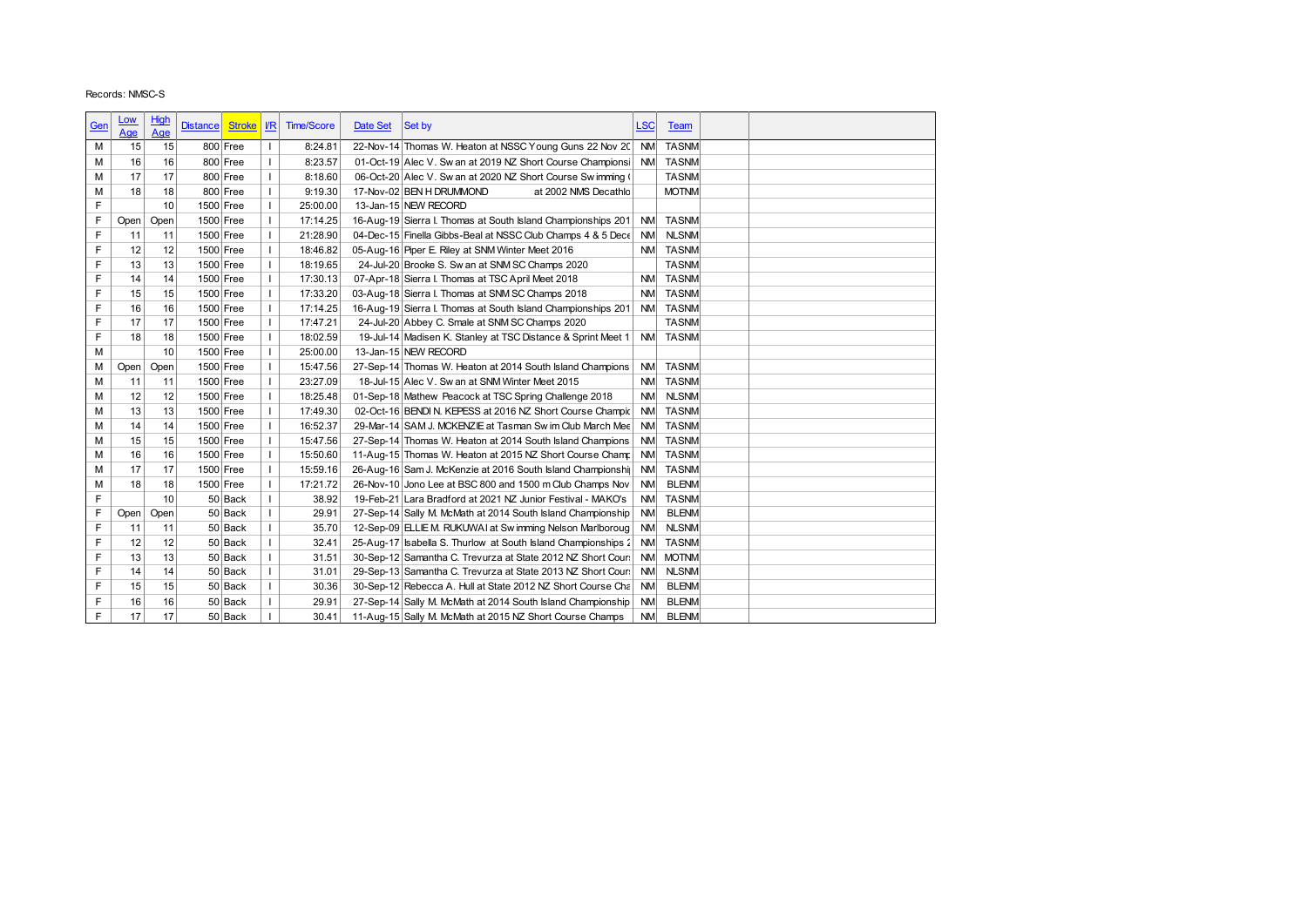|     | Records: NMSC-S |      |                 |               |                |                   |          |                                                                |            |              |  |
|-----|-----------------|------|-----------------|---------------|----------------|-------------------|----------|----------------------------------------------------------------|------------|--------------|--|
|     | <u>Low</u>      | High |                 |               |                |                   |          |                                                                |            |              |  |
| Gen | Age             | Age  | <b>Distance</b> | <b>Stroke</b> | $\mathbf{I}$   | <b>Time/Score</b> | Date Set | Set by                                                         | <b>LSC</b> | <b>Team</b>  |  |
| М   | 15              | 15   |                 | 800 Free      | $\mathbf{I}$   | 8:24.81           |          | 22-Nov-14 Thomas W. Heaton at NSSC Young Guns 22 Nov 20 NM     |            | <b>TASNM</b> |  |
| M   | 16              | 16   |                 | 800 Free      | $\mathbf{I}$   | 8:23.57           |          | 01-Oct-19 Alec V. Sw an at 2019 NZ Short Course Championsi     | <b>NM</b>  | <b>TASNM</b> |  |
| M   | 17              | 17   |                 | 800 Free      | $\mathbf{I}$   | 8:18.60           |          | 06-Oct-20 Alec V. Sw an at 2020 NZ Short Course Sw imming (    |            | <b>TASNM</b> |  |
| M   | 18              | 18   |                 | 800 Free      | $\mathbf{I}$   | 9:19.30           |          | 17-Nov-02 BEN H DRUMMOND<br>at 2002 NMS Decathlo               |            | <b>MOTNM</b> |  |
| F   |                 | 10   | 1500 Free       |               | $\mathbf{I}$   | 25:00.00          |          | 13-Jan-15 NEW RECORD                                           |            |              |  |
| F   | Open            | Open | 1500 Free       |               | $\mathbf{I}$   | 17:14.25          |          | 16-Aug-19 Sierra I. Thomas at South Island Championships 201   | <b>NM</b>  | <b>TASNM</b> |  |
| F   | 11              | 11   | 1500 Free       |               | $\mathbf{I}$   | 21:28.90          |          | 04-Dec-15 Finella Gibbs-Beal at NSSC Club Champs 4 & 5 Dece    | <b>NM</b>  | <b>NLSNM</b> |  |
| F   | 12              | 12   | 1500 Free       |               | $\overline{1}$ | 18:46.82          |          | 05-Aug-16 Piper E. Riley at SNM Winter Meet 2016               | <b>NM</b>  | <b>TASNM</b> |  |
| F   | 13              | 13   | 1500 Free       |               | $\mathbf{I}$   | 18:19.65          |          | 24-Jul-20 Brooke S. Sw an at SNM SC Champs 2020                |            | <b>TASNM</b> |  |
| F   | 14              | 14   | 1500 Free       |               | $\mathbf{I}$   | 17:30.13          |          | 07-Apr-18 Sierra I. Thomas at TSC April Meet 2018              | <b>NM</b>  | <b>TASNM</b> |  |
| F   | 15              | 15   | 1500 Free       |               | $\mathbf{I}$   | 17:33.20          |          | 03-Aug-18 Sierra I. Thomas at SNM SC Champs 2018               | <b>NM</b>  | <b>TASNM</b> |  |
| F   | 16              | 16   | 1500 Free       |               | $\mathbf{I}$   | 17:14.25          |          | 16-Aug-19 Sierra I. Thomas at South Island Championships 201   |            | NM TASNM     |  |
| F   | 17              | 17   | 1500 Free       |               | $\overline{1}$ | 17:47.21          |          | 24-Jul-20 Abbey C. Smale at SNM SC Champs 2020                 |            | <b>TASNM</b> |  |
| F   | 18              | 18   | 1500 Free       |               | $\mathbf{I}$   | 18:02.59          |          | 19-Jul-14 Madisen K. Stanley at TSC Distance & Sprint Meet 1   | <b>NM</b>  | <b>TASNM</b> |  |
| M   |                 | 10   | 1500 Free       |               | $\overline{1}$ | 25:00.00          |          | 13-Jan-15 NEW RECORD                                           |            |              |  |
| М   | Open            | Open | 1500 Free       |               | $\mathbf{I}$   | 15:47.56          |          | 27-Sep-14 Thomas W. Heaton at 2014 South Island Champions      |            | NM TASNM     |  |
| M   | 11              | 11   | 1500 Free       |               | $\mathbf{I}$   | 23:27.09          |          | 18-Jul-15 Alec V. Sw an at SNM Winter Meet 2015                | <b>NM</b>  | <b>TASNM</b> |  |
| M   | 12              | 12   | 1500 Free       |               | $\mathbf{I}$   | 18:25.48          |          | 01-Sep-18 Mathew Peacock at TSC Spring Challenge 2018          | <b>NM</b>  | <b>NLSNM</b> |  |
| M   | 13              | 13   | 1500 Free       |               | $\mathbf{I}$   | 17:49.30          |          | 02-Oct-16 BENDI N. KEPESS at 2016 NZ Short Course Champic      | <b>NM</b>  | <b>TASNM</b> |  |
| M   | 14              | 14   | 1500 Free       |               |                | 16:52.37          |          | 29-Mar-14 SAM J. MCKENZIE at Tasman Sw im Club March Mee       | <b>NM</b>  | <b>TASNM</b> |  |
| M   | 15              | 15   | 1500 Free       |               | $\overline{1}$ | 15:47.56          |          | 27-Sep-14 Thomas W. Heaton at 2014 South Island Champions      | <b>NM</b>  | <b>TASNM</b> |  |
| M   | 16              | 16   | $1500$ Free     |               | $\mathbf{I}$   | 15:50.60          |          | 11-Aug-15 Thomas W. Heaton at 2015 NZ Short Course Champ       | NM         | TASNM        |  |
|     | 17              | 17   | $1500$ Free     |               | $\mathbf{I}$   | 15:59.16          |          | 26-Aug-16 Sam J. McKenzie at 2016 South Island Championship    |            | NM TASNM     |  |
| M   | 18              | 18   | $1500$ Free     |               |                | 17:21.72          |          | 26-Nov-10 Jono Lee at BSC 800 and 1500 m Club Champs Nov       | <b>NM</b>  | <b>BLENM</b> |  |
| M   |                 | 10   |                 | 50 Back       | $\mathbf{I}$   | 38.92             |          | 19-Feb-21 Lara Bradford at 2021 NZ Junior Festival - MAKO's    |            | NM TASNM     |  |
| F   |                 |      |                 | 50 Back       | $\mathbf{I}$   | 29.91             |          | 27-Sep-14 Sally M. McMath at 2014 South Island Championship    | NM         | <b>BLENM</b> |  |
| F   | Open            | Open |                 |               |                |                   |          |                                                                |            | NM NLSNM     |  |
| F   | 11              | 11   |                 | 50 Back       |                | 35.70             |          | 12-Sep-09 ELLIE M. RUKUWAI at Swimming Nelson Marlboroug       |            |              |  |
| F   | 12              | 12   |                 | 50 Back       | $\mathbf{I}$   | 32.41             |          | 25-Aug-17   sabella S. Thurlow at South Island Championships 2 |            | NM TASNM     |  |
| F   | 13              | 13   |                 | 50 Back       | $\mathbf{I}$   | 31.51             |          | 30-Sep-12 Samantha C. Trevurza at State 2012 NZ Short Cours    |            | NM MOTNM     |  |
| F   | 14              | 14   |                 | 50 Back       | $\mathbf{I}$   | 31.01             |          | 29-Sep-13 Samantha C. Trevurza at State 2013 NZ Short Cours    |            | NM NLSNM     |  |
| F   | 15              | 15   |                 | 50 Back       |                | 30.36             |          | 30-Sep-12 Rebecca A. Hull at State 2012 NZ Short Course Cha    |            | NM BLENM     |  |
| F   |                 | 16   |                 | 50 Back       |                | 29.91             |          | 27-Sep-14 Sally M. McMath at 2014 South Island Championship    |            | NM BLENM     |  |
| F   | 16<br>17        | 17   |                 | 50 Back       |                | 30.41             |          | 11-Aug-15 Sally M. McMath at 2015 NZ Short Course Champs       |            | NM BLENM     |  |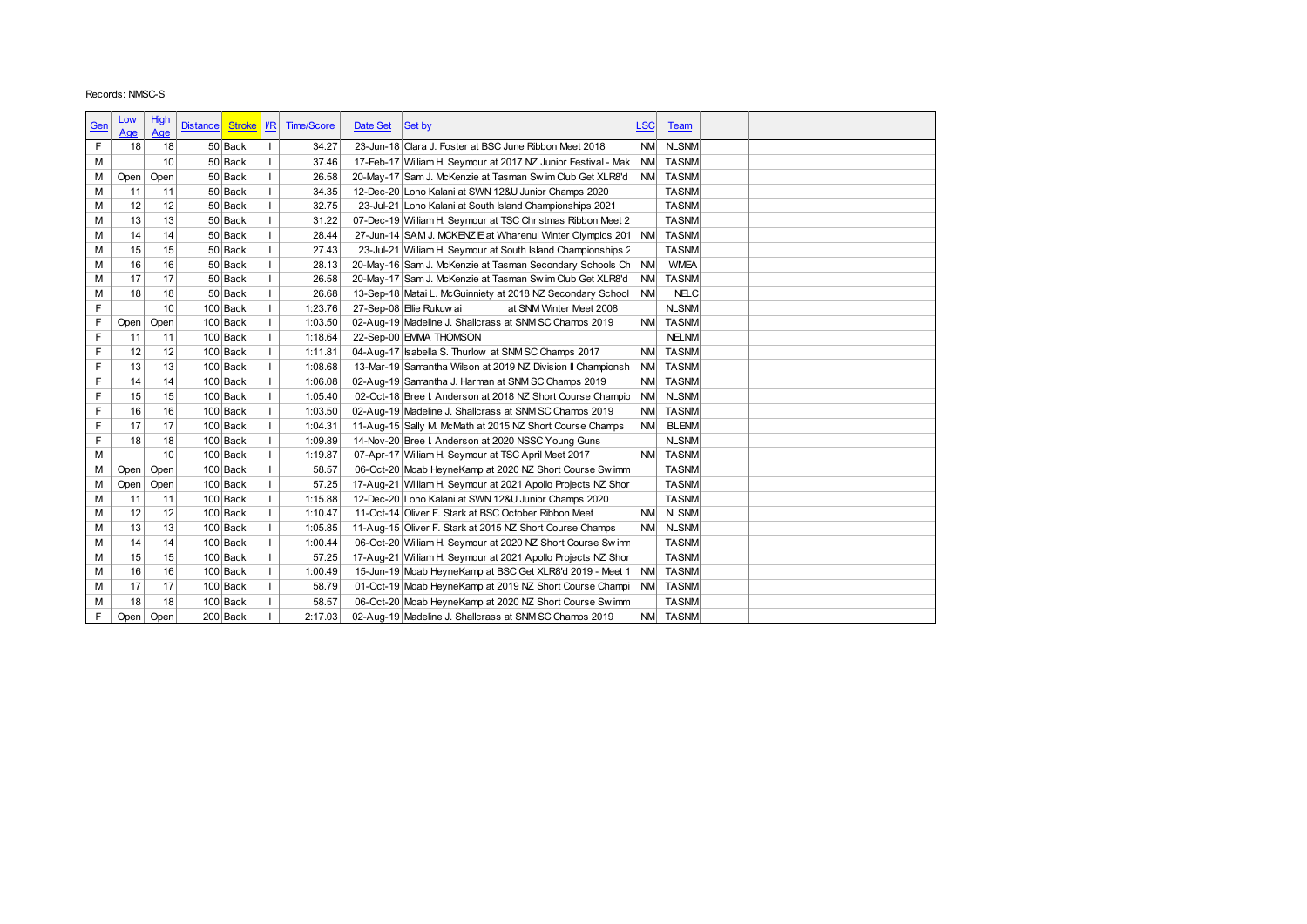|            | Records: NMSC-S |             |                 |                          |                              |                    |          |                                                                                                           |                        |                          |  |
|------------|-----------------|-------------|-----------------|--------------------------|------------------------------|--------------------|----------|-----------------------------------------------------------------------------------------------------------|------------------------|--------------------------|--|
|            |                 |             |                 |                          |                              |                    |          |                                                                                                           |                        |                          |  |
|            | <u>Low</u>      | <b>High</b> | <b>Distance</b> | <b>Stroke</b>            | $\underline{\textit{VR}}$    | <b>Time/Score</b>  | Date Set | Set by                                                                                                    | <u>LSC</u>             | Team                     |  |
| <u>Gen</u> | Age             | Age         |                 |                          |                              |                    |          |                                                                                                           |                        |                          |  |
| F          | 18              | 18          |                 | 50 Back                  | $\mathbf{I}$                 | 34.27              |          | 23-Jun-18 Clara J. Foster at BSC June Ribbon Meet 2018                                                    | <b>NM</b>              | <b>NLSNM</b>             |  |
| М          |                 | 10          |                 | 50 Back                  | $\mathbf{I}$                 | 37.46              |          | 17-Feb-17 William H. Seymour at 2017 NZ Junior Festival - Mak                                             | <b>NM</b>              | <b>TASNM</b>             |  |
| М          | Open            | Open        |                 | 50 Back                  | $\mathbf{I}$                 | 26.58              |          | 20-May-17 Sam J. McKenzie at Tasman Sw im Club Get XLR8'd                                                 | <b>NM</b>              | <b>TASNM</b>             |  |
| М          | 11              | 11          |                 | 50 Back                  | $\mathbf{I}$                 | 34.35              |          | 12-Dec-20 Lono Kalani at SWN 12&U Junior Champs 2020                                                      |                        | <b>TASNM</b>             |  |
| М          | 12              | 12          |                 | 50 Back                  | $\mathbf{I}$                 | 32.75              |          | 23-Jul-21 Lono Kalani at South Island Championships 2021                                                  |                        | <b>TASNM</b>             |  |
| М          | 13              | 13          |                 | 50 Back                  | L                            | 31.22              |          | 07-Dec-19 William H. Seymour at TSC Christmas Ribbon Meet 2                                               |                        | <b>TASNM</b>             |  |
| М          | 14              | 14          |                 | 50 Back                  | $\mathbf{I}$                 | 28.44              |          | 27-Jun-14 SAM J. MCKENZIE at Wharenui Winter Olympics 201 NM                                              |                        | <b>TASNM</b>             |  |
| М          | 15              | 15          |                 | 50 Back                  | $\mathbf{I}$                 | 27.43              |          | 23-Jul-21 William H. Seymour at South Island Championships 2                                              |                        | <b>TASNM</b>             |  |
| М          | 16              | 16          |                 | 50 Back                  | $\mathbf{I}$                 | 28.13              |          | 20-May-16 Sam J. McKenzie at Tasman Secondary Schools Ch                                                  | <b>NM</b>              | <b>WMEA</b>              |  |
| М          | 17              | 17          |                 | 50 Back                  | $\mathbf{I}$                 | 26.58              |          | 20-May-17 Sam J. McKenzie at Tasman Sw im Club Get XLR8'd                                                 | <b>NM</b>              | <b>TASNM</b>             |  |
| M          | 18              | 18          |                 | 50 Back                  | $\mathbf{I}$                 | 26.68              |          | 13-Sep-18 Matai L. McGuinniety at 2018 NZ Secondary School                                                | <b>NM</b>              | <b>NELC</b>              |  |
| F          |                 | 10          |                 | $100$ Back               | $\mathbf{I}$                 | 1:23.76            |          | 27-Sep-08 Elie Rukuw ai<br>at SNM Winter Meet 2008                                                        |                        | <b>NLSNM</b>             |  |
| F          | Open            | Open        |                 | $100$ Back               | $\mathbf{I}$                 | 1:03.50            |          | 02-Aug-19 Madeline J. Shallcrass at SNM SC Champs 2019                                                    | <b>NM</b>              | <b>TASNM</b>             |  |
| F          | 11              | 11          |                 | $100$ Back               | $\mathbf{I}$                 | 1:18.64            |          | 22-Sep-00 EMMA THOMSON                                                                                    |                        | <b>NELNM</b>             |  |
| F          | 12              | 12          |                 | $100$ Back               | $\mathbf{I}$                 | 1:11.81            |          | 04-Aug-17 sabella S. Thurlow at SNM SC Champs 2017                                                        | <b>NM</b>              | <b>TASNM</b>             |  |
| F          | 13              | 13          |                 | $100$ Back               | $\mathbf{I}$                 | 1:08.68            |          | 13-Mar-19 Samantha Wilson at 2019 NZ Division II Championsh                                               | <b>NM</b>              | <b>TASNM</b>             |  |
| F          | 14              | 14          |                 | $100$ Back               | $\mathbf{I}$                 | 1:06.08            |          | 02-Aug-19 Samantha J. Harman at SNM SC Champs 2019                                                        | <b>NM</b>              | <b>TASNM</b>             |  |
| F          | 15              | 15          |                 | 100 Back                 | $\mathbf{I}$                 | 1:05.40            |          | 02-Oct-18 Bree I. Anderson at 2018 NZ Short Course Champio                                                | <b>NM</b>              | <b>NLSNM</b>             |  |
| F<br>F     | 16<br>17        | 16<br>17    |                 | $100$ Back               | $\mathbf{I}$<br>$\mathbf{I}$ | 1:03.50            |          | 02-Aug-19 Madeline J. Shallcrass at SNM SC Champs 2019                                                    | <b>NM</b><br><b>NM</b> | <b>TASNM</b>             |  |
| F          | 18              | 18          |                 | $100$ Back               | $\mathbf{I}$                 | 1:04.31            |          | 11-Aug-15 Sally M. McMath at 2015 NZ Short Course Champs                                                  |                        | <b>BLENM</b>             |  |
| M          |                 | 10          |                 | $100$ Back<br>$100$ Back | $\mathbf{I}$                 | 1:09.89<br>1:19.87 |          | 14-Nov-20 Bree I. Anderson at 2020 NSSC Young Guns<br>07-Apr-17 William H. Seymour at TSC April Meet 2017 |                        | <b>NLSNM</b><br>NM TASNM |  |
| M          | Open            | Open        |                 | $100$ Back               |                              | 58.57              |          | 06-Oct-20 Moab HeyneKamp at 2020 NZ Short Course Swimm                                                    |                        | TASNM                    |  |
| М          | Open            | Open        |                 | $100$ Back               | $\mathbf{I}$                 | 57.25              |          | 17-Aug-21 William H. Seymour at 2021 Apollo Projects NZ Shor                                              |                        | <b>TASNM</b>             |  |
| М          | 11              | 11          |                 | $100$ Back               |                              | 1:15.88            |          | 12-Dec-20 Lono Kalani at SWN 12&U Junior Champs 2020                                                      |                        | <b>TASNM</b>             |  |
| М          | 12              | 12          |                 | $100$ Back               |                              | 1:10.47            |          | 11-Oct-14 Oliver F. Stark at BSC October Ribbon Meet                                                      | <b>NM</b>              | <b>NLSNM</b>             |  |
| М          | 13              | 13          |                 | $100$ Back               |                              | 1:05.85            |          | 11-Aug-15 Oliver F. Stark at 2015 NZ Short Course Champs                                                  | <b>NM</b>              | <b>NLSNM</b>             |  |
| М          | 14              | 14          |                 | $100$ Back               |                              | 1:00.44            |          | 06-Oct-20 William H. Seymour at 2020 NZ Short Course Sw imn                                               |                        | <b>TASNM</b>             |  |
| М          | 15              | 15          |                 | $100$ Back               |                              | 57.25              |          | 17-Aug-21 William H. Seymour at 2021 Apollo Projects NZ Shor                                              |                        | <b>TASNM</b>             |  |
| М          | 16              | 16          |                 | $100$ Back               |                              | 1:00.49            |          | 15-Jun-19 Moab HeyneKamp at BSC Get XLR8'd 2019 - Meet 1                                                  | <b>NM</b>              | <b>TASNM</b>             |  |
| М          | 17              | 17          |                 | $100$ Back               |                              | 58.79              |          | 01-Oct-19 Moab HeyneKamp at 2019 NZ Short Course Champi                                                   | <b>NM</b>              | <b>TASNM</b>             |  |
| м          | 18              | 18          |                 | $100$ Back               |                              | 58.57              |          | 06-Oct-20 Moab HeyneKamp at 2020 NZ Short Course Sw imm                                                   |                        | <b>TASNM</b>             |  |
| F.         | Open            | Open        |                 | 200 Back                 |                              | 2:17.03            |          | 02-Aug-19 Madeline J. Shallcrass at SNM SC Champs 2019                                                    |                        | NM TASNM                 |  |
|            |                 |             |                 |                          |                              |                    |          |                                                                                                           |                        |                          |  |
|            |                 |             |                 |                          |                              |                    |          |                                                                                                           |                        |                          |  |
|            |                 |             |                 |                          |                              |                    |          |                                                                                                           |                        |                          |  |
|            |                 |             |                 |                          |                              |                    |          |                                                                                                           |                        |                          |  |
|            |                 |             |                 |                          |                              |                    |          |                                                                                                           |                        |                          |  |
|            |                 |             |                 |                          |                              |                    |          |                                                                                                           |                        |                          |  |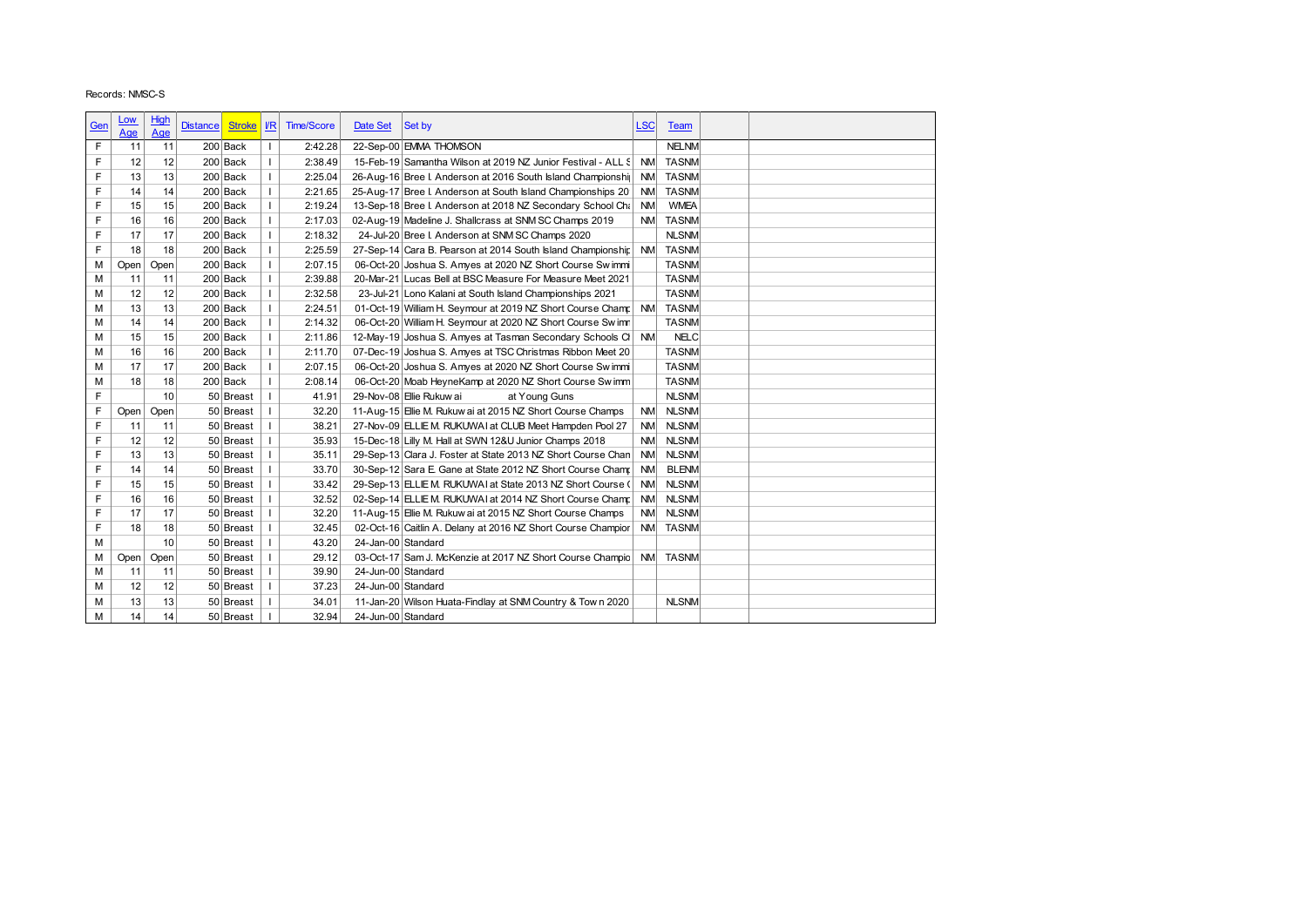|             | Records: NMSC-S |           |                 |                   |              |                   |                    |                                                                    |            |              |
|-------------|-----------------|-----------|-----------------|-------------------|--------------|-------------------|--------------------|--------------------------------------------------------------------|------------|--------------|
|             | <u>Low</u>      | High      |                 |                   |              |                   |                    |                                                                    |            |              |
| <u>Gen</u>  | Age             | Age       | <b>Distance</b> | <b>Stroke</b>     | $l$          | <b>Time/Score</b> | Date Set           | Set by                                                             | <u>LSC</u> | Team         |
| $\mathsf F$ | 11              | 11        |                 | 200 Back          | $\mathbf{I}$ | 2:42.28           |                    | 22-Sep-00 EMMA THOMSON                                             |            | <b>NELNM</b> |
| F           | 12              | 12        |                 | 200 Back          | $\mathbf I$  | 2:38.49           |                    | 15-Feb-19 Samantha Wilson at 2019 NZ Junior Festival - ALL S       | NM         | <b>TASNM</b> |
| F           | 13              | 13        |                 | 200 Back          | $\mathbf{I}$ | 2:25.04           |                    | 26-Aug-16 Bree I. Anderson at 2016 South Island Championshi        | <b>NM</b>  | <b>TASNM</b> |
| F           | 14              | 14        |                 | 200 Back          | $\mathsf I$  | 2:21.65           |                    | 25-Aug-17 Bree I. Anderson at South Island Championships 20        | <b>NM</b>  | <b>TASNM</b> |
| F           | 15              | 15        |                 | 200 Back          | $\mathbf{I}$ | 2:19.24           |                    | 13-Sep-18 Bree I. Anderson at 2018 NZ Secondary School Cha         | <b>NM</b>  | <b>WMEA</b>  |
| F           | 16              | 16        |                 | 200 Back          | $\mathbf{I}$ | 2:17.03           |                    | 02-Aug-19 Madeline J. Shallcrass at SNM SC Champs 2019             | <b>NM</b>  | <b>TASNM</b> |
| F           | 17              | 17        |                 |                   | $\mathbf{I}$ |                   |                    | 24-Jul-20 Bree I. Anderson at SNM SC Champs 2020                   |            | <b>NLSNM</b> |
| F           |                 |           |                 | 200 Back          | $\mathbf{I}$ | 2:18.32           |                    |                                                                    | <b>NM</b>  |              |
|             | 18              | 18        |                 | 200 Back          |              | 2:25.59           |                    | 27-Sep-14 Cara B. Pearson at 2014 South Island Championship        |            | <b>TASNM</b> |
| М           | Open            | Open      |                 | 200 Back          | $\mathbf{I}$ | 2:07.15           |                    | 06-Oct-20 Joshua S. Amyes at 2020 NZ Short Course Swimmi           |            | <b>TASNM</b> |
| M           | 11              | 11        |                 | 200 Back          | $\mathbf{I}$ | 2:39.88           |                    | 20-Mar-21 Lucas Bell at BSC Measure For Measure Meet 2021          |            | <b>TASNM</b> |
| M           | 12              | 12        |                 | 200 Back          | $\mathbf{I}$ | 2:32.58           |                    | 23-Jul-21 Lono Kalani at South Island Championships 2021           |            | <b>TASNM</b> |
| M           | 13              | 13        |                 | 200 Back          | $\mathbf{L}$ | 2:24.51           |                    | 01-Oct-19 William H. Seymour at 2019 NZ Short Course Champ         | <b>NM</b>  | <b>TASNM</b> |
| M           | 14              | 14        |                 | $200$ Back        | $\mathbf{I}$ | 2:14.32           |                    | 06-Oct-20 William H. Seymour at 2020 NZ Short Course Sw imn        |            | <b>TASNM</b> |
| M           | 15              | 15        |                 | $200$ Back        | $\mathbf{I}$ | 2:11.86           |                    | 12-May-19 Joshua S. Amyes at Tasman Secondary Schools Cl           | <b>NM</b>  | <b>NELC</b>  |
| M           | 16              | 16        |                 | 200 Back          | $\mathbf{I}$ | 2:11.70           |                    | 07-Dec-19 Joshua S. Amyes at TSC Christmas Ribbon Meet 20          |            | <b>TASNM</b> |
| M           | 17              | 17        |                 | 200 Back          | $\mathbf{I}$ | 2:07.15           |                    | 06-Oct-20 Joshua S. Amyes at 2020 NZ Short Course Swimmi           |            | <b>TASNM</b> |
| М           | 18              | 18        |                 | 200 Back          | $\mathbf{I}$ | 2:08.14           |                    | 06-Oct-20 Moab HeyneKamp at 2020 NZ Short Course Sw imm            |            | <b>TASNM</b> |
| F           |                 | 10        |                 | 50 Breast         | $\mathbf{I}$ | 41.91             |                    | 29-Nov-08 Elie Rukuw ai<br>at Young Guns                           |            | <b>NLSNM</b> |
| F           | Open            | Open      |                 | 50 Breast         | $\mathbf{I}$ | 32.20             |                    | 11-Aug-15 Elie M. Rukuw ai at 2015 NZ Short Course Champs          | <b>NM</b>  | <b>NLSNM</b> |
| F           | 11              | 11        |                 | 50 Breast         | т.           | 38.21             |                    | 27-Nov-09 ELLIE M. RUKUWAI at CLUB Meet Hampden Pool 27            | <b>NM</b>  | <b>NLSNM</b> |
| F           | 12              | 12        |                 | 50 Breast         | т.           | 35.93             |                    | 15-Dec-18 Lilly M. Hall at SWN 12&U Junior Champs 2018             | <b>NM</b>  | <b>NLSNM</b> |
| F           | 13              | 13        |                 | 50 Breast         | $\mathbf{I}$ | 35.11             |                    | 29-Sep-13 Clara J. Foster at State 2013 NZ Short Course Chan       | <b>NM</b>  | <b>NLSNM</b> |
| F           | 14              | 14        |                 | 50 Breast         | $\mathbf{I}$ | 33.70             |                    | 30-Sep-12 Sara E. Gane at State 2012 NZ Short Course Champ         | <b>NM</b>  | <b>BLENM</b> |
| F           | 15              | 15        |                 | 50 Breast         | $\mathbf{I}$ | 33.42             |                    | 29-Sep-13 ELLIE M. RUKUWAI at State 2013 NZ Short Course (         | <b>NM</b>  | <b>NLSNM</b> |
| F           | 16              | 16        |                 | 50 Breast         | $\mathbf{I}$ | 32.52             |                    | 02-Sep-14 ELLIE M. RUKUWAI at 2014 NZ Short Course Champ           | <b>NM</b>  | <b>NLSNM</b> |
| F           | 17              | 17        |                 | 50 Breast         | $\mathbf{I}$ | 32.20             |                    | 11-Aug-15 Elie M. Rukuw ai at 2015 NZ Short Course Champs          | <b>NM</b>  | <b>NLSNM</b> |
| F           | 18              | 18        |                 | 50 Breast         | $\mathbf{I}$ | 32.45             |                    | 02-Oct-16 Caitlin A. Delany at 2016 NZ Short Course Champior       | <b>NM</b>  | <b>TASNM</b> |
| M           |                 | 10        |                 | 50 Breast         | $\mathbf{I}$ | 43.20             |                    | 24-Jan-00 Standard                                                 |            |              |
|             |                 |           |                 | $50$ Breast   $1$ |              | 29.12             |                    | 03-Oct-17 Sam J. McKenzie at 2017 NZ Short Course Champio NM TASNM |            |              |
| м           |                 | Open Open |                 |                   |              |                   |                    |                                                                    |            |              |
| M           | 11              | 11        |                 | $50$ Breast   I   |              | 39.90             |                    | 24-Jun-00 Standard                                                 |            |              |
|             | 12              | 12        |                 | $50$ Breast   I   |              | 37.23             |                    | 24-Jun-00 Standard                                                 |            |              |
| M           |                 | 13        |                 | 50 Breast   I     |              | 34.01             |                    | 11-Jan-20 Wilson Huata-Findlay at SNM Country & Town 2020          |            | <b>NLSNM</b> |
| М<br>M      | 13<br> 14       | 14        |                 | $50$ Breast   I   |              | 32.94             | 24-Jun-00 Standard |                                                                    |            |              |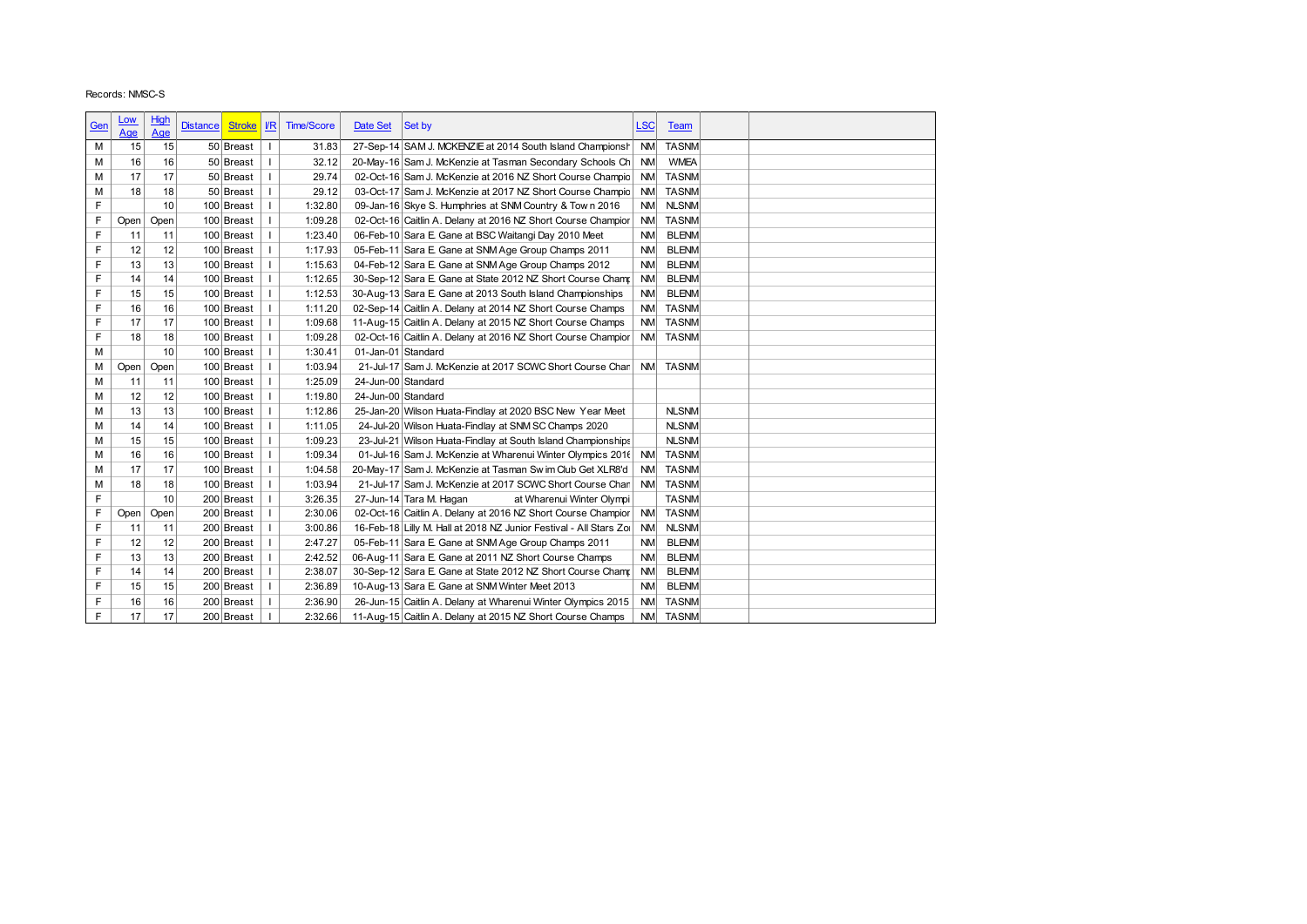|            | Records: NMSC-S |          |                                  |              |                    |                    |                                                                                                                            |            |                      |  |
|------------|-----------------|----------|----------------------------------|--------------|--------------------|--------------------|----------------------------------------------------------------------------------------------------------------------------|------------|----------------------|--|
|            |                 |          |                                  |              |                    |                    |                                                                                                                            |            |                      |  |
| <u>Gen</u> | <u>Low</u>      | High     | <b>Stroke</b><br><b>Distance</b> | $\sqrt{R}$   | <b>Time/Score</b>  | Date Set           | Set by                                                                                                                     | <u>LSC</u> | <b>Team</b>          |  |
|            | Age             | Age      |                                  |              |                    |                    |                                                                                                                            |            |                      |  |
| M          | 15              | 15       | 50 Breast                        |              | 31.83              |                    | 27-Sep-14 SAM J. MCKENZIE at 2014 South Island Championsh NM                                                               |            | <b>TASNM</b>         |  |
| М          | 16              | 16       | 50 Breast                        | T            | 32.12              |                    | 20-May-16 Sam J. McKenzie at Tasman Secondary Schools Ch                                                                   | <b>NM</b>  | <b>WMEA</b>          |  |
| М          | 17              | 17       | 50 Breast                        | ı            | 29.74              |                    | 02-Oct-16 Sam J. McKenzie at 2016 NZ Short Course Champio                                                                  | <b>NM</b>  | <b>TASNM</b>         |  |
| М          | 18              | 18       | 50 Breast                        | T            | 29.12              |                    | 03-Oct-17 Sam J. McKenzie at 2017 NZ Short Course Champio                                                                  | <b>NM</b>  | <b>TASNM</b>         |  |
| F          |                 | 10       | 100 Breast                       | T            | 1:32.80            |                    | 09-Jan-16 Skye S. Humphries at SNM Country & Town 2016                                                                     | <b>NM</b>  | <b>NLSNM</b>         |  |
| F          | Open            | Open     | 100 Breast                       |              | 1:09.28            |                    | 02-Oct-16 Caitlin A. Delany at 2016 NZ Short Course Champior                                                               | <b>NM</b>  | <b>TASNM</b>         |  |
| F          | 11              | 11       | 100 Breast                       | T            | 1:23.40            |                    | 06-Feb-10 Sara E. Gane at BSC Waitangi Day 2010 Meet                                                                       | <b>NM</b>  | <b>BLENM</b>         |  |
| F          | 12              | 12       | 100 Breast                       | T            | 1:17.93            |                    | 05-Feb-11 Sara E. Gane at SNM Age Group Champs 2011                                                                        | <b>NM</b>  | <b>BLENM</b>         |  |
| F          | 13              | 13       | 100 Breast                       |              | 1:15.63            |                    | 04-Feb-12 Sara E. Gane at SNM Age Group Champs 2012                                                                        | <b>NM</b>  | <b>BLENM</b>         |  |
| F          | 14              | 14       | 100 Breast                       | T            | 1:12.65            |                    | 30-Sep-12 Sara E. Gane at State 2012 NZ Short Course Champ                                                                 | <b>NM</b>  | <b>BLENM</b>         |  |
| F          | 15              | 15       | 100 Breast                       | $\mathbf{I}$ | 1:12.53            |                    | 30-Aug-13 Sara E. Gane at 2013 South Island Championships                                                                  | <b>NM</b>  | <b>BLENM</b>         |  |
| F          | 16              | 16       | 100 Breast                       | $\mathbf{I}$ | 1:11.20            |                    | 02-Sep-14 Caitlin A. Delany at 2014 NZ Short Course Champs                                                                 | <b>NM</b>  | <b>TASNM</b>         |  |
| F          | 17              | 17       | 100 Breast                       |              | 1:09.68            |                    | 11-Aug-15 Caitlin A. Delany at 2015 NZ Short Course Champs                                                                 | <b>NM</b>  | <b>TASNM</b>         |  |
| F          | 18              | 18       | 100 Breast                       | T            | 1:09.28            |                    | 02-Oct-16 Caitlin A. Delany at 2016 NZ Short Course Champior                                                               | <b>NM</b>  | <b>TASNM</b>         |  |
| M          |                 | 10       | 100 Breast                       |              | 1:30.41            | 01-Jan-01 Standard |                                                                                                                            |            |                      |  |
| М          | Open            | Open     | 100 Breast                       |              | 1:03.94            |                    | 21-Jul-17 Sam J. McKenzie at 2017 SCWC Short Course Chan                                                                   | NM         | <b>TASNM</b>         |  |
| М          | 11              | 11       | 100 Breast                       | T            | 1:25.09            | 24-Jun-00 Standard |                                                                                                                            |            |                      |  |
|            | 12              | 12       | 100 Breast                       |              | 1:19.80            | 24-Jun-00 Standard |                                                                                                                            |            |                      |  |
| М          |                 |          |                                  |              |                    |                    | 25-Jan-20 Wilson Huata-Findlay at 2020 BSC New Year Meet                                                                   |            | <b>NLSNM</b>         |  |
| М          | 13              | 13       | 100 Breast                       | T            | 1:12.86            |                    |                                                                                                                            |            |                      |  |
| М          | 14              | 14       | 100 Breast                       | T            | 1:11.05            |                    | 24-Jul-20 Wilson Huata-Findlay at SNM SC Champs 2020                                                                       |            | <b>NLSNM</b>         |  |
| M          | 15              | 15       | 100 Breast                       | T            | 1:09.23            |                    | 23-Jul-21 Wilson Huata-Findlay at South Island Championships                                                               |            | <b>NLSNM</b>         |  |
| М          | 16              | 16       | 100 Breast                       |              | 1:09.34            |                    | 01-Jul-16 Sam J. McKenzie at Wharenui Winter Olympics 2016 NM                                                              |            | <b>TASNM</b>         |  |
| M          | 17              | 17       | 100 Breast                       |              | 1:04.58            |                    | 20-May-17 Sam J. McKenzie at Tasman Sw im Club Get XLR8'd                                                                  | <b>NM</b>  | <b>TASNM</b>         |  |
| M          | 18              | 18       | 100 Breast                       |              | 1:03.94            |                    | 21-Jul-17 Sam J. McKenzie at 2017 SCWC Short Course Chan                                                                   | <b>NM</b>  | <b>TASNM</b>         |  |
| F          |                 | 10       | 200 Breast                       | Τ.           | 3:26.35            |                    | 27-Jun-14 Tara M. Hagan<br>at Wharenui Winter Olympi                                                                       |            | TASNM                |  |
| F          | Open            | Open     | 200 Breast                       | $\mathbf{I}$ | 2:30.06            |                    | 02-Oct-16 Caitlin A. Delany at 2016 NZ Short Course Champior                                                               | <b>NM</b>  | <b>TASNM</b>         |  |
| F          | 11              | 11       | 200 Breast                       |              | 3:00.86            |                    | 16-Feb-18 Lilly M. Hall at 2018 NZ Junior Festival - All Stars Zol                                                         | <b>NM</b>  | <b>NLSNM</b>         |  |
| F          | 12              | 12       | 200 Breast                       |              | 2:47.27            |                    | 05-Feb-11 Sara E. Gane at SNM Age Group Champs 2011                                                                        | <b>NM</b>  | <b>BLENM</b>         |  |
| F          | 13              | 13       | 200 Breast                       |              | 2:42.52            |                    | 06-Aug-11 Sara E. Gane at 2011 NZ Short Course Champs                                                                      | <b>NM</b>  | <b>BLENM</b>         |  |
| F          | 14              | 14       | 200 Breast                       |              | 2:38.07            |                    | 30-Sep-12 Sara E. Gane at State 2012 NZ Short Course Cham:                                                                 | <b>NM</b>  | <b>BLENM</b>         |  |
| F          | 15              | 15       | 200 Breast                       | I.           | 2:36.89            |                    | 10-Aug-13 Sara E. Gane at SNM Winter Meet 2013                                                                             | <b>NM</b>  | <b>BLENM</b>         |  |
| F<br>F     | 16<br>17        | 16<br>17 | 200 Breast<br>200 Breast         |              | 2:36.90<br>2:32.66 |                    | 26-Jun-15 Caitlin A. Delany at Wharenui Winter Olympics 2015<br>11-Aug-15 Caitlin A. Delany at 2015 NZ Short Course Champs |            | NM TASNM<br>NM TASNM |  |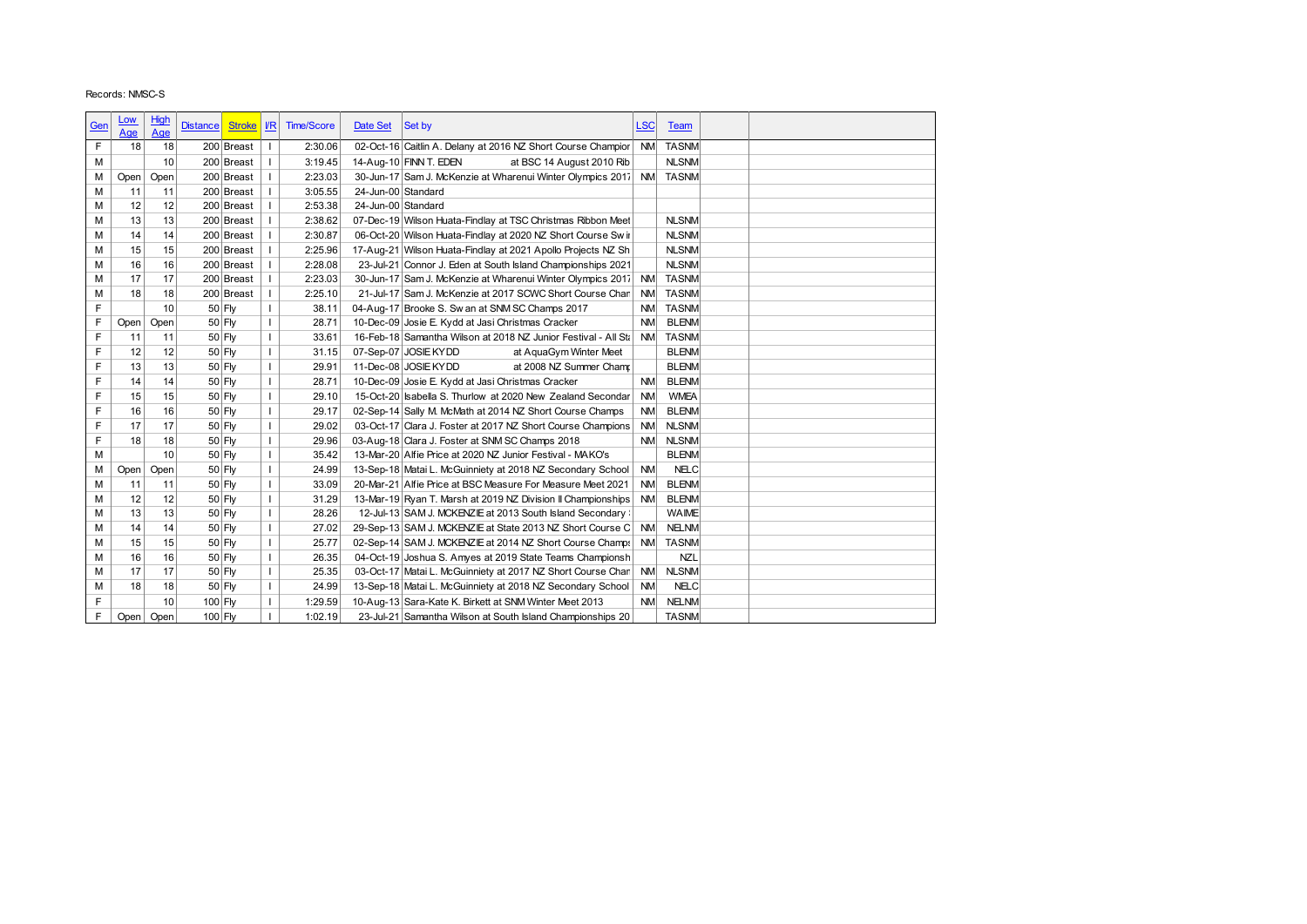|            | Records: NMSC-S |           |                                  |                              |                   |                    |                                                                                                                      |                        |                              |  |
|------------|-----------------|-----------|----------------------------------|------------------------------|-------------------|--------------------|----------------------------------------------------------------------------------------------------------------------|------------------------|------------------------------|--|
|            |                 |           |                                  |                              |                   |                    |                                                                                                                      |                        |                              |  |
| <u>Gen</u> | <u>Low</u>      | High      | <b>Distance</b><br><b>Stroke</b> | $\sqrt{R}$                   | <b>Time/Score</b> | Date Set           | Set by                                                                                                               | <b>LSC</b>             | Team                         |  |
| F          | Age<br>18       | Age<br>18 | 200 Breast                       |                              | 2:30.06           |                    | 02-Oct-16 Caitlin A. Delany at 2016 NZ Short Course Champior                                                         | <b>NM</b>              | <b>TASNM</b>                 |  |
| M          |                 | 10        | 200 Breast                       |                              | 3:19.45           |                    | 14-Aug-10 FINN T. EDEN<br>at BSC 14 August 2010 Rib                                                                  |                        | <b>NLSNM</b>                 |  |
| М          | Open            | Open      | 200 Breast                       | T                            | 2:23.03           |                    | 30-Jun-17 Sam J. McKenzie at Wharenui Winter Olympics 2017 NM                                                        |                        | <b>TASNM</b>                 |  |
| M          | 11              | 11        | 200 Breast                       | $\mathbf{I}$                 | 3:05.55           | 24-Jun-00 Standard |                                                                                                                      |                        |                              |  |
| M          | 12              | 12        | 200 Breast                       |                              | 2:53.38           | 24-Jun-00 Standard |                                                                                                                      |                        |                              |  |
| M          | 13              | 13        | 200 Breast                       | $\mathbf{I}$                 | 2:38.62           |                    | 07-Dec-19 Wilson Huata-Findlay at TSC Christmas Ribbon Meet                                                          |                        | <b>NLSNM</b>                 |  |
| M          | 14              | 14        | 200 Breast                       |                              | 2:30.87           |                    | 06-Oct-20 Wilson Huata-Findlay at 2020 NZ Short Course Sw in                                                         |                        | <b>NLSNM</b>                 |  |
| М          | 15              | 15        | 200 Breast                       |                              | 2:25.96           |                    | 17-Aug-21 Wilson Huata-Findlay at 2021 Apollo Projects NZ Sh                                                         |                        | <b>NLSNM</b>                 |  |
| M          | 16              | 16        | 200 Breast                       |                              | 2:28.08           |                    | 23-Jul-21 Connor J. Eden at South Island Championships 2021                                                          |                        | <b>NLSNM</b>                 |  |
| M          | 17              | 17        | 200 Breast                       |                              | 2:23.03           |                    | 30-Jun-17 Sam J. McKenzie at Wharenui Winter Olympics 2017                                                           | <b>NM</b>              | <b>TASNM</b>                 |  |
| M          | 18              | 18        | 200 Breast                       | $\mathbf{I}$                 | 2:25.10           |                    | 21-Jul-17 Sam J. McKenzie at 2017 SCWC Short Course Chan                                                             | <b>NM</b>              | <b>TASNM</b>                 |  |
| F          |                 | 10        | 50 Fly                           | $\mathbf{L}$                 | 38.11             |                    | 04-Aug-17 Brooke S. Sw an at SNM SC Champs 2017                                                                      | <b>NM</b>              | <b>TASNM</b>                 |  |
| F          | Open            | Open      | 50 Fly                           |                              | 28.71             |                    | 10-Dec-09 Josie E. Kydd at Jasi Christmas Cracker                                                                    | <b>NM</b>              | <b>BLENM</b>                 |  |
| F          | 11              | 11        | 50 Fly                           | $\mathbf{I}$                 | 33.61             |                    | 16-Feb-18 Samantha Wilson at 2018 NZ Junior Festival - All Sta                                                       | <b>NM</b>              | <b>TASNM</b>                 |  |
| F          | 12              | 12        | 50 Fly                           | $\mathbf{I}$                 | 31.15             |                    | 07-Sep-07 JOSIE KYDD<br>at AquaGym Winter Meet                                                                       |                        | <b>BLENM</b>                 |  |
| F          | 13              | 13        | 50 Fly                           | $\mathbf{I}$                 | 29.91             |                    | 11-Dec-08 JOSIE KYDD<br>at 2008 NZ Summer Champ                                                                      |                        | <b>BLENM</b>                 |  |
| F          | 14              | 14        | 50 Fly                           | $\mathbf{I}$                 | 28.71             |                    | 10-Dec-09 Josie E. Kydd at Jasi Christmas Cracker                                                                    | <b>NM</b>              | <b>BLENM</b>                 |  |
| F          | 15              | 15        | 50 Fly                           | $\mathbf{I}$                 | 29.10             |                    | 15-Oct-20 Isabella S. Thurlow at 2020 New Zealand Secondar                                                           | <b>NM</b>              | <b>WMEA</b>                  |  |
| F          | 16              | 16        | 50 Fly                           | T                            | 29.17             |                    | 02-Sep-14 Sally M. McMath at 2014 NZ Short Course Champs                                                             | <b>NM</b>              | <b>BLENM</b>                 |  |
| F          | 17              | 17        | 50 Fly                           | $\mathbf{I}$                 | 29.02             |                    | 03-Oct-17 Clara J. Foster at 2017 NZ Short Course Champions                                                          | <b>NM</b>              | <b>NLSNM</b>                 |  |
| F          | 18              | 18        | 50 Fly                           |                              | 29.96             |                    | 03-Aug-18 Clara J. Foster at SNM SC Champs 2018                                                                      | <b>NM</b>              | <b>NLSNM</b>                 |  |
| M          |                 | 10        | 50 Fly                           | $\mathbf{I}$                 | 35.42             |                    | 13-Mar-20 Alfie Price at 2020 NZ Junior Festival - MAKO's                                                            |                        | <b>BLENM</b>                 |  |
| M          | Open            | Open      | 50 Fly                           | $\mathbf{I}$                 | 24.99             |                    | 13-Sep-18 Matai L. McGuinniety at 2018 NZ Secondary School                                                           | <b>NM</b>              | <b>NELC</b>                  |  |
| M          | 11              | 11        | 50 Fly                           | $\mathbf{I}$                 | 33.09             |                    | 20-Mar-21 Alfie Price at BSC Measure For Measure Meet 2021                                                           | <b>NM</b>              | <b>BLENM</b>                 |  |
| M          | 12              | 12        | 50 Fly                           |                              | 31.29             |                    | 13-Mar-19 Ryan T. Marsh at 2019 NZ Division II Championships                                                         | <b>NM</b>              | <b>BLENM</b>                 |  |
| M          | 13              | 13        | 50 Fly                           | $\mathbf{I}$<br>$\mathbf{I}$ | 28.26             |                    | 12-Jul-13 SAM J. MCKENZIE at 2013 South Island Secondary                                                             |                        | <b>WAIME</b>                 |  |
| М<br>M     | 14<br>15        | 14<br>15  | 50 Fly                           | $\mathbf{I}$                 | 27.02<br>25.77    |                    | 29-Sep-13 SAM J. MCKENZIE at State 2013 NZ Short Course C                                                            | <b>NM</b><br><b>NM</b> | <b>NELNM</b><br><b>TASNM</b> |  |
| M          | 16              | 16        | 50 Fly<br>50 Fly                 | $\mathbf{I}$                 | 26.35             |                    | 02-Sep-14 SAM J. MCKENZIE at 2014 NZ Short Course Champs<br>04-Oct-19 Joshua S. Amyes at 2019 State Teams Championsh |                        | <b>NZL</b>                   |  |
| M          | 17              | 17        | $50$ Fly                         | $\mathbf{I}$                 | 25.35             |                    | 03-Oct-17 Matai L. McGuinniety at 2017 NZ Short Course Chan                                                          | <b>NM</b>              | <b>NLSNM</b>                 |  |
| M          | 18              | 18        | 50 Fly                           | $\mathbf{I}$                 | 24.99             |                    | 13-Sep-18 Matai L. McGuinniety at 2018 NZ Secondary School                                                           | <b>NM</b>              | <b>NELC</b>                  |  |
| F          |                 | 10        | 100 Fly                          | $\mathbf{I}$                 | 1:29.59           |                    | 10-Aug-13 Sara-Kate K. Birkett at SNM Winter Meet 2013                                                               | <b>NM</b>              | <b>NELNM</b>                 |  |
| F          | Open            | Open      | 100 Fly                          | $\mathbf{I}$                 | 1:02.19           |                    | 23-Jul-21 Samantha Wilson at South Island Championships 20                                                           |                        | <b>TASNM</b>                 |  |
|            |                 |           |                                  |                              |                   |                    |                                                                                                                      |                        |                              |  |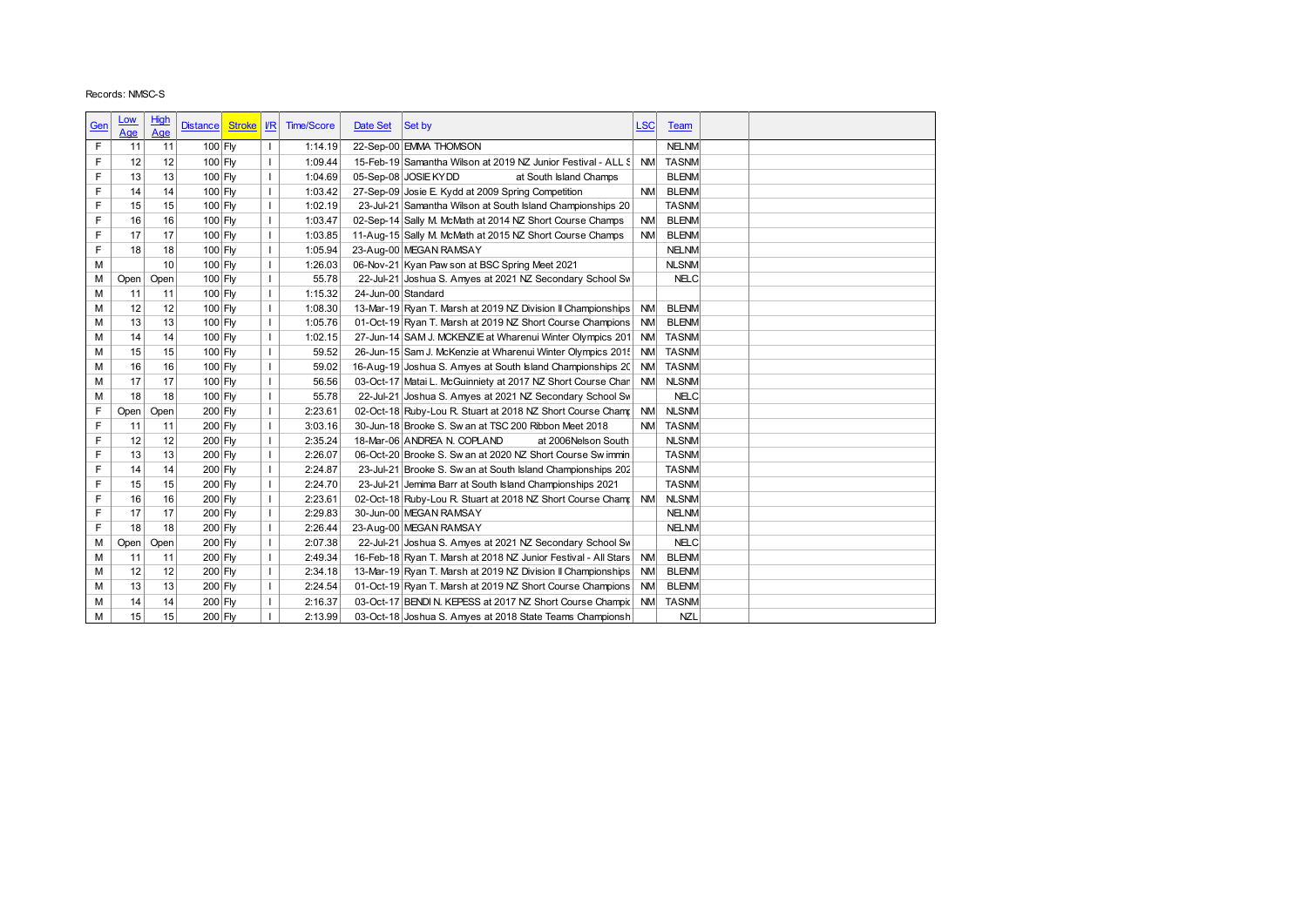| Records: NMSC-S<br>High<br><u>Low</u><br>$\sqrt{R}$<br><b>Time/Score</b><br>Date Set<br>Set by<br><b>LSC</b><br><b>Distance</b><br><b>Stroke</b><br><u>Gen</u><br>Team<br>Age<br><u>Age</u><br>22-Sep-00 EMMA THOMSON<br><b>NELNM</b><br>F<br>11<br>$100$ Fly<br>1:14.19<br>11<br>$\mathbf{I}$<br>F<br>12<br>$100$ Fly<br>$\mathbf{I}$<br>1:09.44<br>15-Feb-19 Samantha Wilson at 2019 NZ Junior Festival - ALL S<br><b>TASNM</b><br>12<br><b>NM</b><br>F<br>13<br>100 Fly<br>1:04.69<br>05-Sep-08 JOSIE KYDD<br>at South Island Champs<br><b>BLENM</b><br>13<br>$\mathbf{I}$<br>F<br>$\mathbf{I}$<br>27-Sep-09 Josie E. Kydd at 2009 Spring Competition<br><b>BLENM</b><br>14<br>14<br>$100$ Fly<br>1:03.42<br><b>NM</b><br>F<br>15<br>100 Fly<br>$\mathbf{I}$<br>1:02.19<br>23-Jul-21 Samantha Wilson at South Island Championships 20<br><b>TASNM</b><br>15<br>F<br>$\mathbf{I}$<br><b>BLENM</b><br>16<br>100 Fly<br>1:03.47<br>02-Sep-14 Sally M. McMath at 2014 NZ Short Course Champs<br><b>NM</b><br>16<br>F<br>17<br>17<br>$\mathbf{I}$<br><b>BLENM</b><br>100 Fly<br>1:03.85<br>11-Aug-15 Sally M. McMath at 2015 NZ Short Course Champs<br><b>NM</b><br>F<br>18<br>18<br>$\mathbf{I}$<br>23-Aug-00 MEGAN RAMSAY<br><b>NELNM</b><br>100 Fly<br>1:05.94<br>M<br>10<br>100 Fly<br>$\mathbf{I}$<br>1:26.03<br>06-Nov-21 Kyan Paw son at BSC Spring Meet 2021<br><b>NLSNM</b><br>100 Fly<br>55.78<br>22-Jul-21 Joshua S. Amyes at 2021 NZ Secondary School Sw<br><b>NELC</b><br>$\mathbf{I}$<br>М<br>Open<br>Open<br>$\mathbf{I}$<br>1:15.32<br>24-Jun-00 Standard<br>M<br>11<br>11<br>$100$ Fly<br>12<br><b>BLENM</b><br>M<br>12<br>100 Fly<br>$\mathbf{I}$<br>1:08.30<br>13-Mar-19 Ryan T. Marsh at 2019 NZ Division II Championships<br><b>NM</b><br>13<br>13<br>$\mathbf{I}$<br><b>BLENM</b><br>M<br>100 Fly<br>1:05.76<br>01-Oct-19 Ryan T. Marsh at 2019 NZ Short Course Champions<br><b>NM</b><br>$\mathbf{I}$<br>M<br>14<br>14<br>100 Fly<br>1:02.15<br>27-Jun-14 SAM J. MCKENZIE at Wharenui Winter Olympics 201 NM<br><b>TASNM</b><br>$\mathbf{I}$<br>59.52<br><b>TASNM</b><br>15<br>15<br>100 Fly<br>26-Jun-15 Sam J. McKenzie at Wharenui Winter Olympics 2015<br><b>NM</b><br>M<br>100 Fly<br>$\mathbf{I}$<br>16-Aug-19 Joshua S. Amyes at South Island Championships 20<br><b>TASNM</b><br>M<br>16<br>16<br>59.02<br><b>NM</b><br>03-Oct-17 Matai L. McGuinniety at 2017 NZ Short Course Chan<br><b>NLSNM</b><br>17<br>17<br>100 Fly<br>$\mathbf{I}$<br>56.56<br><b>NM</b><br>M<br>$\mathbf{I}$<br><b>NELC</b><br>M<br>18<br>18<br>100 Fly<br>55.78<br>22-Jul-21 Joshua S. Amyes at 2021 NZ Secondary School Sw<br>F<br>200 Fly<br>$\mathbf{I}$<br>2:23.61<br>02-Oct-18 Ruby-Lou R. Stuart at 2018 NZ Short Course Champ<br><b>NM</b><br><b>NLSNM</b><br>Open<br>Open<br>F<br>$\mathbf{I}$<br>200 Fly<br>3:03.16<br>30-Jun-18 Brooke S. Sw an at TSC 200 Ribbon Meet 2018<br><b>NM</b><br><b>TASNM</b><br>11<br>11<br>F<br>12<br>200 Fly<br>$\mathbf{I}$<br>18-Mar-06 ANDREA N. COPLAND<br><b>NLSNM</b><br>12<br>2:35.24<br>at 2006Nelson South<br>F<br>13<br>13<br>200 Fly<br>$\mathbf{I}$<br>2:26.07<br>06-Oct-20 Brooke S. Sw an at 2020 NZ Short Course Sw immin<br><b>TASNM</b><br>F<br><b>TASNM</b><br>14<br>14<br>200 Fly<br>$\mathbf{I}$<br>2:24.87<br>23-Jul-21 Brooke S. Sw an at South Island Championships 202<br>F<br>200 Fly<br>2:24.70<br><b>TASNM</b><br>15<br>15<br>$\mathbf{I}$<br>23-Jul-21 Jemima Barr at South Island Championships 2021<br>F<br>$\mathbf{I}$<br>2:23.61<br>02-Oct-18 Ruby-Lou R. Stuart at 2018 NZ Short Course Cham;<br><b>NM</b><br><b>NLSNM</b><br>16<br>16<br>200 Fly<br>F<br>17<br>17<br>200 Fly<br>$\mathbf{I}$<br>2:29.83<br>30-Jun-00 MEGAN RAMSAY<br><b>NELNM</b><br>F<br>$\mathbf{I}$<br><b>NELNM</b><br>18<br>18<br>200 Fly<br>2:26.44<br>23-Aug-00 MEGAN RAMSAY<br>200 Fly<br>$\mathbf{I}$<br>2:07.38<br>22-Jul-21 Joshua S. Amyes at 2021 NZ Secondary School Sw<br><b>NELC</b><br>М<br>Open<br>Open<br>2:49.34<br><b>NM</b><br><b>BLENM</b><br>$200$ Fly<br>$\mathbf{I}$<br>16-Feb-18 Ryan T. Marsh at 2018 NZ Junior Festival - All Stars<br>M<br>11<br>11<br>$\mathbf{I}$<br><b>BLENM</b><br>M<br>12<br>12<br>200 Fly<br>2:34.18<br>13-Mar-19 Ryan T. Marsh at 2019 NZ Division II Championships<br><b>NM</b><br>13<br>13<br>200 Fly<br>$\mathbf{I}$<br><b>BLENM</b><br>M<br>2:24.54<br>01-Oct-19 Ryan T. Marsh at 2019 NZ Short Course Champions<br><b>NM</b><br>$\mathbf{I}$<br><b>TASNM</b><br>M<br>14<br>200 Fly<br>2:16.37<br>03-Oct-17 BENDI N. KEPESS at 2017 NZ Short Course Champic<br><b>NM</b><br>14<br>M<br>15<br>15<br>200 Fly<br>$\mathbf{I}$<br>2:13.99<br><b>NZL</b><br>03-Oct-18 Joshua S. Amyes at 2018 State Teams Championsh |  |  |  |  |  |  |
|---------------------------------------------------------------------------------------------------------------------------------------------------------------------------------------------------------------------------------------------------------------------------------------------------------------------------------------------------------------------------------------------------------------------------------------------------------------------------------------------------------------------------------------------------------------------------------------------------------------------------------------------------------------------------------------------------------------------------------------------------------------------------------------------------------------------------------------------------------------------------------------------------------------------------------------------------------------------------------------------------------------------------------------------------------------------------------------------------------------------------------------------------------------------------------------------------------------------------------------------------------------------------------------------------------------------------------------------------------------------------------------------------------------------------------------------------------------------------------------------------------------------------------------------------------------------------------------------------------------------------------------------------------------------------------------------------------------------------------------------------------------------------------------------------------------------------------------------------------------------------------------------------------------------------------------------------------------------------------------------------------------------------------------------------------------------------------------------------------------------------------------------------------------------------------------------------------------------------------------------------------------------------------------------------------------------------------------------------------------------------------------------------------------------------------------------------------------------------------------------------------------------------------------------------------------------------------------------------------------------------------------------------------------------------------------------------------------------------------------------------------------------------------------------------------------------------------------------------------------------------------------------------------------------------------------------------------------------------------------------------------------------------------------------------------------------------------------------------------------------------------------------------------------------------------------------------------------------------------------------------------------------------------------------------------------------------------------------------------------------------------------------------------------------------------------------------------------------------------------------------------------------------------------------------------------------------------------------------------------------------------------------------------------------------------------------------------------------------------------------------------------------------------------------------------------------------------------------------------------------------------------------------------------------------------------------------------------------------------------------------------------------------------------------------------------------------------------------------------------------------------------------------------------------------------------------------------------------------------------------------------------------------------------------------------------------------------------------------------------------------------------------------------------------------------------------------------------------------------------------------------------------------------------------------------------------------------------------------------------------------------------------------------------------------------------------------------------------------|--|--|--|--|--|--|
|                                                                                                                                                                                                                                                                                                                                                                                                                                                                                                                                                                                                                                                                                                                                                                                                                                                                                                                                                                                                                                                                                                                                                                                                                                                                                                                                                                                                                                                                                                                                                                                                                                                                                                                                                                                                                                                                                                                                                                                                                                                                                                                                                                                                                                                                                                                                                                                                                                                                                                                                                                                                                                                                                                                                                                                                                                                                                                                                                                                                                                                                                                                                                                                                                                                                                                                                                                                                                                                                                                                                                                                                                                                                                                                                                                                                                                                                                                                                                                                                                                                                                                                                                                                                                                                                                                                                                                                                                                                                                                                                                                                                                                                                                                                           |  |  |  |  |  |  |
|                                                                                                                                                                                                                                                                                                                                                                                                                                                                                                                                                                                                                                                                                                                                                                                                                                                                                                                                                                                                                                                                                                                                                                                                                                                                                                                                                                                                                                                                                                                                                                                                                                                                                                                                                                                                                                                                                                                                                                                                                                                                                                                                                                                                                                                                                                                                                                                                                                                                                                                                                                                                                                                                                                                                                                                                                                                                                                                                                                                                                                                                                                                                                                                                                                                                                                                                                                                                                                                                                                                                                                                                                                                                                                                                                                                                                                                                                                                                                                                                                                                                                                                                                                                                                                                                                                                                                                                                                                                                                                                                                                                                                                                                                                                           |  |  |  |  |  |  |
|                                                                                                                                                                                                                                                                                                                                                                                                                                                                                                                                                                                                                                                                                                                                                                                                                                                                                                                                                                                                                                                                                                                                                                                                                                                                                                                                                                                                                                                                                                                                                                                                                                                                                                                                                                                                                                                                                                                                                                                                                                                                                                                                                                                                                                                                                                                                                                                                                                                                                                                                                                                                                                                                                                                                                                                                                                                                                                                                                                                                                                                                                                                                                                                                                                                                                                                                                                                                                                                                                                                                                                                                                                                                                                                                                                                                                                                                                                                                                                                                                                                                                                                                                                                                                                                                                                                                                                                                                                                                                                                                                                                                                                                                                                                           |  |  |  |  |  |  |
|                                                                                                                                                                                                                                                                                                                                                                                                                                                                                                                                                                                                                                                                                                                                                                                                                                                                                                                                                                                                                                                                                                                                                                                                                                                                                                                                                                                                                                                                                                                                                                                                                                                                                                                                                                                                                                                                                                                                                                                                                                                                                                                                                                                                                                                                                                                                                                                                                                                                                                                                                                                                                                                                                                                                                                                                                                                                                                                                                                                                                                                                                                                                                                                                                                                                                                                                                                                                                                                                                                                                                                                                                                                                                                                                                                                                                                                                                                                                                                                                                                                                                                                                                                                                                                                                                                                                                                                                                                                                                                                                                                                                                                                                                                                           |  |  |  |  |  |  |
|                                                                                                                                                                                                                                                                                                                                                                                                                                                                                                                                                                                                                                                                                                                                                                                                                                                                                                                                                                                                                                                                                                                                                                                                                                                                                                                                                                                                                                                                                                                                                                                                                                                                                                                                                                                                                                                                                                                                                                                                                                                                                                                                                                                                                                                                                                                                                                                                                                                                                                                                                                                                                                                                                                                                                                                                                                                                                                                                                                                                                                                                                                                                                                                                                                                                                                                                                                                                                                                                                                                                                                                                                                                                                                                                                                                                                                                                                                                                                                                                                                                                                                                                                                                                                                                                                                                                                                                                                                                                                                                                                                                                                                                                                                                           |  |  |  |  |  |  |
|                                                                                                                                                                                                                                                                                                                                                                                                                                                                                                                                                                                                                                                                                                                                                                                                                                                                                                                                                                                                                                                                                                                                                                                                                                                                                                                                                                                                                                                                                                                                                                                                                                                                                                                                                                                                                                                                                                                                                                                                                                                                                                                                                                                                                                                                                                                                                                                                                                                                                                                                                                                                                                                                                                                                                                                                                                                                                                                                                                                                                                                                                                                                                                                                                                                                                                                                                                                                                                                                                                                                                                                                                                                                                                                                                                                                                                                                                                                                                                                                                                                                                                                                                                                                                                                                                                                                                                                                                                                                                                                                                                                                                                                                                                                           |  |  |  |  |  |  |
|                                                                                                                                                                                                                                                                                                                                                                                                                                                                                                                                                                                                                                                                                                                                                                                                                                                                                                                                                                                                                                                                                                                                                                                                                                                                                                                                                                                                                                                                                                                                                                                                                                                                                                                                                                                                                                                                                                                                                                                                                                                                                                                                                                                                                                                                                                                                                                                                                                                                                                                                                                                                                                                                                                                                                                                                                                                                                                                                                                                                                                                                                                                                                                                                                                                                                                                                                                                                                                                                                                                                                                                                                                                                                                                                                                                                                                                                                                                                                                                                                                                                                                                                                                                                                                                                                                                                                                                                                                                                                                                                                                                                                                                                                                                           |  |  |  |  |  |  |
|                                                                                                                                                                                                                                                                                                                                                                                                                                                                                                                                                                                                                                                                                                                                                                                                                                                                                                                                                                                                                                                                                                                                                                                                                                                                                                                                                                                                                                                                                                                                                                                                                                                                                                                                                                                                                                                                                                                                                                                                                                                                                                                                                                                                                                                                                                                                                                                                                                                                                                                                                                                                                                                                                                                                                                                                                                                                                                                                                                                                                                                                                                                                                                                                                                                                                                                                                                                                                                                                                                                                                                                                                                                                                                                                                                                                                                                                                                                                                                                                                                                                                                                                                                                                                                                                                                                                                                                                                                                                                                                                                                                                                                                                                                                           |  |  |  |  |  |  |
|                                                                                                                                                                                                                                                                                                                                                                                                                                                                                                                                                                                                                                                                                                                                                                                                                                                                                                                                                                                                                                                                                                                                                                                                                                                                                                                                                                                                                                                                                                                                                                                                                                                                                                                                                                                                                                                                                                                                                                                                                                                                                                                                                                                                                                                                                                                                                                                                                                                                                                                                                                                                                                                                                                                                                                                                                                                                                                                                                                                                                                                                                                                                                                                                                                                                                                                                                                                                                                                                                                                                                                                                                                                                                                                                                                                                                                                                                                                                                                                                                                                                                                                                                                                                                                                                                                                                                                                                                                                                                                                                                                                                                                                                                                                           |  |  |  |  |  |  |
|                                                                                                                                                                                                                                                                                                                                                                                                                                                                                                                                                                                                                                                                                                                                                                                                                                                                                                                                                                                                                                                                                                                                                                                                                                                                                                                                                                                                                                                                                                                                                                                                                                                                                                                                                                                                                                                                                                                                                                                                                                                                                                                                                                                                                                                                                                                                                                                                                                                                                                                                                                                                                                                                                                                                                                                                                                                                                                                                                                                                                                                                                                                                                                                                                                                                                                                                                                                                                                                                                                                                                                                                                                                                                                                                                                                                                                                                                                                                                                                                                                                                                                                                                                                                                                                                                                                                                                                                                                                                                                                                                                                                                                                                                                                           |  |  |  |  |  |  |
|                                                                                                                                                                                                                                                                                                                                                                                                                                                                                                                                                                                                                                                                                                                                                                                                                                                                                                                                                                                                                                                                                                                                                                                                                                                                                                                                                                                                                                                                                                                                                                                                                                                                                                                                                                                                                                                                                                                                                                                                                                                                                                                                                                                                                                                                                                                                                                                                                                                                                                                                                                                                                                                                                                                                                                                                                                                                                                                                                                                                                                                                                                                                                                                                                                                                                                                                                                                                                                                                                                                                                                                                                                                                                                                                                                                                                                                                                                                                                                                                                                                                                                                                                                                                                                                                                                                                                                                                                                                                                                                                                                                                                                                                                                                           |  |  |  |  |  |  |
|                                                                                                                                                                                                                                                                                                                                                                                                                                                                                                                                                                                                                                                                                                                                                                                                                                                                                                                                                                                                                                                                                                                                                                                                                                                                                                                                                                                                                                                                                                                                                                                                                                                                                                                                                                                                                                                                                                                                                                                                                                                                                                                                                                                                                                                                                                                                                                                                                                                                                                                                                                                                                                                                                                                                                                                                                                                                                                                                                                                                                                                                                                                                                                                                                                                                                                                                                                                                                                                                                                                                                                                                                                                                                                                                                                                                                                                                                                                                                                                                                                                                                                                                                                                                                                                                                                                                                                                                                                                                                                                                                                                                                                                                                                                           |  |  |  |  |  |  |
|                                                                                                                                                                                                                                                                                                                                                                                                                                                                                                                                                                                                                                                                                                                                                                                                                                                                                                                                                                                                                                                                                                                                                                                                                                                                                                                                                                                                                                                                                                                                                                                                                                                                                                                                                                                                                                                                                                                                                                                                                                                                                                                                                                                                                                                                                                                                                                                                                                                                                                                                                                                                                                                                                                                                                                                                                                                                                                                                                                                                                                                                                                                                                                                                                                                                                                                                                                                                                                                                                                                                                                                                                                                                                                                                                                                                                                                                                                                                                                                                                                                                                                                                                                                                                                                                                                                                                                                                                                                                                                                                                                                                                                                                                                                           |  |  |  |  |  |  |
|                                                                                                                                                                                                                                                                                                                                                                                                                                                                                                                                                                                                                                                                                                                                                                                                                                                                                                                                                                                                                                                                                                                                                                                                                                                                                                                                                                                                                                                                                                                                                                                                                                                                                                                                                                                                                                                                                                                                                                                                                                                                                                                                                                                                                                                                                                                                                                                                                                                                                                                                                                                                                                                                                                                                                                                                                                                                                                                                                                                                                                                                                                                                                                                                                                                                                                                                                                                                                                                                                                                                                                                                                                                                                                                                                                                                                                                                                                                                                                                                                                                                                                                                                                                                                                                                                                                                                                                                                                                                                                                                                                                                                                                                                                                           |  |  |  |  |  |  |
|                                                                                                                                                                                                                                                                                                                                                                                                                                                                                                                                                                                                                                                                                                                                                                                                                                                                                                                                                                                                                                                                                                                                                                                                                                                                                                                                                                                                                                                                                                                                                                                                                                                                                                                                                                                                                                                                                                                                                                                                                                                                                                                                                                                                                                                                                                                                                                                                                                                                                                                                                                                                                                                                                                                                                                                                                                                                                                                                                                                                                                                                                                                                                                                                                                                                                                                                                                                                                                                                                                                                                                                                                                                                                                                                                                                                                                                                                                                                                                                                                                                                                                                                                                                                                                                                                                                                                                                                                                                                                                                                                                                                                                                                                                                           |  |  |  |  |  |  |
|                                                                                                                                                                                                                                                                                                                                                                                                                                                                                                                                                                                                                                                                                                                                                                                                                                                                                                                                                                                                                                                                                                                                                                                                                                                                                                                                                                                                                                                                                                                                                                                                                                                                                                                                                                                                                                                                                                                                                                                                                                                                                                                                                                                                                                                                                                                                                                                                                                                                                                                                                                                                                                                                                                                                                                                                                                                                                                                                                                                                                                                                                                                                                                                                                                                                                                                                                                                                                                                                                                                                                                                                                                                                                                                                                                                                                                                                                                                                                                                                                                                                                                                                                                                                                                                                                                                                                                                                                                                                                                                                                                                                                                                                                                                           |  |  |  |  |  |  |
|                                                                                                                                                                                                                                                                                                                                                                                                                                                                                                                                                                                                                                                                                                                                                                                                                                                                                                                                                                                                                                                                                                                                                                                                                                                                                                                                                                                                                                                                                                                                                                                                                                                                                                                                                                                                                                                                                                                                                                                                                                                                                                                                                                                                                                                                                                                                                                                                                                                                                                                                                                                                                                                                                                                                                                                                                                                                                                                                                                                                                                                                                                                                                                                                                                                                                                                                                                                                                                                                                                                                                                                                                                                                                                                                                                                                                                                                                                                                                                                                                                                                                                                                                                                                                                                                                                                                                                                                                                                                                                                                                                                                                                                                                                                           |  |  |  |  |  |  |
|                                                                                                                                                                                                                                                                                                                                                                                                                                                                                                                                                                                                                                                                                                                                                                                                                                                                                                                                                                                                                                                                                                                                                                                                                                                                                                                                                                                                                                                                                                                                                                                                                                                                                                                                                                                                                                                                                                                                                                                                                                                                                                                                                                                                                                                                                                                                                                                                                                                                                                                                                                                                                                                                                                                                                                                                                                                                                                                                                                                                                                                                                                                                                                                                                                                                                                                                                                                                                                                                                                                                                                                                                                                                                                                                                                                                                                                                                                                                                                                                                                                                                                                                                                                                                                                                                                                                                                                                                                                                                                                                                                                                                                                                                                                           |  |  |  |  |  |  |
|                                                                                                                                                                                                                                                                                                                                                                                                                                                                                                                                                                                                                                                                                                                                                                                                                                                                                                                                                                                                                                                                                                                                                                                                                                                                                                                                                                                                                                                                                                                                                                                                                                                                                                                                                                                                                                                                                                                                                                                                                                                                                                                                                                                                                                                                                                                                                                                                                                                                                                                                                                                                                                                                                                                                                                                                                                                                                                                                                                                                                                                                                                                                                                                                                                                                                                                                                                                                                                                                                                                                                                                                                                                                                                                                                                                                                                                                                                                                                                                                                                                                                                                                                                                                                                                                                                                                                                                                                                                                                                                                                                                                                                                                                                                           |  |  |  |  |  |  |
|                                                                                                                                                                                                                                                                                                                                                                                                                                                                                                                                                                                                                                                                                                                                                                                                                                                                                                                                                                                                                                                                                                                                                                                                                                                                                                                                                                                                                                                                                                                                                                                                                                                                                                                                                                                                                                                                                                                                                                                                                                                                                                                                                                                                                                                                                                                                                                                                                                                                                                                                                                                                                                                                                                                                                                                                                                                                                                                                                                                                                                                                                                                                                                                                                                                                                                                                                                                                                                                                                                                                                                                                                                                                                                                                                                                                                                                                                                                                                                                                                                                                                                                                                                                                                                                                                                                                                                                                                                                                                                                                                                                                                                                                                                                           |  |  |  |  |  |  |
|                                                                                                                                                                                                                                                                                                                                                                                                                                                                                                                                                                                                                                                                                                                                                                                                                                                                                                                                                                                                                                                                                                                                                                                                                                                                                                                                                                                                                                                                                                                                                                                                                                                                                                                                                                                                                                                                                                                                                                                                                                                                                                                                                                                                                                                                                                                                                                                                                                                                                                                                                                                                                                                                                                                                                                                                                                                                                                                                                                                                                                                                                                                                                                                                                                                                                                                                                                                                                                                                                                                                                                                                                                                                                                                                                                                                                                                                                                                                                                                                                                                                                                                                                                                                                                                                                                                                                                                                                                                                                                                                                                                                                                                                                                                           |  |  |  |  |  |  |
|                                                                                                                                                                                                                                                                                                                                                                                                                                                                                                                                                                                                                                                                                                                                                                                                                                                                                                                                                                                                                                                                                                                                                                                                                                                                                                                                                                                                                                                                                                                                                                                                                                                                                                                                                                                                                                                                                                                                                                                                                                                                                                                                                                                                                                                                                                                                                                                                                                                                                                                                                                                                                                                                                                                                                                                                                                                                                                                                                                                                                                                                                                                                                                                                                                                                                                                                                                                                                                                                                                                                                                                                                                                                                                                                                                                                                                                                                                                                                                                                                                                                                                                                                                                                                                                                                                                                                                                                                                                                                                                                                                                                                                                                                                                           |  |  |  |  |  |  |
|                                                                                                                                                                                                                                                                                                                                                                                                                                                                                                                                                                                                                                                                                                                                                                                                                                                                                                                                                                                                                                                                                                                                                                                                                                                                                                                                                                                                                                                                                                                                                                                                                                                                                                                                                                                                                                                                                                                                                                                                                                                                                                                                                                                                                                                                                                                                                                                                                                                                                                                                                                                                                                                                                                                                                                                                                                                                                                                                                                                                                                                                                                                                                                                                                                                                                                                                                                                                                                                                                                                                                                                                                                                                                                                                                                                                                                                                                                                                                                                                                                                                                                                                                                                                                                                                                                                                                                                                                                                                                                                                                                                                                                                                                                                           |  |  |  |  |  |  |
|                                                                                                                                                                                                                                                                                                                                                                                                                                                                                                                                                                                                                                                                                                                                                                                                                                                                                                                                                                                                                                                                                                                                                                                                                                                                                                                                                                                                                                                                                                                                                                                                                                                                                                                                                                                                                                                                                                                                                                                                                                                                                                                                                                                                                                                                                                                                                                                                                                                                                                                                                                                                                                                                                                                                                                                                                                                                                                                                                                                                                                                                                                                                                                                                                                                                                                                                                                                                                                                                                                                                                                                                                                                                                                                                                                                                                                                                                                                                                                                                                                                                                                                                                                                                                                                                                                                                                                                                                                                                                                                                                                                                                                                                                                                           |  |  |  |  |  |  |
|                                                                                                                                                                                                                                                                                                                                                                                                                                                                                                                                                                                                                                                                                                                                                                                                                                                                                                                                                                                                                                                                                                                                                                                                                                                                                                                                                                                                                                                                                                                                                                                                                                                                                                                                                                                                                                                                                                                                                                                                                                                                                                                                                                                                                                                                                                                                                                                                                                                                                                                                                                                                                                                                                                                                                                                                                                                                                                                                                                                                                                                                                                                                                                                                                                                                                                                                                                                                                                                                                                                                                                                                                                                                                                                                                                                                                                                                                                                                                                                                                                                                                                                                                                                                                                                                                                                                                                                                                                                                                                                                                                                                                                                                                                                           |  |  |  |  |  |  |
|                                                                                                                                                                                                                                                                                                                                                                                                                                                                                                                                                                                                                                                                                                                                                                                                                                                                                                                                                                                                                                                                                                                                                                                                                                                                                                                                                                                                                                                                                                                                                                                                                                                                                                                                                                                                                                                                                                                                                                                                                                                                                                                                                                                                                                                                                                                                                                                                                                                                                                                                                                                                                                                                                                                                                                                                                                                                                                                                                                                                                                                                                                                                                                                                                                                                                                                                                                                                                                                                                                                                                                                                                                                                                                                                                                                                                                                                                                                                                                                                                                                                                                                                                                                                                                                                                                                                                                                                                                                                                                                                                                                                                                                                                                                           |  |  |  |  |  |  |
|                                                                                                                                                                                                                                                                                                                                                                                                                                                                                                                                                                                                                                                                                                                                                                                                                                                                                                                                                                                                                                                                                                                                                                                                                                                                                                                                                                                                                                                                                                                                                                                                                                                                                                                                                                                                                                                                                                                                                                                                                                                                                                                                                                                                                                                                                                                                                                                                                                                                                                                                                                                                                                                                                                                                                                                                                                                                                                                                                                                                                                                                                                                                                                                                                                                                                                                                                                                                                                                                                                                                                                                                                                                                                                                                                                                                                                                                                                                                                                                                                                                                                                                                                                                                                                                                                                                                                                                                                                                                                                                                                                                                                                                                                                                           |  |  |  |  |  |  |
|                                                                                                                                                                                                                                                                                                                                                                                                                                                                                                                                                                                                                                                                                                                                                                                                                                                                                                                                                                                                                                                                                                                                                                                                                                                                                                                                                                                                                                                                                                                                                                                                                                                                                                                                                                                                                                                                                                                                                                                                                                                                                                                                                                                                                                                                                                                                                                                                                                                                                                                                                                                                                                                                                                                                                                                                                                                                                                                                                                                                                                                                                                                                                                                                                                                                                                                                                                                                                                                                                                                                                                                                                                                                                                                                                                                                                                                                                                                                                                                                                                                                                                                                                                                                                                                                                                                                                                                                                                                                                                                                                                                                                                                                                                                           |  |  |  |  |  |  |
|                                                                                                                                                                                                                                                                                                                                                                                                                                                                                                                                                                                                                                                                                                                                                                                                                                                                                                                                                                                                                                                                                                                                                                                                                                                                                                                                                                                                                                                                                                                                                                                                                                                                                                                                                                                                                                                                                                                                                                                                                                                                                                                                                                                                                                                                                                                                                                                                                                                                                                                                                                                                                                                                                                                                                                                                                                                                                                                                                                                                                                                                                                                                                                                                                                                                                                                                                                                                                                                                                                                                                                                                                                                                                                                                                                                                                                                                                                                                                                                                                                                                                                                                                                                                                                                                                                                                                                                                                                                                                                                                                                                                                                                                                                                           |  |  |  |  |  |  |
|                                                                                                                                                                                                                                                                                                                                                                                                                                                                                                                                                                                                                                                                                                                                                                                                                                                                                                                                                                                                                                                                                                                                                                                                                                                                                                                                                                                                                                                                                                                                                                                                                                                                                                                                                                                                                                                                                                                                                                                                                                                                                                                                                                                                                                                                                                                                                                                                                                                                                                                                                                                                                                                                                                                                                                                                                                                                                                                                                                                                                                                                                                                                                                                                                                                                                                                                                                                                                                                                                                                                                                                                                                                                                                                                                                                                                                                                                                                                                                                                                                                                                                                                                                                                                                                                                                                                                                                                                                                                                                                                                                                                                                                                                                                           |  |  |  |  |  |  |
|                                                                                                                                                                                                                                                                                                                                                                                                                                                                                                                                                                                                                                                                                                                                                                                                                                                                                                                                                                                                                                                                                                                                                                                                                                                                                                                                                                                                                                                                                                                                                                                                                                                                                                                                                                                                                                                                                                                                                                                                                                                                                                                                                                                                                                                                                                                                                                                                                                                                                                                                                                                                                                                                                                                                                                                                                                                                                                                                                                                                                                                                                                                                                                                                                                                                                                                                                                                                                                                                                                                                                                                                                                                                                                                                                                                                                                                                                                                                                                                                                                                                                                                                                                                                                                                                                                                                                                                                                                                                                                                                                                                                                                                                                                                           |  |  |  |  |  |  |
|                                                                                                                                                                                                                                                                                                                                                                                                                                                                                                                                                                                                                                                                                                                                                                                                                                                                                                                                                                                                                                                                                                                                                                                                                                                                                                                                                                                                                                                                                                                                                                                                                                                                                                                                                                                                                                                                                                                                                                                                                                                                                                                                                                                                                                                                                                                                                                                                                                                                                                                                                                                                                                                                                                                                                                                                                                                                                                                                                                                                                                                                                                                                                                                                                                                                                                                                                                                                                                                                                                                                                                                                                                                                                                                                                                                                                                                                                                                                                                                                                                                                                                                                                                                                                                                                                                                                                                                                                                                                                                                                                                                                                                                                                                                           |  |  |  |  |  |  |
|                                                                                                                                                                                                                                                                                                                                                                                                                                                                                                                                                                                                                                                                                                                                                                                                                                                                                                                                                                                                                                                                                                                                                                                                                                                                                                                                                                                                                                                                                                                                                                                                                                                                                                                                                                                                                                                                                                                                                                                                                                                                                                                                                                                                                                                                                                                                                                                                                                                                                                                                                                                                                                                                                                                                                                                                                                                                                                                                                                                                                                                                                                                                                                                                                                                                                                                                                                                                                                                                                                                                                                                                                                                                                                                                                                                                                                                                                                                                                                                                                                                                                                                                                                                                                                                                                                                                                                                                                                                                                                                                                                                                                                                                                                                           |  |  |  |  |  |  |
|                                                                                                                                                                                                                                                                                                                                                                                                                                                                                                                                                                                                                                                                                                                                                                                                                                                                                                                                                                                                                                                                                                                                                                                                                                                                                                                                                                                                                                                                                                                                                                                                                                                                                                                                                                                                                                                                                                                                                                                                                                                                                                                                                                                                                                                                                                                                                                                                                                                                                                                                                                                                                                                                                                                                                                                                                                                                                                                                                                                                                                                                                                                                                                                                                                                                                                                                                                                                                                                                                                                                                                                                                                                                                                                                                                                                                                                                                                                                                                                                                                                                                                                                                                                                                                                                                                                                                                                                                                                                                                                                                                                                                                                                                                                           |  |  |  |  |  |  |
|                                                                                                                                                                                                                                                                                                                                                                                                                                                                                                                                                                                                                                                                                                                                                                                                                                                                                                                                                                                                                                                                                                                                                                                                                                                                                                                                                                                                                                                                                                                                                                                                                                                                                                                                                                                                                                                                                                                                                                                                                                                                                                                                                                                                                                                                                                                                                                                                                                                                                                                                                                                                                                                                                                                                                                                                                                                                                                                                                                                                                                                                                                                                                                                                                                                                                                                                                                                                                                                                                                                                                                                                                                                                                                                                                                                                                                                                                                                                                                                                                                                                                                                                                                                                                                                                                                                                                                                                                                                                                                                                                                                                                                                                                                                           |  |  |  |  |  |  |
|                                                                                                                                                                                                                                                                                                                                                                                                                                                                                                                                                                                                                                                                                                                                                                                                                                                                                                                                                                                                                                                                                                                                                                                                                                                                                                                                                                                                                                                                                                                                                                                                                                                                                                                                                                                                                                                                                                                                                                                                                                                                                                                                                                                                                                                                                                                                                                                                                                                                                                                                                                                                                                                                                                                                                                                                                                                                                                                                                                                                                                                                                                                                                                                                                                                                                                                                                                                                                                                                                                                                                                                                                                                                                                                                                                                                                                                                                                                                                                                                                                                                                                                                                                                                                                                                                                                                                                                                                                                                                                                                                                                                                                                                                                                           |  |  |  |  |  |  |
|                                                                                                                                                                                                                                                                                                                                                                                                                                                                                                                                                                                                                                                                                                                                                                                                                                                                                                                                                                                                                                                                                                                                                                                                                                                                                                                                                                                                                                                                                                                                                                                                                                                                                                                                                                                                                                                                                                                                                                                                                                                                                                                                                                                                                                                                                                                                                                                                                                                                                                                                                                                                                                                                                                                                                                                                                                                                                                                                                                                                                                                                                                                                                                                                                                                                                                                                                                                                                                                                                                                                                                                                                                                                                                                                                                                                                                                                                                                                                                                                                                                                                                                                                                                                                                                                                                                                                                                                                                                                                                                                                                                                                                                                                                                           |  |  |  |  |  |  |
|                                                                                                                                                                                                                                                                                                                                                                                                                                                                                                                                                                                                                                                                                                                                                                                                                                                                                                                                                                                                                                                                                                                                                                                                                                                                                                                                                                                                                                                                                                                                                                                                                                                                                                                                                                                                                                                                                                                                                                                                                                                                                                                                                                                                                                                                                                                                                                                                                                                                                                                                                                                                                                                                                                                                                                                                                                                                                                                                                                                                                                                                                                                                                                                                                                                                                                                                                                                                                                                                                                                                                                                                                                                                                                                                                                                                                                                                                                                                                                                                                                                                                                                                                                                                                                                                                                                                                                                                                                                                                                                                                                                                                                                                                                                           |  |  |  |  |  |  |
|                                                                                                                                                                                                                                                                                                                                                                                                                                                                                                                                                                                                                                                                                                                                                                                                                                                                                                                                                                                                                                                                                                                                                                                                                                                                                                                                                                                                                                                                                                                                                                                                                                                                                                                                                                                                                                                                                                                                                                                                                                                                                                                                                                                                                                                                                                                                                                                                                                                                                                                                                                                                                                                                                                                                                                                                                                                                                                                                                                                                                                                                                                                                                                                                                                                                                                                                                                                                                                                                                                                                                                                                                                                                                                                                                                                                                                                                                                                                                                                                                                                                                                                                                                                                                                                                                                                                                                                                                                                                                                                                                                                                                                                                                                                           |  |  |  |  |  |  |
|                                                                                                                                                                                                                                                                                                                                                                                                                                                                                                                                                                                                                                                                                                                                                                                                                                                                                                                                                                                                                                                                                                                                                                                                                                                                                                                                                                                                                                                                                                                                                                                                                                                                                                                                                                                                                                                                                                                                                                                                                                                                                                                                                                                                                                                                                                                                                                                                                                                                                                                                                                                                                                                                                                                                                                                                                                                                                                                                                                                                                                                                                                                                                                                                                                                                                                                                                                                                                                                                                                                                                                                                                                                                                                                                                                                                                                                                                                                                                                                                                                                                                                                                                                                                                                                                                                                                                                                                                                                                                                                                                                                                                                                                                                                           |  |  |  |  |  |  |
|                                                                                                                                                                                                                                                                                                                                                                                                                                                                                                                                                                                                                                                                                                                                                                                                                                                                                                                                                                                                                                                                                                                                                                                                                                                                                                                                                                                                                                                                                                                                                                                                                                                                                                                                                                                                                                                                                                                                                                                                                                                                                                                                                                                                                                                                                                                                                                                                                                                                                                                                                                                                                                                                                                                                                                                                                                                                                                                                                                                                                                                                                                                                                                                                                                                                                                                                                                                                                                                                                                                                                                                                                                                                                                                                                                                                                                                                                                                                                                                                                                                                                                                                                                                                                                                                                                                                                                                                                                                                                                                                                                                                                                                                                                                           |  |  |  |  |  |  |
|                                                                                                                                                                                                                                                                                                                                                                                                                                                                                                                                                                                                                                                                                                                                                                                                                                                                                                                                                                                                                                                                                                                                                                                                                                                                                                                                                                                                                                                                                                                                                                                                                                                                                                                                                                                                                                                                                                                                                                                                                                                                                                                                                                                                                                                                                                                                                                                                                                                                                                                                                                                                                                                                                                                                                                                                                                                                                                                                                                                                                                                                                                                                                                                                                                                                                                                                                                                                                                                                                                                                                                                                                                                                                                                                                                                                                                                                                                                                                                                                                                                                                                                                                                                                                                                                                                                                                                                                                                                                                                                                                                                                                                                                                                                           |  |  |  |  |  |  |
|                                                                                                                                                                                                                                                                                                                                                                                                                                                                                                                                                                                                                                                                                                                                                                                                                                                                                                                                                                                                                                                                                                                                                                                                                                                                                                                                                                                                                                                                                                                                                                                                                                                                                                                                                                                                                                                                                                                                                                                                                                                                                                                                                                                                                                                                                                                                                                                                                                                                                                                                                                                                                                                                                                                                                                                                                                                                                                                                                                                                                                                                                                                                                                                                                                                                                                                                                                                                                                                                                                                                                                                                                                                                                                                                                                                                                                                                                                                                                                                                                                                                                                                                                                                                                                                                                                                                                                                                                                                                                                                                                                                                                                                                                                                           |  |  |  |  |  |  |
|                                                                                                                                                                                                                                                                                                                                                                                                                                                                                                                                                                                                                                                                                                                                                                                                                                                                                                                                                                                                                                                                                                                                                                                                                                                                                                                                                                                                                                                                                                                                                                                                                                                                                                                                                                                                                                                                                                                                                                                                                                                                                                                                                                                                                                                                                                                                                                                                                                                                                                                                                                                                                                                                                                                                                                                                                                                                                                                                                                                                                                                                                                                                                                                                                                                                                                                                                                                                                                                                                                                                                                                                                                                                                                                                                                                                                                                                                                                                                                                                                                                                                                                                                                                                                                                                                                                                                                                                                                                                                                                                                                                                                                                                                                                           |  |  |  |  |  |  |
|                                                                                                                                                                                                                                                                                                                                                                                                                                                                                                                                                                                                                                                                                                                                                                                                                                                                                                                                                                                                                                                                                                                                                                                                                                                                                                                                                                                                                                                                                                                                                                                                                                                                                                                                                                                                                                                                                                                                                                                                                                                                                                                                                                                                                                                                                                                                                                                                                                                                                                                                                                                                                                                                                                                                                                                                                                                                                                                                                                                                                                                                                                                                                                                                                                                                                                                                                                                                                                                                                                                                                                                                                                                                                                                                                                                                                                                                                                                                                                                                                                                                                                                                                                                                                                                                                                                                                                                                                                                                                                                                                                                                                                                                                                                           |  |  |  |  |  |  |
|                                                                                                                                                                                                                                                                                                                                                                                                                                                                                                                                                                                                                                                                                                                                                                                                                                                                                                                                                                                                                                                                                                                                                                                                                                                                                                                                                                                                                                                                                                                                                                                                                                                                                                                                                                                                                                                                                                                                                                                                                                                                                                                                                                                                                                                                                                                                                                                                                                                                                                                                                                                                                                                                                                                                                                                                                                                                                                                                                                                                                                                                                                                                                                                                                                                                                                                                                                                                                                                                                                                                                                                                                                                                                                                                                                                                                                                                                                                                                                                                                                                                                                                                                                                                                                                                                                                                                                                                                                                                                                                                                                                                                                                                                                                           |  |  |  |  |  |  |
|                                                                                                                                                                                                                                                                                                                                                                                                                                                                                                                                                                                                                                                                                                                                                                                                                                                                                                                                                                                                                                                                                                                                                                                                                                                                                                                                                                                                                                                                                                                                                                                                                                                                                                                                                                                                                                                                                                                                                                                                                                                                                                                                                                                                                                                                                                                                                                                                                                                                                                                                                                                                                                                                                                                                                                                                                                                                                                                                                                                                                                                                                                                                                                                                                                                                                                                                                                                                                                                                                                                                                                                                                                                                                                                                                                                                                                                                                                                                                                                                                                                                                                                                                                                                                                                                                                                                                                                                                                                                                                                                                                                                                                                                                                                           |  |  |  |  |  |  |
|                                                                                                                                                                                                                                                                                                                                                                                                                                                                                                                                                                                                                                                                                                                                                                                                                                                                                                                                                                                                                                                                                                                                                                                                                                                                                                                                                                                                                                                                                                                                                                                                                                                                                                                                                                                                                                                                                                                                                                                                                                                                                                                                                                                                                                                                                                                                                                                                                                                                                                                                                                                                                                                                                                                                                                                                                                                                                                                                                                                                                                                                                                                                                                                                                                                                                                                                                                                                                                                                                                                                                                                                                                                                                                                                                                                                                                                                                                                                                                                                                                                                                                                                                                                                                                                                                                                                                                                                                                                                                                                                                                                                                                                                                                                           |  |  |  |  |  |  |
|                                                                                                                                                                                                                                                                                                                                                                                                                                                                                                                                                                                                                                                                                                                                                                                                                                                                                                                                                                                                                                                                                                                                                                                                                                                                                                                                                                                                                                                                                                                                                                                                                                                                                                                                                                                                                                                                                                                                                                                                                                                                                                                                                                                                                                                                                                                                                                                                                                                                                                                                                                                                                                                                                                                                                                                                                                                                                                                                                                                                                                                                                                                                                                                                                                                                                                                                                                                                                                                                                                                                                                                                                                                                                                                                                                                                                                                                                                                                                                                                                                                                                                                                                                                                                                                                                                                                                                                                                                                                                                                                                                                                                                                                                                                           |  |  |  |  |  |  |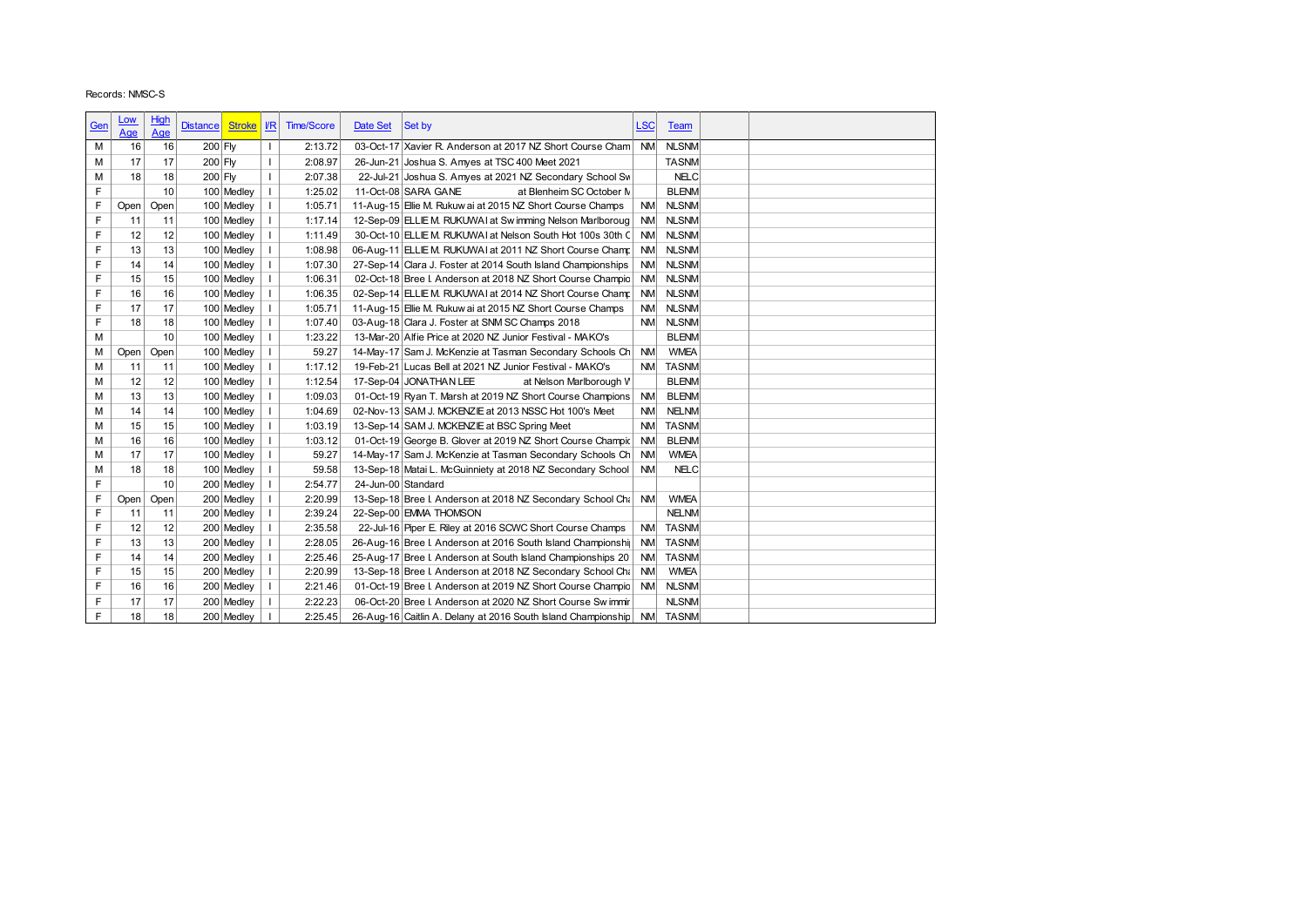|            | Records: NMSC-S |             |                                     |                          |                    |                    |                                                                                                                           |            |                          |  |
|------------|-----------------|-------------|-------------------------------------|--------------------------|--------------------|--------------------|---------------------------------------------------------------------------------------------------------------------------|------------|--------------------------|--|
|            |                 |             |                                     |                          |                    |                    |                                                                                                                           |            |                          |  |
| <u>Gen</u> | <u>Low</u>      | High<br>Age | Stroke <b>IR</b><br><b>Distance</b> |                          | <b>Time/Score</b>  | Date Set           | Set by                                                                                                                    | <b>LSC</b> | <b>Team</b>              |  |
| M          | Age<br>16       | 16          | 200 Fly                             | $\mathbf{I}$             | 2:13.72            |                    | 03-Oct-17 Xavier R. Anderson at 2017 NZ Short Course Cham NM                                                              |            | <b>NLSNM</b>             |  |
| M          | 17              | 17          | 200 Fly                             | $\mathbf{I}$             | 2:08.97            |                    | 26-Jun-21 Joshua S. Amyes at TSC 400 Meet 2021                                                                            |            | <b>TASNM</b>             |  |
| M          | 18              | 18          | 200 Fly                             | $\overline{1}$           | 2:07.38            |                    | 22-Jul-21 Joshua S. Amyes at 2021 NZ Secondary School Sw                                                                  |            | <b>NELC</b>              |  |
| F          |                 | 10          | 100 Medley                          | $\mathbf{I}$             | 1:25.02            |                    | 11-Oct-08 SARA GANE<br>at Blenheim SC October N                                                                           |            | <b>BLENM</b>             |  |
| F          | Open            | Open        | 100 Medley                          | $\mathbf{I}$             | 1:05.71            |                    | 11-Aug-15 Elie M. Rukuw ai at 2015 NZ Short Course Champs                                                                 | <b>NM</b>  | <b>NLSNM</b>             |  |
| F          | 11              | 11          | 100 Medley                          | $\overline{\phantom{a}}$ | 1:17.14            |                    | 12-Sep-09 ELLIE M. RUKUWAI at Swimming Nelson Marlboroug                                                                  | <b>NM</b>  | <b>NLSNM</b>             |  |
| F          | 12              | 12          | 100 Medley                          | $\overline{\phantom{a}}$ | 1:11.49            |                    | 30-Oct-10 ELLIE M. RUKUWAI at Nelson South Hot 100s 30th C                                                                | <b>NM</b>  | <b>NLSNM</b>             |  |
| F          | 13              | 13          | 100 Medley                          | $\overline{\phantom{a}}$ | 1:08.98            |                    | 06-Aug-11 ELLIE M. RUKUWAI at 2011 NZ Short Course Champ                                                                  | <b>NM</b>  | <b>NLSNM</b>             |  |
| F          | 14              | 14          | 100 Medley                          | $\overline{\phantom{a}}$ | 1:07.30            |                    | 27-Sep-14 Clara J. Foster at 2014 South Island Championships                                                              | <b>NM</b>  | <b>NLSNM</b>             |  |
| F          | 15              | 15          | 100 Medley                          | $\overline{\phantom{a}}$ | 1:06.31            |                    | 02-Oct-18 Bree I. Anderson at 2018 NZ Short Course Champio                                                                | <b>NM</b>  | <b>NLSNM</b>             |  |
| F          | 16              | 16          | 100 Medley                          | $\mathbf{I}$             | 1:06.35            |                    | 02-Sep-14 ELLIE M. RUKUWAI at 2014 NZ Short Course Champ                                                                  | <b>NM</b>  | <b>NLSNM</b>             |  |
| F          | 17              | 17          | 100 Medley                          | $\mathbf{I}$             | 1:05.71            |                    | 11-Aug-15 Elie M. Rukuw ai at 2015 NZ Short Course Champs                                                                 | <b>NM</b>  | <b>NLSNM</b>             |  |
| F          | 18              | 18          | 100 Medley                          | $\mathbf{I}$             | 1:07.40            |                    | 03-Aug-18 Clara J. Foster at SNM SC Champs 2018                                                                           | <b>NM</b>  | <b>NLSNM</b>             |  |
| M          |                 | 10          | 100 Medley                          | $\overline{\phantom{a}}$ | 1:23.22            |                    | 13-Mar-20 Alfie Price at 2020 NZ Junior Festival - MAKO's                                                                 |            | <b>BLENM</b>             |  |
| М          | Open            | Open        | 100 Medley                          | $\overline{\phantom{a}}$ | 59.27              |                    | 14-May-17 Sam J. McKenzie at Tasman Secondary Schools Ch                                                                  | <b>NM</b>  | <b>WMEA</b>              |  |
| M          | 11              | 11          | 100 Medley                          | $\overline{\phantom{a}}$ | 1:17.12            |                    | 19-Feb-21 Lucas Bell at 2021 NZ Junior Festival - MAKO's                                                                  | <b>NM</b>  | <b>TASNM</b>             |  |
| M          | 12              | 12          | 100 Medley                          | $\mathbf{I}$             | 1:12.54            |                    | 17-Sep-04 JONATHAN LEE<br>at Nelson Marlborough V                                                                         |            | <b>BLENM</b>             |  |
| M          | 13              | 13          | 100 Medley                          | $\overline{\phantom{a}}$ | 1:09.03            |                    | 01-Oct-19 Ryan T. Marsh at 2019 NZ Short Course Champions                                                                 | <b>NM</b>  | <b>BLENM</b>             |  |
| M          | 14              | 14          | 100 Medley                          | $\mathbf{I}$             | 1:04.69            |                    | 02-Nov-13 SAM J. MCKENZIE at 2013 NSSC Hot 100's Meet                                                                     | <b>NM</b>  | <b>NELNM</b>             |  |
| M          | 15              | 15          | 100 Medley                          | $\overline{\phantom{a}}$ | 1:03.19            |                    | 13-Sep-14 SAM J. MCKENZIE at BSC Spring Meet                                                                              | <b>NM</b>  | <b>TASNM</b>             |  |
| M          | 16              | 16          | 100 Medley                          | $\overline{\phantom{a}}$ | 1:03.12            |                    | 01-Oct-19 George B. Glover at 2019 NZ Short Course Champic                                                                | <b>NM</b>  | <b>BLENM</b>             |  |
| M          | 17              | 17          | 100 Medley                          | -1                       | 59.27              |                    | 14-May-17 Sam J. McKenzie at Tasman Secondary Schools Ch                                                                  | <b>NM</b>  | <b>WMEA</b>              |  |
| M          | 18              | 18          | 100 Medley                          | - 1                      | 59.58              |                    | 13-Sep-18 Matai L. McGuinniety at 2018 NZ Secondary School                                                                | <b>NM</b>  | <b>NELC</b>              |  |
| F          |                 | 10          | 200 Medley                          | $\overline{\phantom{a}}$ | 2:54.77            | 24-Jun-00 Standard |                                                                                                                           |            |                          |  |
|            | Open            | Open        | 200 Medley                          | -1                       | 2:20.99            |                    | 13-Sep-18 Bree I. Anderson at 2018 NZ Secondary School Cha                                                                | <b>NM</b>  | <b>WMEA</b>              |  |
| F<br>F     | 11              | 11          | 200 Medley                          | $\mathbf{I}$             | 2:39.24            |                    | 22-Sep-00 EMMA THOMSON                                                                                                    |            | <b>NELNM</b>             |  |
| F          | 12<br>13        | 12<br>13    | 200 Medley                          | $\perp$<br>$\mathbf{I}$  | 2:35.58<br>2:28.05 |                    | 22-Jul-16 Piper E. Riley at 2016 SCWC Short Course Champs<br>26-Aug-16 Bree I. Anderson at 2016 South Island Championshij | <b>NM</b>  | NM TASNM<br><b>TASNM</b> |  |
| F          | 14              | 14          | 200 Medley<br>200 Medley            | $\mathbf{I}$             | 2:25.46            |                    | 25-Aug-17 Bree I. Anderson at South Island Championships 20                                                               |            | NM TASNM                 |  |
|            | 15              | 15          | 200 Medley                          | -1                       | 2:20.99            |                    | 13-Sep-18 Bree I. Anderson at 2018 NZ Secondary School Channel NM                                                         |            | <b>WMEA</b>              |  |
|            |                 | 16          | 200 Medley                          | $\mathbf{I}$             | 2:21.46            |                    | 01-Oct-19 Bree I. Anderson at 2019 NZ Short Course Champio NM NLSNM                                                       |            |                          |  |
| F          |                 |             | 200 Medley                          | $\perp$                  | 2:22.23            |                    | 06-Oct-20 Bree I. Anderson at 2020 NZ Short Course Sw immir                                                               |            | <b>NLSNM</b>             |  |
| F          | 16              |             |                                     |                          |                    |                    |                                                                                                                           |            |                          |  |
| F<br>F     | 17<br>18        | 17<br>18    | 200 Medley                          | $\overline{1}$           | 2:25.45            |                    | 26-Aug-16 Caitlin A. Delany at 2016 South Island Championship NM TASNM                                                    |            |                          |  |